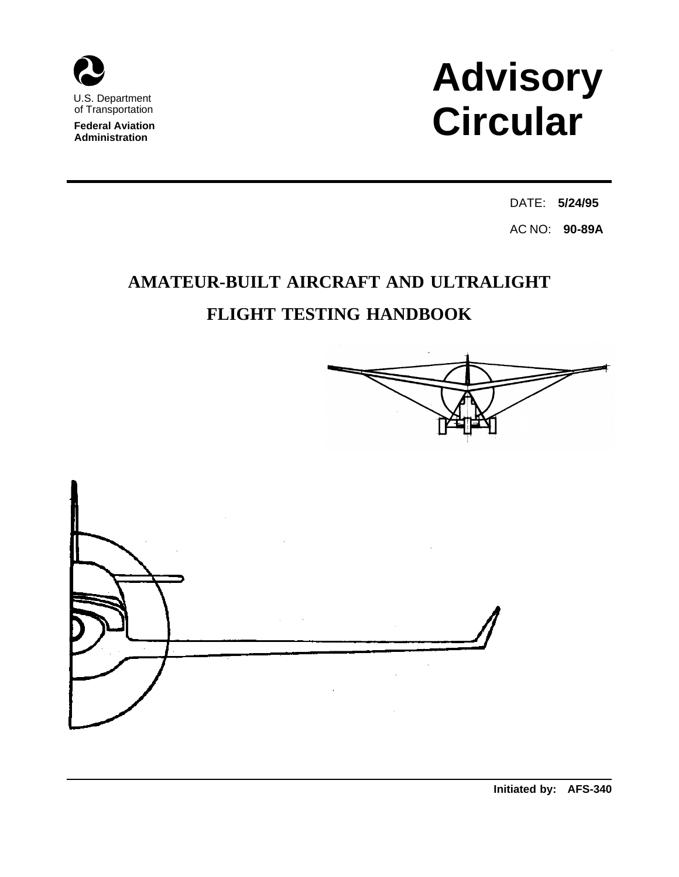

**Federal Aviation Administration**

# **Advisory Circular**

DATE: **5/24/95** AC NO: **90-89A**

# **AMATEUR-BUILT AIRCRAFT AND ULTRALIGHT FLIGHT TESTING HANDBOOK**



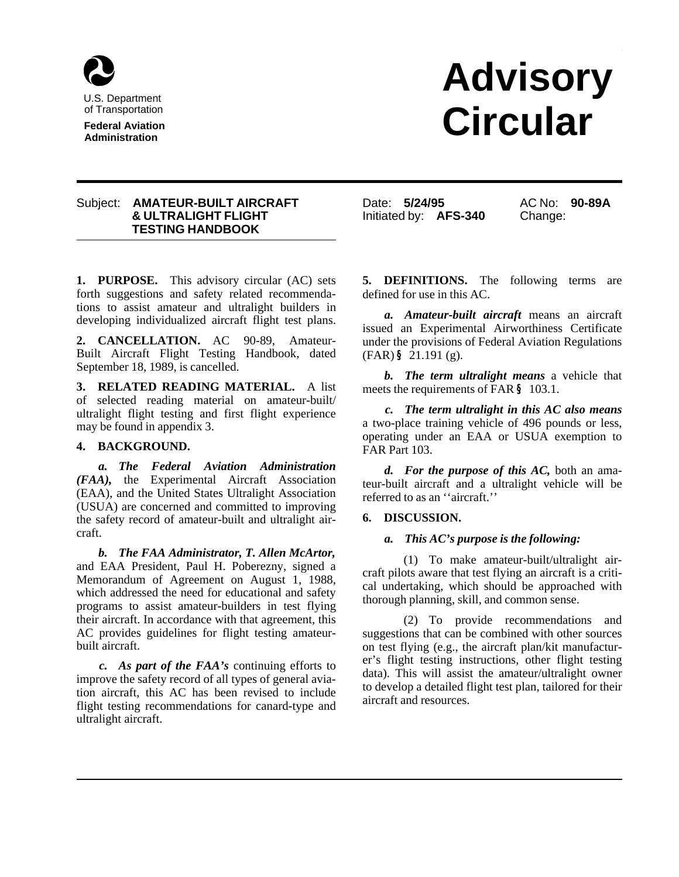

**Federal Aviation Administration**

# **Advisory Circular**

#### Subject: **AMATEUR-BUILT AIRCRAFT** Date: 5/24/95 AC No: 90-89A **& ULTRALIGHT FLIGHT** Initiated by: **AFS-340** Change: **TESTING HANDBOOK**

**1. PURPOSE.** This advisory circular (AC) sets forth suggestions and safety related recommendations to assist amateur and ultralight builders in developing individualized aircraft flight test plans.

**2. CANCELLATION.** AC 90-89, Amateur-Built Aircraft Flight Testing Handbook, dated September 18, 1989, is cancelled.

**3. RELATED READING MATERIAL.** A list of selected reading material on amateur-built/ ultralight flight testing and first flight experience may be found in appendix 3.

#### **4. BACKGROUND.**

*a. The Federal Aviation Administration (FAA),* the Experimental Aircraft Association (EAA), and the United States Ultralight Association (USUA) are concerned and committed to improving the safety record of amateur-built and ultralight aircraft.

*b. The FAA Administrator, T. Allen McArtor,* and EAA President, Paul H. Poberezny, signed a Memorandum of Agreement on August 1, 1988, which addressed the need for educational and safety programs to assist amateur-builders in test flying their aircraft. In accordance with that agreement, this AC provides guidelines for flight testing amateurbuilt aircraft.

*c. As part of the FAA's* continuing efforts to improve the safety record of all types of general aviation aircraft, this AC has been revised to include flight testing recommendations for canard-type and ultralight aircraft.

**5. DEFINITIONS.** The following terms are defined for use in this AC.

*a. Amateur-built aircraft* means an aircraft issued an Experimental Airworthiness Certificate under the provisions of Federal Aviation Regulations (FAR) **§** 21.191 (g).

*b. The term ultralight means* a vehicle that meets the requirements of FAR **§** 103.1.

*c. The term ultralight in this AC also means* a two-place training vehicle of 496 pounds or less, operating under an EAA or USUA exemption to FAR Part 103.

*d. For the purpose of this AC,* both an amateur-built aircraft and a ultralight vehicle will be referred to as an ''aircraft.''

#### **6. DISCUSSION.**

#### *a. This AC's purpose is the following:*

(1) To make amateur-built/ultralight aircraft pilots aware that test flying an aircraft is a critical undertaking, which should be approached with thorough planning, skill, and common sense.

(2) To provide recommendations and suggestions that can be combined with other sources on test flying (e.g., the aircraft plan/kit manufacturer's flight testing instructions, other flight testing data). This will assist the amateur/ultralight owner to develop a detailed flight test plan, tailored for their aircraft and resources.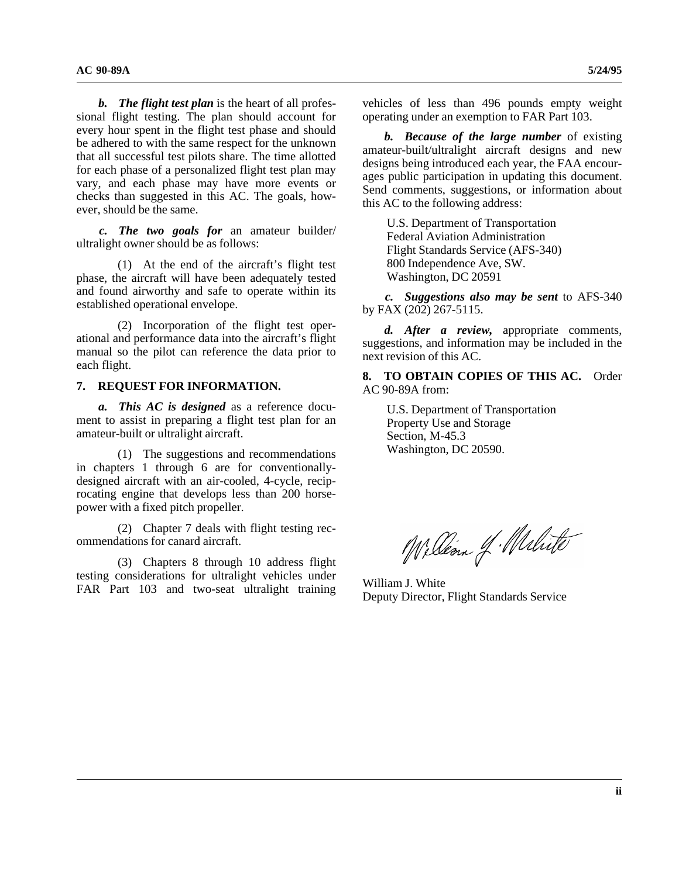*b. The flight test plan* is the heart of all professional flight testing. The plan should account for every hour spent in the flight test phase and should be adhered to with the same respect for the unknown that all successful test pilots share. The time allotted for each phase of a personalized flight test plan may vary, and each phase may have more events or checks than suggested in this AC. The goals, however, should be the same.

*c. The two goals for* an amateur builder/ ultralight owner should be as follows:

(1) At the end of the aircraft's flight test phase, the aircraft will have been adequately tested and found airworthy and safe to operate within its established operational envelope.

(2) Incorporation of the flight test operational and performance data into the aircraft's flight manual so the pilot can reference the data prior to each flight.

#### **7. REQUEST FOR INFORMATION.**

*a. This AC is designed* as a reference document to assist in preparing a flight test plan for an amateur-built or ultralight aircraft.

(1) The suggestions and recommendations in chapters 1 through 6 are for conventionallydesigned aircraft with an air-cooled, 4-cycle, reciprocating engine that develops less than 200 horsepower with a fixed pitch propeller.

(2) Chapter 7 deals with flight testing recommendations for canard aircraft.

(3) Chapters 8 through 10 address flight testing considerations for ultralight vehicles under FAR Part 103 and two-seat ultralight training vehicles of less than 496 pounds empty weight operating under an exemption to FAR Part 103.

*b. Because of the large number* of existing amateur-built/ultralight aircraft designs and new designs being introduced each year, the FAA encourages public participation in updating this document. Send comments, suggestions, or information about this AC to the following address:

U.S. Department of Transportation Federal Aviation Administration Flight Standards Service (AFS-340) 800 Independence Ave, SW. Washington, DC 20591

*c. Suggestions also may be sent* to AFS-340 by FAX (202) 267-5115.

*d. After a review,* appropriate comments, suggestions, and information may be included in the next revision of this AC.

**8. TO OBTAIN COPIES OF THIS AC.** Order AC 90-89A from:

U.S. Department of Transportation Property Use and Storage Section, M-45.3 Washington, DC 20590.

William J. Melite

William J. White Deputy Director, Flight Standards Service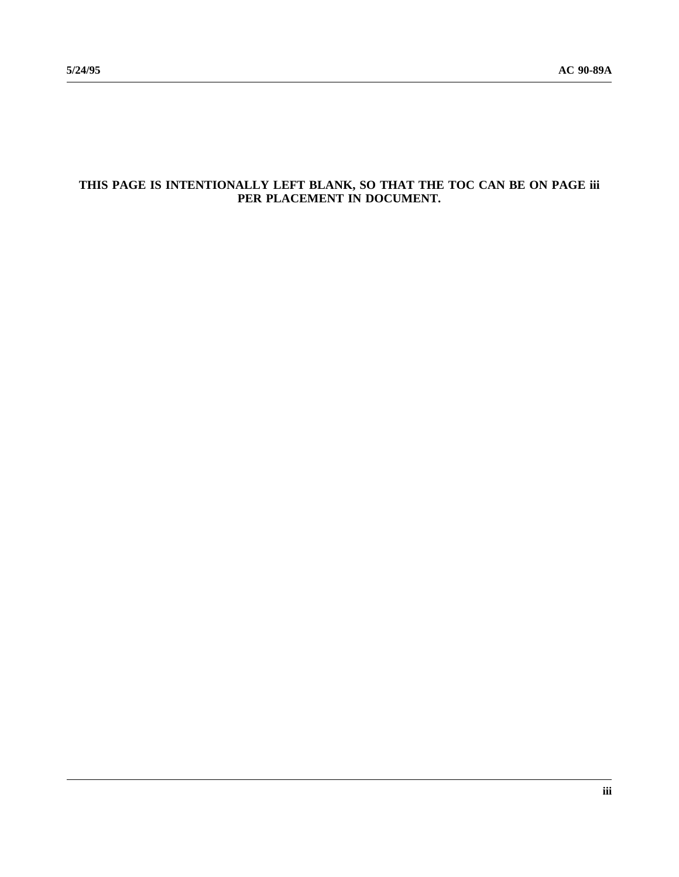# **THIS PAGE IS INTENTIONALLY LEFT BLANK, SO THAT THE TOC CAN BE ON PAGE iii PER PLACEMENT IN DOCUMENT.**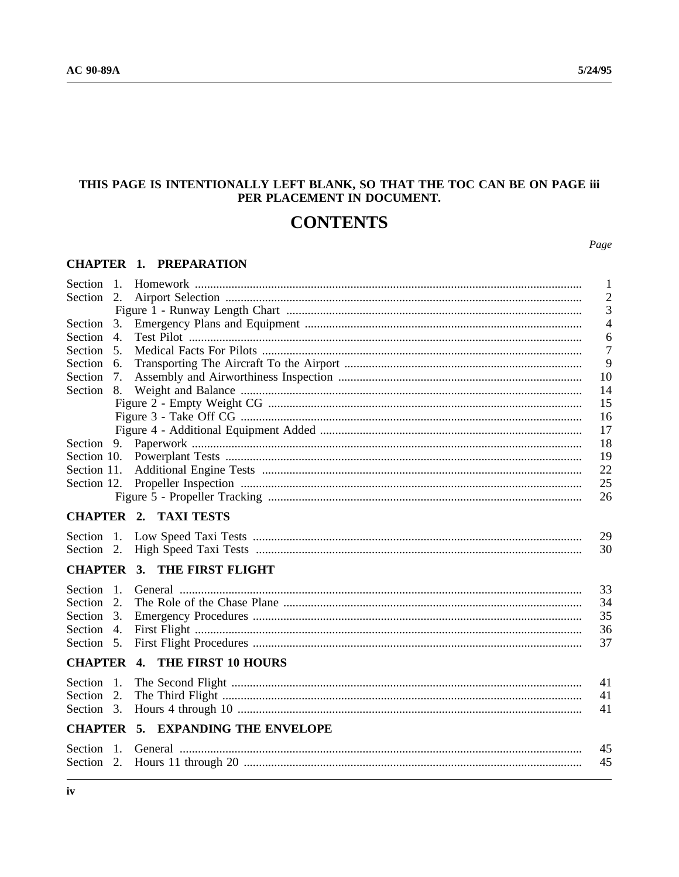# THIS PAGE IS INTENTIONALLY LEFT BLANK, SO THAT THE TOC CAN BE ON PAGE iii PER PLACEMENT IN DOCUMENT.

# **CONTENTS**

# **CHAPTER 1. PREPARATION**

|                          |    |                                          | 1                        |
|--------------------------|----|------------------------------------------|--------------------------|
| Section                  | 2. |                                          | $\overline{c}$           |
|                          |    |                                          | 3                        |
| Section                  | 3. |                                          | $\overline{\mathcal{A}}$ |
| Section                  | 4. |                                          | 6                        |
| Section                  | 5. |                                          | $\overline{7}$           |
| Section                  | 6. |                                          | 9                        |
| Section                  | 7. |                                          | 10                       |
| Section                  | 8. |                                          | 14                       |
|                          |    |                                          | 15                       |
|                          |    |                                          | 16                       |
|                          |    |                                          | 17                       |
|                          |    |                                          | 18                       |
|                          |    |                                          | 19                       |
|                          |    |                                          | 22                       |
|                          |    |                                          | 25                       |
|                          |    |                                          | 26                       |
|                          |    | <b>CHAPTER 2. TAXI TESTS</b>             |                          |
|                          |    |                                          |                          |
|                          |    |                                          | 29                       |
| Section 2.               |    |                                          | 30                       |
|                          |    | <b>CHAPTER 3. THE FIRST FLIGHT</b>       |                          |
| Section 1.               |    |                                          | 33                       |
| Section 2.               |    |                                          | 34                       |
| Section                  | 3. |                                          | 35                       |
| Section 4.               |    |                                          | 36                       |
| Section 5.               |    |                                          | 37                       |
|                          |    | <b>CHAPTER 4. THE FIRST 10 HOURS</b>     |                          |
|                          |    |                                          |                          |
| Section 1.               |    |                                          | 41                       |
| Section 2.<br>Section 3. |    |                                          | 41<br>41                 |
|                          |    | <b>CHAPTER 5. EXPANDING THE ENVELOPE</b> |                          |
|                          |    |                                          | 45                       |
|                          |    |                                          | 45                       |

Page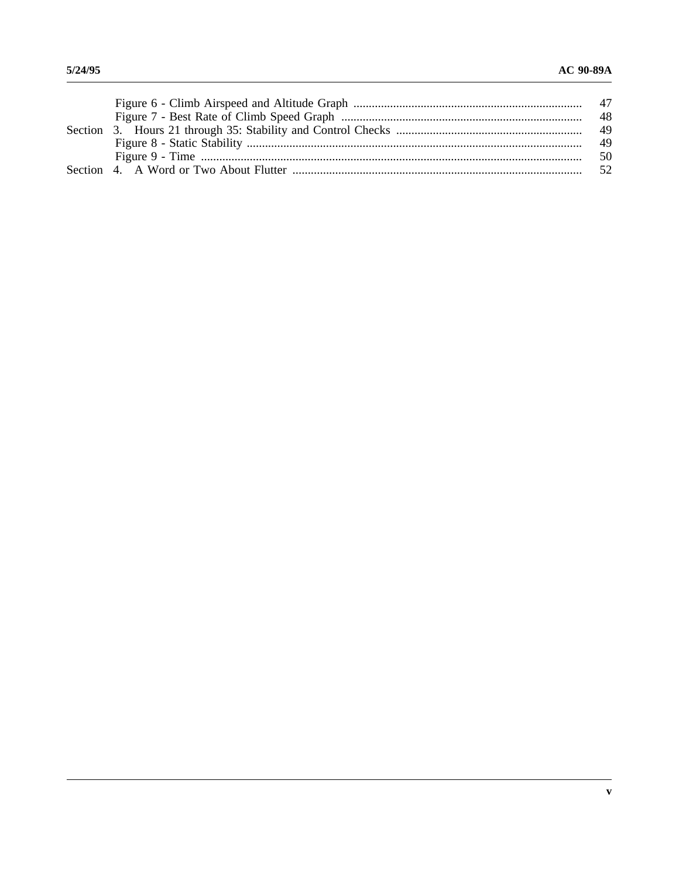|  | - 49 |
|--|------|
|  | - 50 |
|  |      |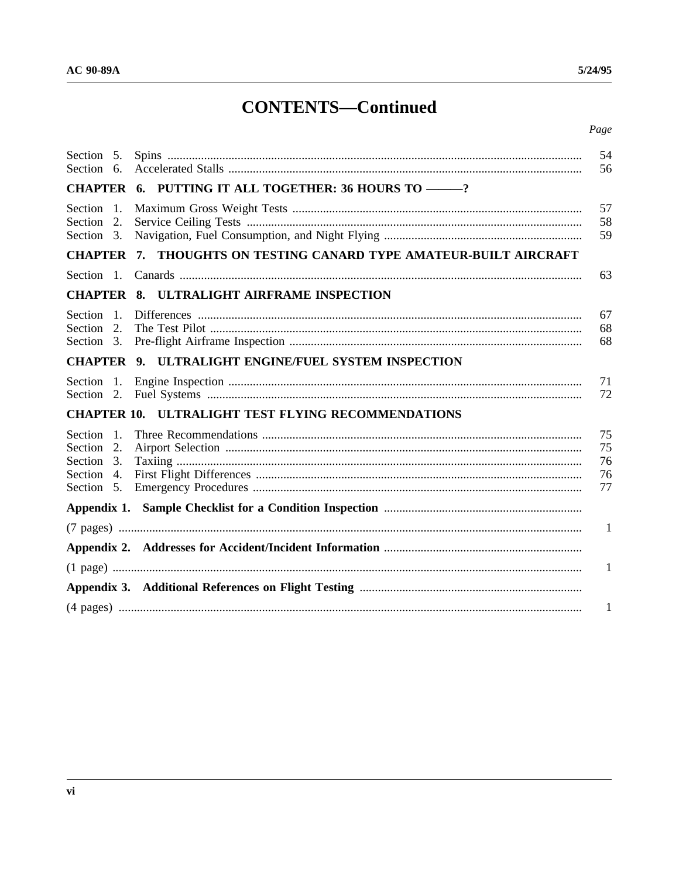# **CONTENTS-Continued**

| Section 5.<br>Section 6.                                                |                              | 54<br>56                                                                 |
|-------------------------------------------------------------------------|------------------------------|--------------------------------------------------------------------------|
|                                                                         |                              | CHAPTER 6. PUTTING IT ALL TOGETHER: 36 HOURS TO ---?                     |
| Section 1.<br>Section 2.<br>Section 3.                                  |                              | 57<br>58<br>59                                                           |
|                                                                         |                              | <b>CHAPTER 7. THOUGHTS ON TESTING CANARD TYPE AMATEUR-BUILT AIRCRAFT</b> |
| Section 1.                                                              |                              | 63                                                                       |
|                                                                         |                              | <b>CHAPTER 8. ULTRALIGHT AIRFRAME INSPECTION</b>                         |
| <b>Section</b><br>Section 2.<br>Section 3.                              | $\overline{1}$ .             | 67<br>68<br>68                                                           |
|                                                                         |                              | <b>CHAPTER 9. ULTRALIGHT ENGINE/FUEL SYSTEM INSPECTION</b>               |
| Section 1.<br>Section 2.                                                |                              | 71<br>72                                                                 |
|                                                                         |                              | <b>CHAPTER 10. ULTRALIGHT TEST FLYING RECOMMENDATIONS</b>                |
| <b>Section</b><br><b>Section</b><br>Section<br>Section 4.<br>Section 5. | $\overline{1}$ .<br>2.<br>3. | 75<br>75<br>76<br>76<br>77                                               |
|                                                                         |                              |                                                                          |
|                                                                         |                              |                                                                          |
|                                                                         |                              |                                                                          |
|                                                                         |                              |                                                                          |
|                                                                         |                              |                                                                          |
|                                                                         |                              |                                                                          |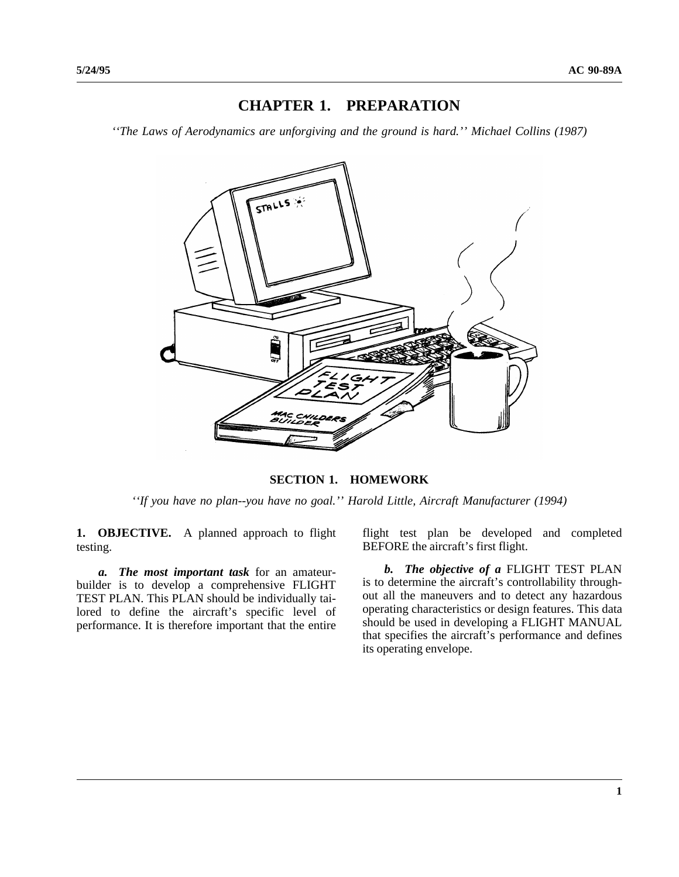# **CHAPTER 1. PREPARATION**

*''The Laws of Aerodynamics are unforgiving and the ground is hard.'' Michael Collins (1987)*



**SECTION 1. HOMEWORK**

*''If you have no plan--you have no goal.'' Harold Little, Aircraft Manufacturer (1994)*

**1. OBJECTIVE.** A planned approach to flight testing.

*a. The most important task* for an amateurbuilder is to develop a comprehensive FLIGHT TEST PLAN. This PLAN should be individually tailored to define the aircraft's specific level of performance. It is therefore important that the entire

flight test plan be developed and completed BEFORE the aircraft's first flight.

*b. The objective of a* FLIGHT TEST PLAN is to determine the aircraft's controllability throughout all the maneuvers and to detect any hazardous operating characteristics or design features. This data should be used in developing a FLIGHT MANUAL that specifies the aircraft's performance and defines its operating envelope.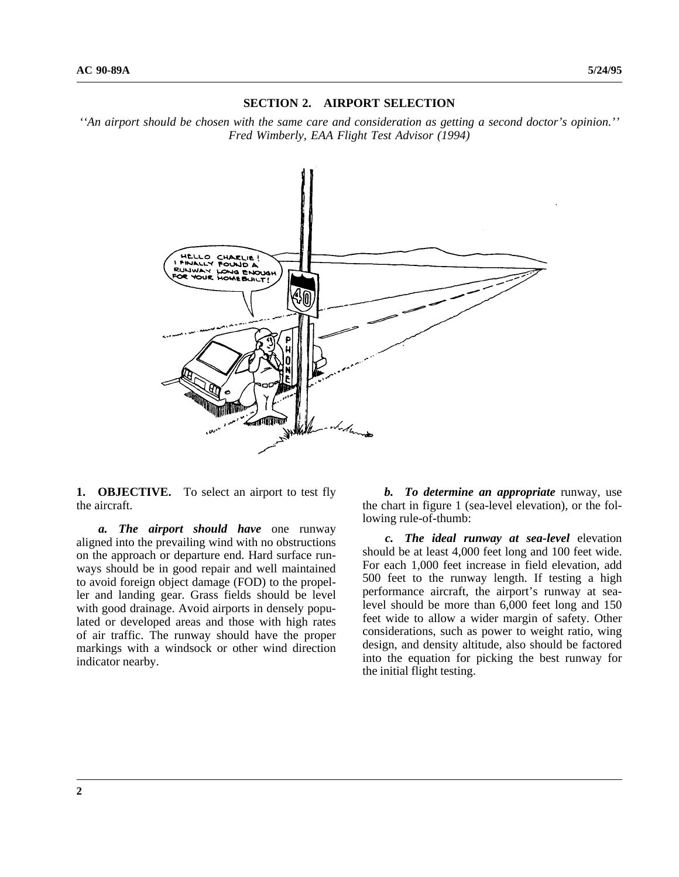#### **SECTION 2. AIRPORT SELECTION**

*''An airport should be chosen with the same care and consideration as getting a second doctor's opinion.'' Fred Wimberly, EAA Flight Test Advisor (1994)*



**1. OBJECTIVE.** To select an airport to test fly the aircraft.

*a. The airport should have* one runway aligned into the prevailing wind with no obstructions on the approach or departure end. Hard surface runways should be in good repair and well maintained to avoid foreign object damage (FOD) to the propeller and landing gear. Grass fields should be level with good drainage. Avoid airports in densely populated or developed areas and those with high rates of air traffic. The runway should have the proper markings with a windsock or other wind direction indicator nearby.

*b. To determine an appropriate* runway, use the chart in figure 1 (sea-level elevation), or the following rule-of-thumb:

*c. The ideal runway at sea-level* elevation should be at least 4,000 feet long and 100 feet wide. For each 1,000 feet increase in field elevation, add 500 feet to the runway length. If testing a high performance aircraft, the airport's runway at sealevel should be more than 6,000 feet long and 150 feet wide to allow a wider margin of safety. Other considerations, such as power to weight ratio, wing design, and density altitude, also should be factored into the equation for picking the best runway for the initial flight testing.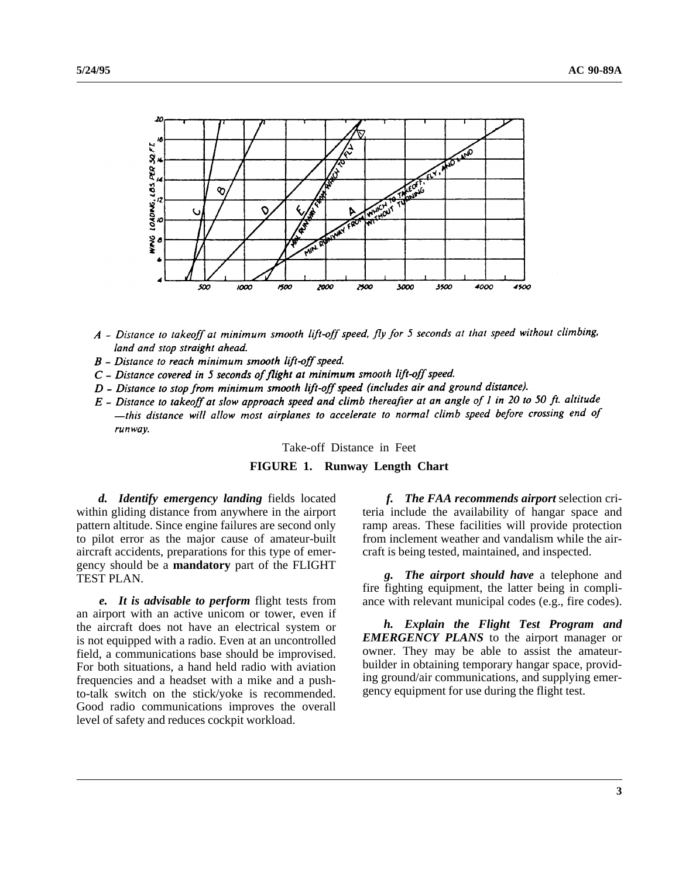

- A Distance to takeoff at minimum smooth lift-off speed, fly for 5 seconds at that speed without climbing, land and stop straight ahead.
- $B$  Distance to reach minimum smooth lift-off speed.
- C Distance covered in 5 seconds of flight at minimum smooth lift-off speed.
- D Distance to stop from minimum smooth lift-off speed (includes air and ground distance).
- E Distance to takeoff at slow approach speed and climb thereafter at an angle of 1 in 20 to 50 ft. altitude -this distance will allow most airplanes to accelerate to normal climb speed before crossing end of runway.

Take-off Distance in Feet

**FIGURE 1. Runway Length Chart**

*d. Identify emergency landing* fields located within gliding distance from anywhere in the airport pattern altitude. Since engine failures are second only to pilot error as the major cause of amateur-built aircraft accidents, preparations for this type of emergency should be a **mandatory** part of the FLIGHT TEST PLAN.

*e. It is advisable to perform* flight tests from an airport with an active unicom or tower, even if the aircraft does not have an electrical system or is not equipped with a radio. Even at an uncontrolled field, a communications base should be improvised. For both situations, a hand held radio with aviation frequencies and a headset with a mike and a pushto-talk switch on the stick/yoke is recommended. Good radio communications improves the overall level of safety and reduces cockpit workload.

*f. The FAA recommends airport* selection criteria include the availability of hangar space and ramp areas. These facilities will provide protection from inclement weather and vandalism while the aircraft is being tested, maintained, and inspected.

*g. The airport should have* a telephone and fire fighting equipment, the latter being in compliance with relevant municipal codes (e.g., fire codes).

*h. Explain the Flight Test Program and EMERGENCY PLANS* to the airport manager or owner. They may be able to assist the amateurbuilder in obtaining temporary hangar space, providing ground/air communications, and supplying emergency equipment for use during the flight test.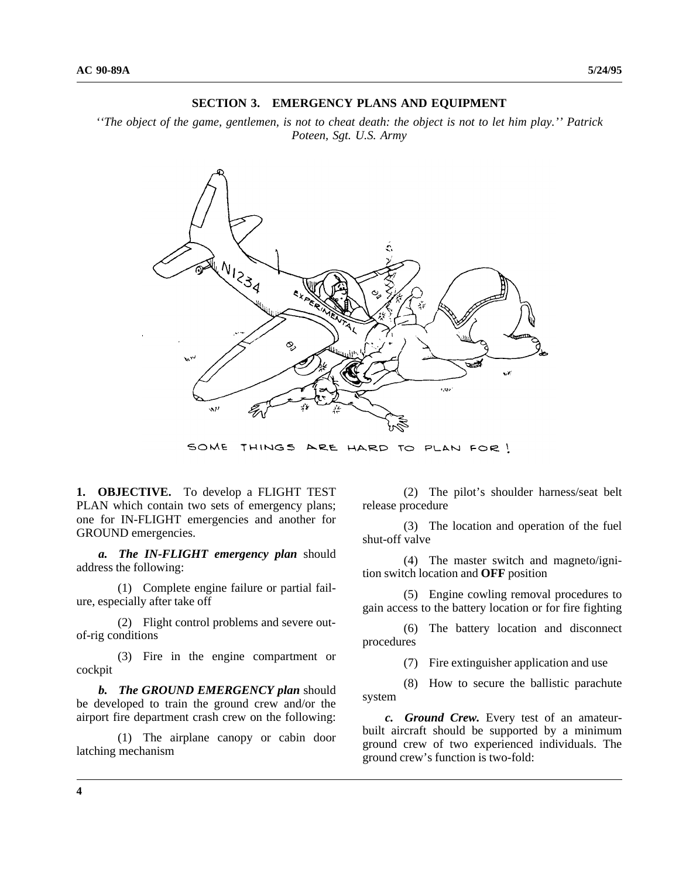#### **SECTION 3. EMERGENCY PLANS AND EQUIPMENT**

*''The object of the game, gentlemen, is not to cheat death: the object is not to let him play.'' Patrick Poteen, Sgt. U.S. Army*



THINGS ARE HARD TO PLAN FOR ! SOME

**1. OBJECTIVE.** To develop a FLIGHT TEST PLAN which contain two sets of emergency plans; one for IN-FLIGHT emergencies and another for GROUND emergencies.

*a. The IN-FLIGHT emergency plan* should address the following:

(1) Complete engine failure or partial failure, especially after take off

(2) Flight control problems and severe outof-rig conditions

(3) Fire in the engine compartment or cockpit

*b. The GROUND EMERGENCY plan* should be developed to train the ground crew and/or the airport fire department crash crew on the following:

(1) The airplane canopy or cabin door latching mechanism

(2) The pilot's shoulder harness/seat belt release procedure

(3) The location and operation of the fuel shut-off valve

(4) The master switch and magneto/ignition switch location and **OFF** position

(5) Engine cowling removal procedures to gain access to the battery location or for fire fighting

(6) The battery location and disconnect procedures

(7) Fire extinguisher application and use

(8) How to secure the ballistic parachute system

*c. Ground Crew.* Every test of an amateurbuilt aircraft should be supported by a minimum ground crew of two experienced individuals. The ground crew's function is two-fold: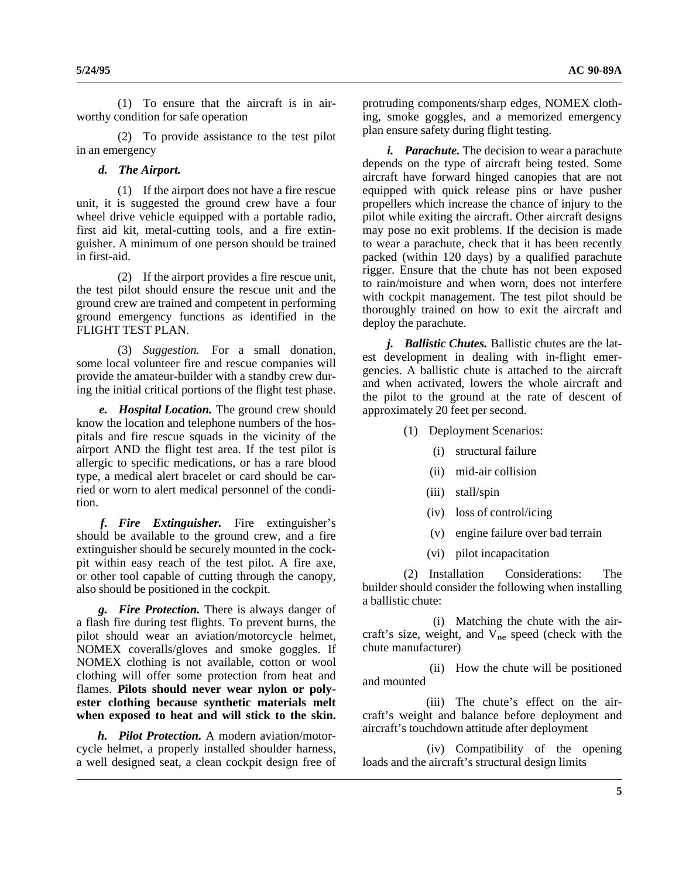(1) To ensure that the aircraft is in airworthy condition for safe operation

(2) To provide assistance to the test pilot in an emergency

*d. The Airport.*

(1) If the airport does not have a fire rescue unit, it is suggested the ground crew have a four wheel drive vehicle equipped with a portable radio, first aid kit, metal-cutting tools, and a fire extinguisher. A minimum of one person should be trained in first-aid.

(2) If the airport provides a fire rescue unit, the test pilot should ensure the rescue unit and the ground crew are trained and competent in performing ground emergency functions as identified in the FLIGHT TEST PLAN.

(3) *Suggestion.* For a small donation, some local volunteer fire and rescue companies will provide the amateur-builder with a standby crew during the initial critical portions of the flight test phase.

*e. Hospital Location.* The ground crew should know the location and telephone numbers of the hospitals and fire rescue squads in the vicinity of the airport AND the flight test area. If the test pilot is allergic to specific medications, or has a rare blood type, a medical alert bracelet or card should be carried or worn to alert medical personnel of the condition.

*f. Fire Extinguisher.* Fire extinguisher's should be available to the ground crew, and a fire extinguisher should be securely mounted in the cockpit within easy reach of the test pilot. A fire axe, or other tool capable of cutting through the canopy, also should be positioned in the cockpit.

*g. Fire Protection.* There is always danger of a flash fire during test flights. To prevent burns, the pilot should wear an aviation/motorcycle helmet, NOMEX coveralls/gloves and smoke goggles. If NOMEX clothing is not available, cotton or wool clothing will offer some protection from heat and flames. **Pilots should never wear nylon or polyester clothing because synthetic materials melt when exposed to heat and will stick to the skin.**

*h. Pilot Protection.* A modern aviation/motorcycle helmet, a properly installed shoulder harness, a well designed seat, a clean cockpit design free of protruding components/sharp edges, NOMEX clothing, smoke goggles, and a memorized emergency plan ensure safety during flight testing.

*i. Parachute.* The decision to wear a parachute depends on the type of aircraft being tested. Some aircraft have forward hinged canopies that are not equipped with quick release pins or have pusher propellers which increase the chance of injury to the pilot while exiting the aircraft. Other aircraft designs may pose no exit problems. If the decision is made to wear a parachute, check that it has been recently packed (within 120 days) by a qualified parachute rigger. Ensure that the chute has not been exposed to rain/moisture and when worn, does not interfere with cockpit management. The test pilot should be thoroughly trained on how to exit the aircraft and deploy the parachute.

*j. Ballistic Chutes.* Ballistic chutes are the latest development in dealing with in-flight emergencies. A ballistic chute is attached to the aircraft and when activated, lowers the whole aircraft and the pilot to the ground at the rate of descent of approximately 20 feet per second.

- (1) Deployment Scenarios:
	- (i) structural failure
	- (ii) mid-air collision
	- (iii) stall/spin
	- (iv) loss of control/icing
	- (v) engine failure over bad terrain
	- (vi) pilot incapacitation

(2) Installation Considerations: The builder should consider the following when installing a ballistic chute:

(i) Matching the chute with the aircraft's size, weight, and  $V_{ne}$  speed (check with the chute manufacturer)

(ii) How the chute will be positioned and mounted

(iii) The chute's effect on the aircraft's weight and balance before deployment and aircraft's touchdown attitude after deployment

(iv) Compatibility of the opening loads and the aircraft's structural design limits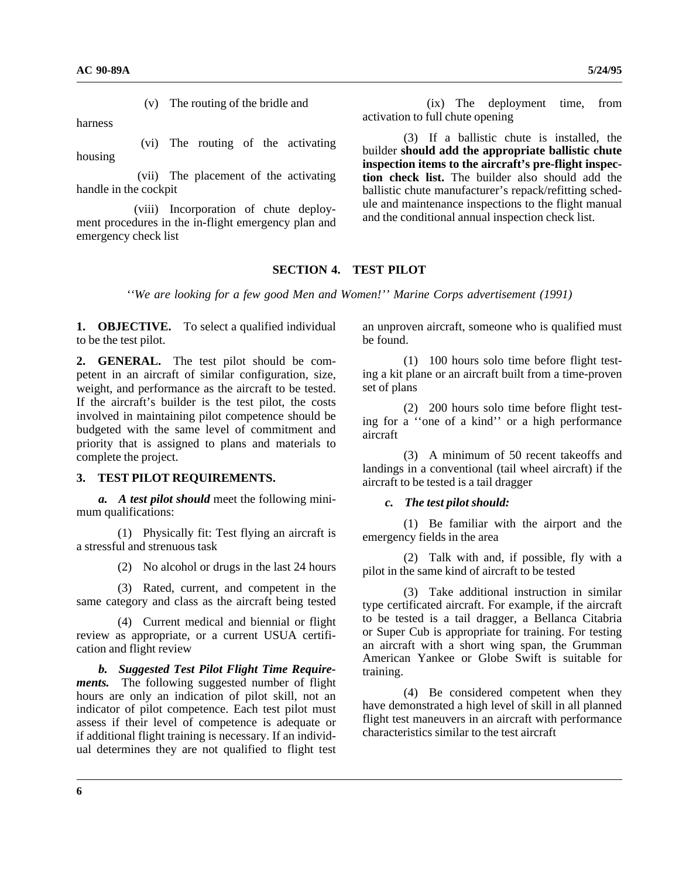(v) The routing of the bridle and

harness

(vi) The routing of the activating housing

(vii) The placement of the activating handle in the cockpit

(viii) Incorporation of chute deployment procedures in the in-flight emergency plan and emergency check list

(ix) The deployment time, from activation to full chute opening

(3) If a ballistic chute is installed, the builder **should add the appropriate ballistic chute inspection items to the aircraft's pre-flight inspection check list.** The builder also should add the ballistic chute manufacturer's repack/refitting schedule and maintenance inspections to the flight manual and the conditional annual inspection check list.

#### **SECTION 4. TEST PILOT**

*''We are looking for a few good Men and Women!'' Marine Corps advertisement (1991)*

**1. OBJECTIVE.** To select a qualified individual to be the test pilot.

**2. GENERAL.** The test pilot should be competent in an aircraft of similar configuration, size, weight, and performance as the aircraft to be tested. If the aircraft's builder is the test pilot, the costs involved in maintaining pilot competence should be budgeted with the same level of commitment and priority that is assigned to plans and materials to complete the project.

#### **3. TEST PILOT REQUIREMENTS.**

*a. A test pilot should* meet the following minimum qualifications:

(1) Physically fit: Test flying an aircraft is a stressful and strenuous task

(2) No alcohol or drugs in the last 24 hours

(3) Rated, current, and competent in the same category and class as the aircraft being tested

(4) Current medical and biennial or flight review as appropriate, or a current USUA certification and flight review

*b. Suggested Test Pilot Flight Time Requirements.* The following suggested number of flight hours are only an indication of pilot skill, not an indicator of pilot competence. Each test pilot must assess if their level of competence is adequate or if additional flight training is necessary. If an individual determines they are not qualified to flight test

an unproven aircraft, someone who is qualified must be found.

(1) 100 hours solo time before flight testing a kit plane or an aircraft built from a time-proven set of plans

(2) 200 hours solo time before flight testing for a ''one of a kind'' or a high performance aircraft

(3) A minimum of 50 recent takeoffs and landings in a conventional (tail wheel aircraft) if the aircraft to be tested is a tail dragger

#### *c. The test pilot should:*

(1) Be familiar with the airport and the emergency fields in the area

(2) Talk with and, if possible, fly with a pilot in the same kind of aircraft to be tested

(3) Take additional instruction in similar type certificated aircraft. For example, if the aircraft to be tested is a tail dragger, a Bellanca Citabria or Super Cub is appropriate for training. For testing an aircraft with a short wing span, the Grumman American Yankee or Globe Swift is suitable for training.

(4) Be considered competent when they have demonstrated a high level of skill in all planned flight test maneuvers in an aircraft with performance characteristics similar to the test aircraft

**6**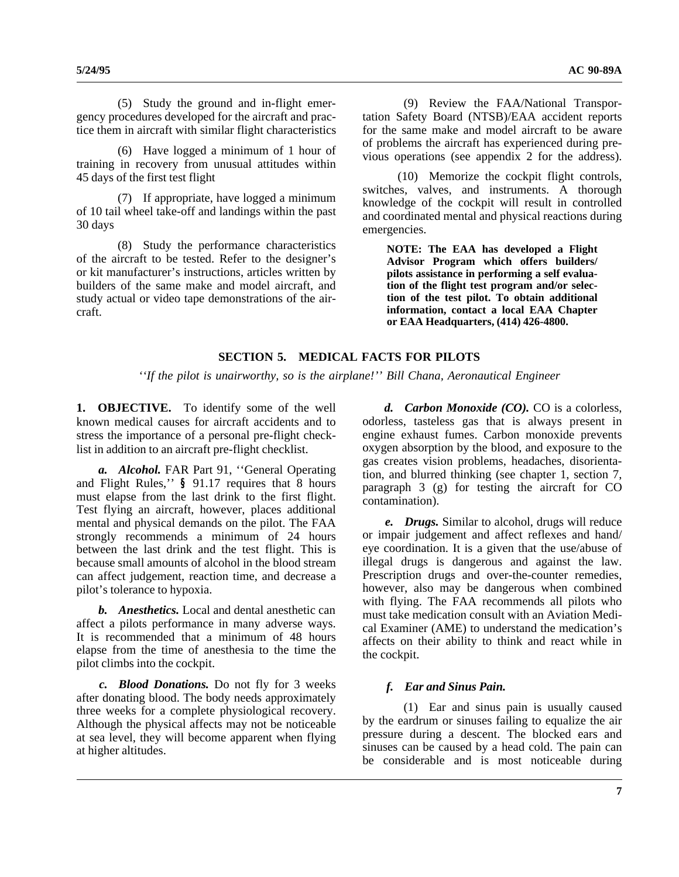(5) Study the ground and in-flight emergency procedures developed for the aircraft and practice them in aircraft with similar flight characteristics

(6) Have logged a minimum of 1 hour of training in recovery from unusual attitudes within 45 days of the first test flight

(7) If appropriate, have logged a minimum of 10 tail wheel take-off and landings within the past 30 days

(8) Study the performance characteristics of the aircraft to be tested. Refer to the designer's or kit manufacturer's instructions, articles written by builders of the same make and model aircraft, and study actual or video tape demonstrations of the aircraft.

(9) Review the FAA/National Transportation Safety Board (NTSB)/EAA accident reports for the same make and model aircraft to be aware of problems the aircraft has experienced during previous operations (see appendix 2 for the address).

(10) Memorize the cockpit flight controls, switches, valves, and instruments. A thorough knowledge of the cockpit will result in controlled and coordinated mental and physical reactions during emergencies.

**NOTE: The EAA has developed a Flight Advisor Program which offers builders/ pilots assistance in performing a self evaluation of the flight test program and/or selection of the test pilot. To obtain additional information, contact a local EAA Chapter or EAA Headquarters, (414) 426-4800.**

## **SECTION 5. MEDICAL FACTS FOR PILOTS**

*''If the pilot is unairworthy, so is the airplane!'' Bill Chana, Aeronautical Engineer*

**1. OBJECTIVE.** To identify some of the well known medical causes for aircraft accidents and to stress the importance of a personal pre-flight checklist in addition to an aircraft pre-flight checklist.

*a. Alcohol.* FAR Part 91, ''General Operating and Flight Rules,'' **§** 91.17 requires that 8 hours must elapse from the last drink to the first flight. Test flying an aircraft, however, places additional mental and physical demands on the pilot. The FAA strongly recommends a minimum of 24 hours between the last drink and the test flight. This is because small amounts of alcohol in the blood stream can affect judgement, reaction time, and decrease a pilot's tolerance to hypoxia.

*b. Anesthetics.* Local and dental anesthetic can affect a pilots performance in many adverse ways. It is recommended that a minimum of 48 hours elapse from the time of anesthesia to the time the pilot climbs into the cockpit.

*c. Blood Donations.* Do not fly for 3 weeks after donating blood. The body needs approximately three weeks for a complete physiological recovery. Although the physical affects may not be noticeable at sea level, they will become apparent when flying at higher altitudes.

*d. Carbon Monoxide (CO).* CO is a colorless, odorless, tasteless gas that is always present in engine exhaust fumes. Carbon monoxide prevents oxygen absorption by the blood, and exposure to the gas creates vision problems, headaches, disorientation, and blurred thinking (see chapter 1, section 7, paragraph 3 (g) for testing the aircraft for CO contamination).

*e. Drugs.* Similar to alcohol, drugs will reduce or impair judgement and affect reflexes and hand/ eye coordination. It is a given that the use/abuse of illegal drugs is dangerous and against the law. Prescription drugs and over-the-counter remedies, however, also may be dangerous when combined with flying. The FAA recommends all pilots who must take medication consult with an Aviation Medical Examiner (AME) to understand the medication's affects on their ability to think and react while in the cockpit.

#### *f. Ear and Sinus Pain.*

(1) Ear and sinus pain is usually caused by the eardrum or sinuses failing to equalize the air pressure during a descent. The blocked ears and sinuses can be caused by a head cold. The pain can be considerable and is most noticeable during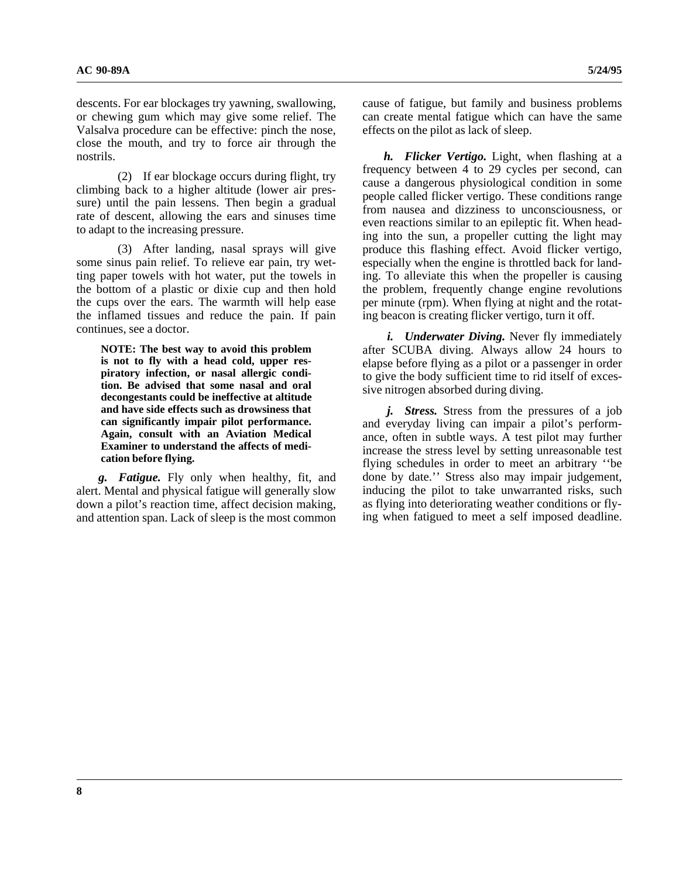descents. For ear blockages try yawning, swallowing, or chewing gum which may give some relief. The Valsalva procedure can be effective: pinch the nose, close the mouth, and try to force air through the nostrils.

(2) If ear blockage occurs during flight, try climbing back to a higher altitude (lower air pressure) until the pain lessens. Then begin a gradual rate of descent, allowing the ears and sinuses time to adapt to the increasing pressure.

(3) After landing, nasal sprays will give some sinus pain relief. To relieve ear pain, try wetting paper towels with hot water, put the towels in the bottom of a plastic or dixie cup and then hold the cups over the ears. The warmth will help ease the inflamed tissues and reduce the pain. If pain continues, see a doctor.

**NOTE: The best way to avoid this problem is not to fly with a head cold, upper respiratory infection, or nasal allergic condition. Be advised that some nasal and oral decongestants could be ineffective at altitude and have side effects such as drowsiness that can significantly impair pilot performance. Again, consult with an Aviation Medical Examiner to understand the affects of medication before flying.**

*g. Fatigue.* Fly only when healthy, fit, and alert. Mental and physical fatigue will generally slow down a pilot's reaction time, affect decision making, and attention span. Lack of sleep is the most common cause of fatigue, but family and business problems can create mental fatigue which can have the same effects on the pilot as lack of sleep.

*h. Flicker Vertigo.* Light, when flashing at a frequency between 4 to 29 cycles per second, can cause a dangerous physiological condition in some people called flicker vertigo. These conditions range from nausea and dizziness to unconsciousness, or even reactions similar to an epileptic fit. When heading into the sun, a propeller cutting the light may produce this flashing effect. Avoid flicker vertigo, especially when the engine is throttled back for landing. To alleviate this when the propeller is causing the problem, frequently change engine revolutions per minute (rpm). When flying at night and the rotating beacon is creating flicker vertigo, turn it off.

*i. Underwater Diving.* Never fly immediately after SCUBA diving. Always allow 24 hours to elapse before flying as a pilot or a passenger in order to give the body sufficient time to rid itself of excessive nitrogen absorbed during diving.

*j. Stress.* Stress from the pressures of a job and everyday living can impair a pilot's performance, often in subtle ways. A test pilot may further increase the stress level by setting unreasonable test flying schedules in order to meet an arbitrary ''be done by date.'' Stress also may impair judgement, inducing the pilot to take unwarranted risks, such as flying into deteriorating weather conditions or flying when fatigued to meet a self imposed deadline.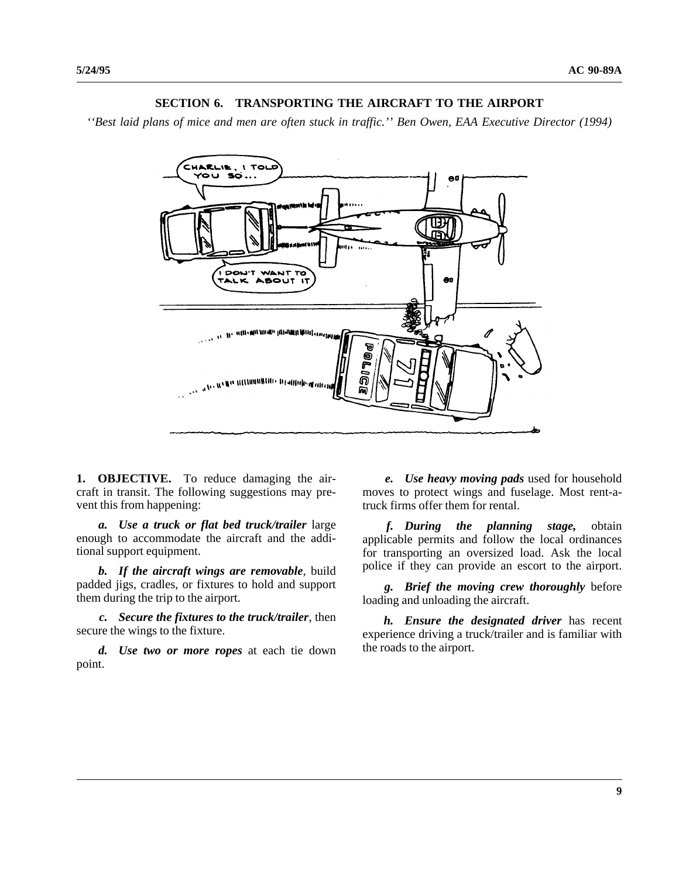#### **SECTION 6. TRANSPORTING THE AIRCRAFT TO THE AIRPORT**

*''Best laid plans of mice and men are often stuck in traffic.'' Ben Owen, EAA Executive Director (1994)*



**1. OBJECTIVE.** To reduce damaging the aircraft in transit. The following suggestions may prevent this from happening:

*a. Use a truck or flat bed truck/trailer* large enough to accommodate the aircraft and the additional support equipment.

*b. If the aircraft wings are removable*, build padded jigs, cradles, or fixtures to hold and support them during the trip to the airport.

*c. Secure the fixtures to the truck/trailer*, then secure the wings to the fixture.

*d. Use two or more ropes* at each tie down point.

*e. Use heavy moving pads* used for household moves to protect wings and fuselage. Most rent-atruck firms offer them for rental.

*f. During the planning stage,* obtain applicable permits and follow the local ordinances for transporting an oversized load. Ask the local police if they can provide an escort to the airport.

*g. Brief the moving crew thoroughly* before loading and unloading the aircraft.

*h. Ensure the designated driver* has recent experience driving a truck/trailer and is familiar with the roads to the airport.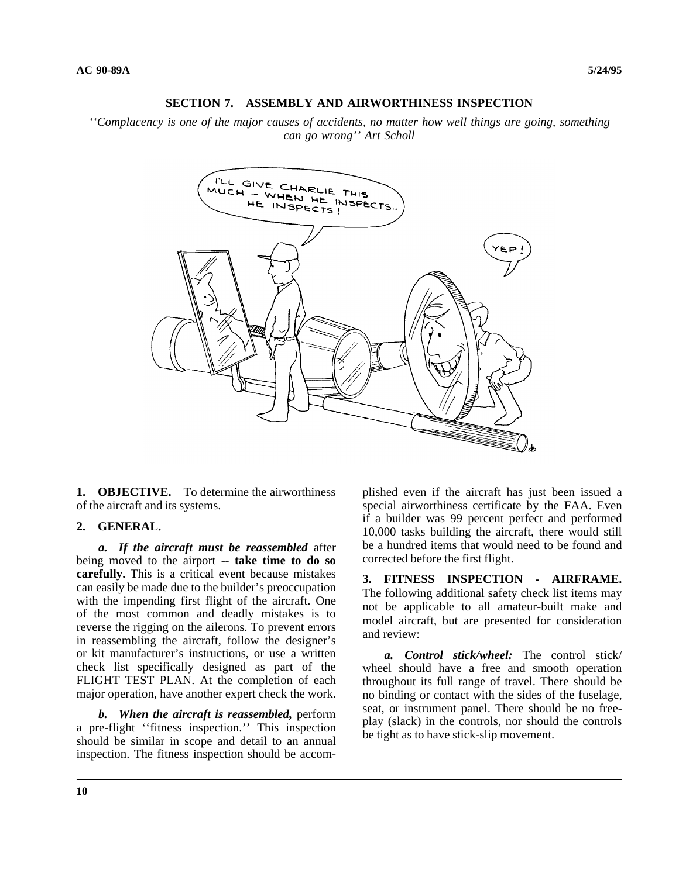#### **SECTION 7. ASSEMBLY AND AIRWORTHINESS INSPECTION**

*''Complacency is one of the major causes of accidents, no matter how well things are going, something can go wrong'' Art Scholl*



**1. OBJECTIVE.** To determine the airworthiness of the aircraft and its systems.

#### **2. GENERAL.**

*a. If the aircraft must be reassembled* after being moved to the airport -- **take time to do so carefully.** This is a critical event because mistakes can easily be made due to the builder's preoccupation with the impending first flight of the aircraft. One of the most common and deadly mistakes is to reverse the rigging on the ailerons. To prevent errors in reassembling the aircraft, follow the designer's or kit manufacturer's instructions, or use a written check list specifically designed as part of the FLIGHT TEST PLAN. At the completion of each major operation, have another expert check the work.

*b. When the aircraft is reassembled,* perform a pre-flight ''fitness inspection.'' This inspection should be similar in scope and detail to an annual inspection. The fitness inspection should be accomplished even if the aircraft has just been issued a special airworthiness certificate by the FAA. Even if a builder was 99 percent perfect and performed 10,000 tasks building the aircraft, there would still be a hundred items that would need to be found and corrected before the first flight.

**3. FITNESS INSPECTION - AIRFRAME.** The following additional safety check list items may not be applicable to all amateur-built make and model aircraft, but are presented for consideration and review:

*a. Control stick/wheel:* The control stick/ wheel should have a free and smooth operation throughout its full range of travel. There should be no binding or contact with the sides of the fuselage, seat, or instrument panel. There should be no freeplay (slack) in the controls, nor should the controls be tight as to have stick-slip movement.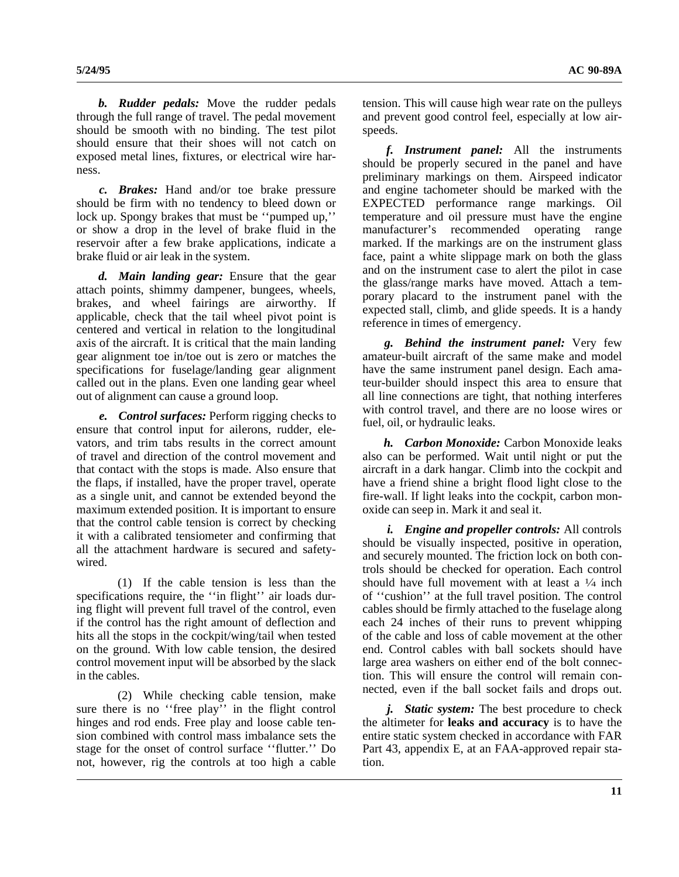*b. Rudder pedals:* Move the rudder pedals through the full range of travel. The pedal movement should be smooth with no binding. The test pilot should ensure that their shoes will not catch on exposed metal lines, fixtures, or electrical wire harness.

*c. Brakes:* Hand and/or toe brake pressure should be firm with no tendency to bleed down or lock up. Spongy brakes that must be ''pumped up,'' or show a drop in the level of brake fluid in the reservoir after a few brake applications, indicate a brake fluid or air leak in the system.

*d. Main landing gear:* Ensure that the gear attach points, shimmy dampener, bungees, wheels, brakes, and wheel fairings are airworthy. If applicable, check that the tail wheel pivot point is centered and vertical in relation to the longitudinal axis of the aircraft. It is critical that the main landing gear alignment toe in/toe out is zero or matches the specifications for fuselage/landing gear alignment called out in the plans. Even one landing gear wheel out of alignment can cause a ground loop.

*e. Control surfaces:* Perform rigging checks to ensure that control input for ailerons, rudder, elevators, and trim tabs results in the correct amount of travel and direction of the control movement and that contact with the stops is made. Also ensure that the flaps, if installed, have the proper travel, operate as a single unit, and cannot be extended beyond the maximum extended position. It is important to ensure that the control cable tension is correct by checking it with a calibrated tensiometer and confirming that all the attachment hardware is secured and safetywired.

(1) If the cable tension is less than the specifications require, the ''in flight'' air loads during flight will prevent full travel of the control, even if the control has the right amount of deflection and hits all the stops in the cockpit/wing/tail when tested on the ground. With low cable tension, the desired control movement input will be absorbed by the slack in the cables.

(2) While checking cable tension, make sure there is no ''free play'' in the flight control hinges and rod ends. Free play and loose cable tension combined with control mass imbalance sets the stage for the onset of control surface ''flutter.'' Do not, however, rig the controls at too high a cable tension. This will cause high wear rate on the pulleys and prevent good control feel, especially at low airspeeds.

*f. Instrument panel:* All the instruments should be properly secured in the panel and have preliminary markings on them. Airspeed indicator and engine tachometer should be marked with the EXPECTED performance range markings. Oil temperature and oil pressure must have the engine manufacturer's recommended operating range marked. If the markings are on the instrument glass face, paint a white slippage mark on both the glass and on the instrument case to alert the pilot in case the glass/range marks have moved. Attach a temporary placard to the instrument panel with the expected stall, climb, and glide speeds. It is a handy reference in times of emergency.

*g. Behind the instrument panel:* Very few amateur-built aircraft of the same make and model have the same instrument panel design. Each amateur-builder should inspect this area to ensure that all line connections are tight, that nothing interferes with control travel, and there are no loose wires or fuel, oil, or hydraulic leaks.

*h. Carbon Monoxide:* Carbon Monoxide leaks also can be performed. Wait until night or put the aircraft in a dark hangar. Climb into the cockpit and have a friend shine a bright flood light close to the fire-wall. If light leaks into the cockpit, carbon monoxide can seep in. Mark it and seal it.

*i. Engine and propeller controls:* All controls should be visually inspected, positive in operation, and securely mounted. The friction lock on both controls should be checked for operation. Each control should have full movement with at least a  $\frac{1}{4}$  inch of ''cushion'' at the full travel position. The control cables should be firmly attached to the fuselage along each 24 inches of their runs to prevent whipping of the cable and loss of cable movement at the other end. Control cables with ball sockets should have large area washers on either end of the bolt connection. This will ensure the control will remain connected, even if the ball socket fails and drops out.

*j. Static system:* The best procedure to check the altimeter for **leaks and accuracy** is to have the entire static system checked in accordance with FAR Part 43, appendix E, at an FAA-approved repair station.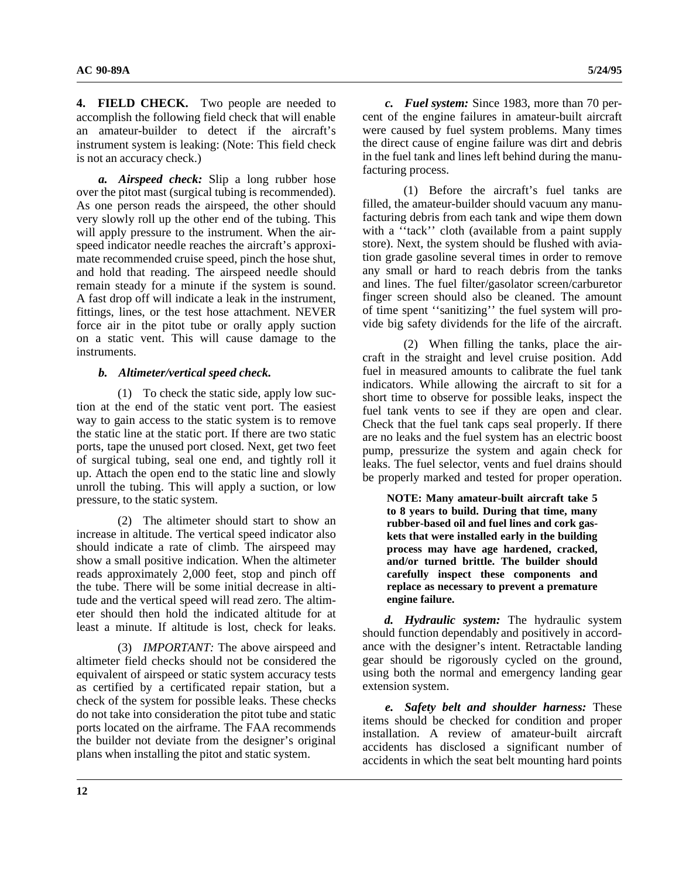**4. FIELD CHECK.** Two people are needed to accomplish the following field check that will enable an amateur-builder to detect if the aircraft's instrument system is leaking: (Note: This field check is not an accuracy check.)

*a. Airspeed check:* Slip a long rubber hose over the pitot mast (surgical tubing is recommended). As one person reads the airspeed, the other should very slowly roll up the other end of the tubing. This will apply pressure to the instrument. When the airspeed indicator needle reaches the aircraft's approximate recommended cruise speed, pinch the hose shut, and hold that reading. The airspeed needle should remain steady for a minute if the system is sound. A fast drop off will indicate a leak in the instrument, fittings, lines, or the test hose attachment. NEVER force air in the pitot tube or orally apply suction on a static vent. This will cause damage to the instruments.

#### *b. Altimeter/vertical speed check.*

(1) To check the static side, apply low suction at the end of the static vent port. The easiest way to gain access to the static system is to remove the static line at the static port. If there are two static ports, tape the unused port closed. Next, get two feet of surgical tubing, seal one end, and tightly roll it up. Attach the open end to the static line and slowly unroll the tubing. This will apply a suction, or low pressure, to the static system.

(2) The altimeter should start to show an increase in altitude. The vertical speed indicator also should indicate a rate of climb. The airspeed may show a small positive indication. When the altimeter reads approximately 2,000 feet, stop and pinch off the tube. There will be some initial decrease in altitude and the vertical speed will read zero. The altimeter should then hold the indicated altitude for at least a minute. If altitude is lost, check for leaks.

(3) *IMPORTANT:* The above airspeed and altimeter field checks should not be considered the equivalent of airspeed or static system accuracy tests as certified by a certificated repair station, but a check of the system for possible leaks. These checks do not take into consideration the pitot tube and static ports located on the airframe. The FAA recommends the builder not deviate from the designer's original plans when installing the pitot and static system.

*c. Fuel system:* Since 1983, more than 70 percent of the engine failures in amateur-built aircraft were caused by fuel system problems. Many times the direct cause of engine failure was dirt and debris in the fuel tank and lines left behind during the manufacturing process.

(1) Before the aircraft's fuel tanks are filled, the amateur-builder should vacuum any manufacturing debris from each tank and wipe them down with a "tack" cloth (available from a paint supply store). Next, the system should be flushed with aviation grade gasoline several times in order to remove any small or hard to reach debris from the tanks and lines. The fuel filter/gasolator screen/carburetor finger screen should also be cleaned. The amount of time spent ''sanitizing'' the fuel system will provide big safety dividends for the life of the aircraft.

(2) When filling the tanks, place the aircraft in the straight and level cruise position. Add fuel in measured amounts to calibrate the fuel tank indicators. While allowing the aircraft to sit for a short time to observe for possible leaks, inspect the fuel tank vents to see if they are open and clear. Check that the fuel tank caps seal properly. If there are no leaks and the fuel system has an electric boost pump, pressurize the system and again check for leaks. The fuel selector, vents and fuel drains should be properly marked and tested for proper operation.

**NOTE: Many amateur-built aircraft take 5 to 8 years to build. During that time, many rubber-based oil and fuel lines and cork gaskets that were installed early in the building process may have age hardened, cracked, and/or turned brittle. The builder should carefully inspect these components and replace as necessary to prevent a premature engine failure.**

*d. Hydraulic system:* The hydraulic system should function dependably and positively in accordance with the designer's intent. Retractable landing gear should be rigorously cycled on the ground, using both the normal and emergency landing gear extension system.

*e. Safety belt and shoulder harness:* These items should be checked for condition and proper installation. A review of amateur-built aircraft accidents has disclosed a significant number of accidents in which the seat belt mounting hard points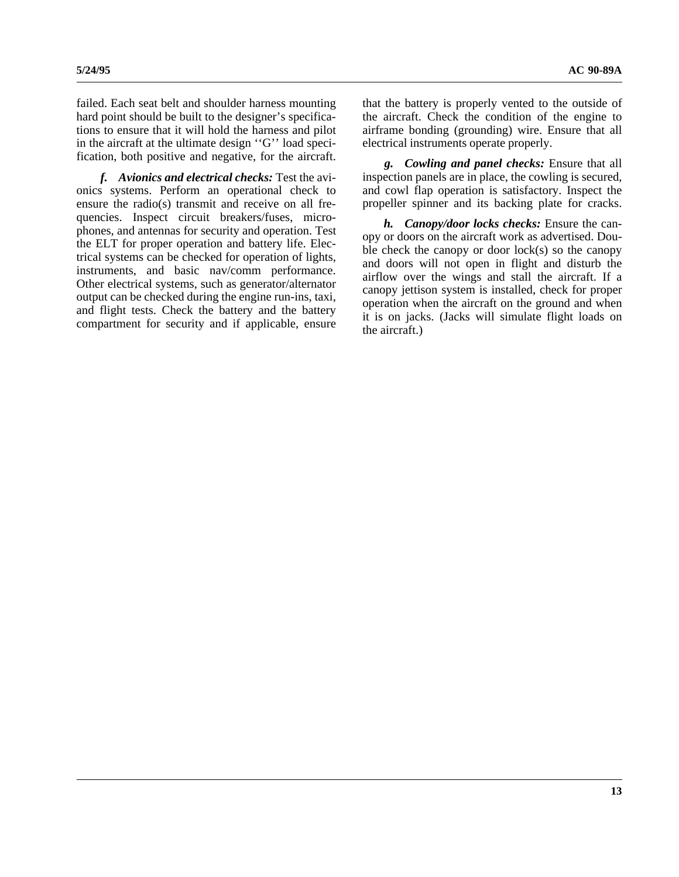failed. Each seat belt and shoulder harness mounting hard point should be built to the designer's specifications to ensure that it will hold the harness and pilot in the aircraft at the ultimate design ''G'' load specification, both positive and negative, for the aircraft.

*f. Avionics and electrical checks:* Test the avionics systems. Perform an operational check to ensure the radio(s) transmit and receive on all frequencies. Inspect circuit breakers/fuses, microphones, and antennas for security and operation. Test the ELT for proper operation and battery life. Electrical systems can be checked for operation of lights, instruments, and basic nav/comm performance. Other electrical systems, such as generator/alternator output can be checked during the engine run-ins, taxi, and flight tests. Check the battery and the battery compartment for security and if applicable, ensure that the battery is properly vented to the outside of the aircraft. Check the condition of the engine to airframe bonding (grounding) wire. Ensure that all electrical instruments operate properly.

*g. Cowling and panel checks:* Ensure that all inspection panels are in place, the cowling is secured, and cowl flap operation is satisfactory. Inspect the propeller spinner and its backing plate for cracks.

*h. Canopy/door locks checks:* Ensure the canopy or doors on the aircraft work as advertised. Double check the canopy or door lock(s) so the canopy and doors will not open in flight and disturb the airflow over the wings and stall the aircraft. If a canopy jettison system is installed, check for proper operation when the aircraft on the ground and when it is on jacks. (Jacks will simulate flight loads on the aircraft.)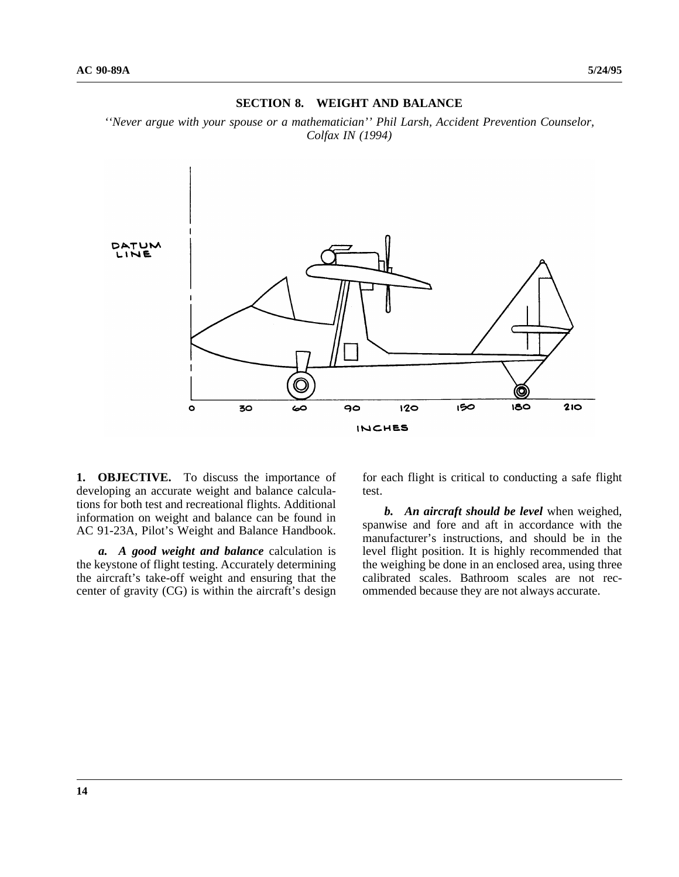## **SECTION 8. WEIGHT AND BALANCE**

*''Never argue with your spouse or a mathematician'' Phil Larsh, Accident Prevention Counselor, Colfax IN (1994)*



**1. OBJECTIVE.** To discuss the importance of developing an accurate weight and balance calculations for both test and recreational flights. Additional information on weight and balance can be found in AC 91-23A, Pilot's Weight and Balance Handbook.

*a. A good weight and balance* calculation is the keystone of flight testing. Accurately determining the aircraft's take-off weight and ensuring that the center of gravity (CG) is within the aircraft's design for each flight is critical to conducting a safe flight test.

*b. An aircraft should be level* when weighed, spanwise and fore and aft in accordance with the manufacturer's instructions, and should be in the level flight position. It is highly recommended that the weighing be done in an enclosed area, using three calibrated scales. Bathroom scales are not recommended because they are not always accurate.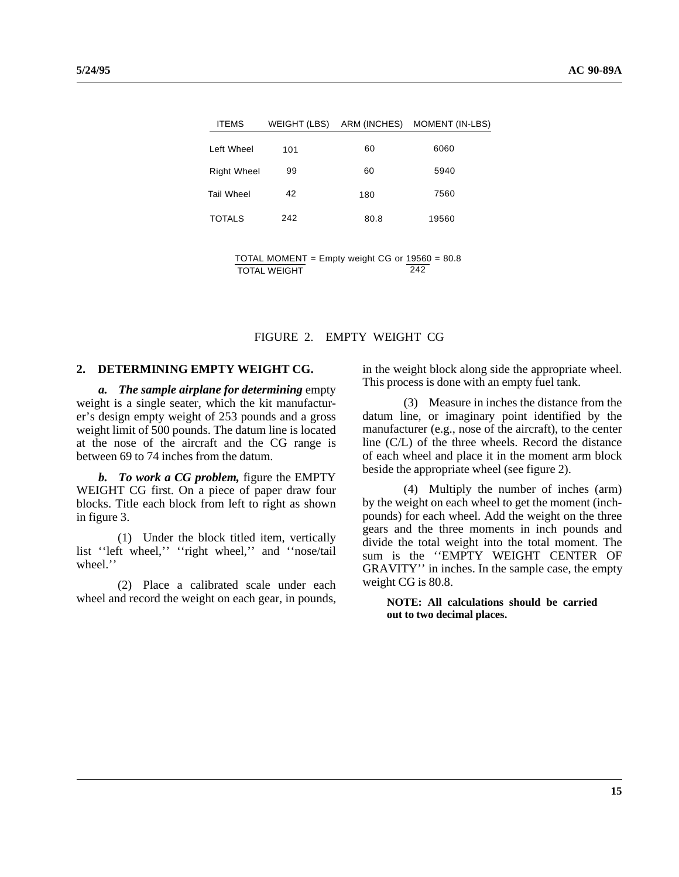| <b>ITEMS</b>       | <b>WEIGHT (LBS)</b> | ARM (INCHES) | MOMENT (IN-LBS) |  |
|--------------------|---------------------|--------------|-----------------|--|
| Left Wheel         | 101                 | 60           | 6060            |  |
| <b>Right Wheel</b> | 99                  | 60           | 5940            |  |
| Tail Wheel         | 42                  | 180          | 7560            |  |
| <b>TOTALS</b>      | 242                 | 80.8         | 19560           |  |
|                    |                     |              |                 |  |

TOTAL MOMENT = Empty weight CG or 19560 = 80.8 TOTAL WEIGHT 242

#### FIGURE 2. EMPTY WEIGHT CG

#### **2. DETERMINING EMPTY WEIGHT CG.**

*a. The sample airplane for determining* empty weight is a single seater, which the kit manufacturer's design empty weight of 253 pounds and a gross weight limit of 500 pounds. The datum line is located at the nose of the aircraft and the CG range is between 69 to 74 inches from the datum.

*b. To work a CG problem,* figure the EMPTY WEIGHT CG first. On a piece of paper draw four blocks. Title each block from left to right as shown in figure 3.

(1) Under the block titled item, vertically list "left wheel," "right wheel," and "nose/tail wheel.''

(2) Place a calibrated scale under each wheel and record the weight on each gear, in pounds, in the weight block along side the appropriate wheel. This process is done with an empty fuel tank.

(3) Measure in inches the distance from the datum line, or imaginary point identified by the manufacturer (e.g., nose of the aircraft), to the center line (C/L) of the three wheels. Record the distance of each wheel and place it in the moment arm block beside the appropriate wheel (see figure 2).

(4) Multiply the number of inches (arm) by the weight on each wheel to get the moment (inchpounds) for each wheel. Add the weight on the three gears and the three moments in inch pounds and divide the total weight into the total moment. The sum is the ''EMPTY WEIGHT CENTER OF GRAVITY'' in inches. In the sample case, the empty weight CG is 80.8.

**NOTE: All calculations should be carried out to two decimal places.**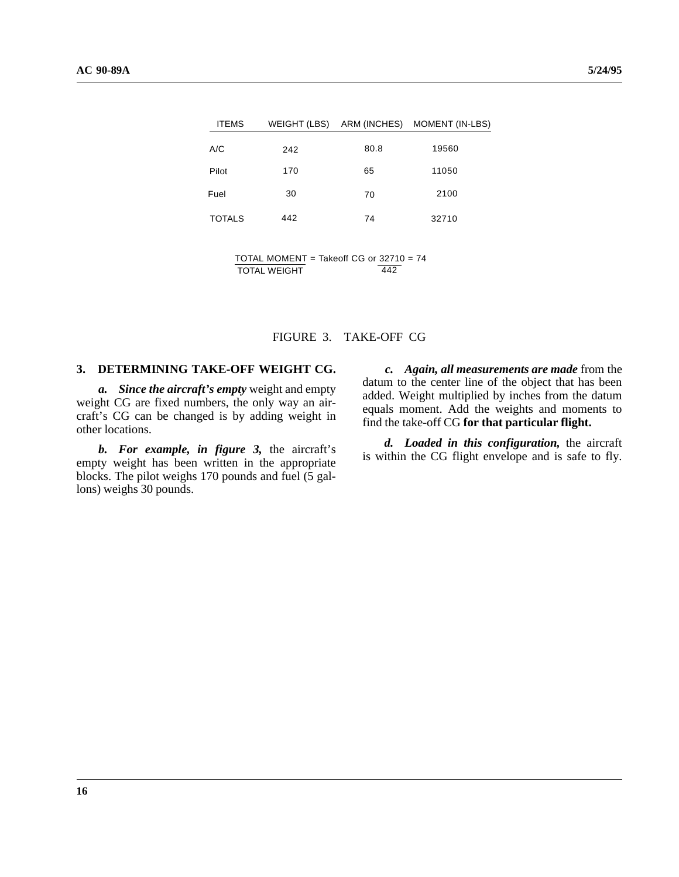| <b>ITEMS</b>  | WEIGHT (LBS) |      | ARM (INCHES) MOMENT (IN-LBS) |
|---------------|--------------|------|------------------------------|
| A/C           | 242          | 80.8 | 19560                        |
| Pilot         | 170          | 65   | 11050                        |
| Fuel          | 30           | 70   | 2100                         |
| <b>TOTALS</b> | 442          | 74   | 32710                        |

TOTAL MOMENT = Takeoff CG or 32710 = 74 TOTAL WEIGHT 442

#### FIGURE 3. TAKE-OFF CG

#### **3. DETERMINING TAKE-OFF WEIGHT CG.**

*a. Since the aircraft's empty* weight and empty weight CG are fixed numbers, the only way an aircraft's CG can be changed is by adding weight in other locations.

*b. For example, in figure 3,* the aircraft's empty weight has been written in the appropriate blocks. The pilot weighs 170 pounds and fuel (5 gallons) weighs 30 pounds.

*c. Again, all measurements are made* from the datum to the center line of the object that has been added. Weight multiplied by inches from the datum equals moment. Add the weights and moments to find the take-off CG **for that particular flight.**

*d. Loaded in this configuration,* the aircraft is within the CG flight envelope and is safe to fly.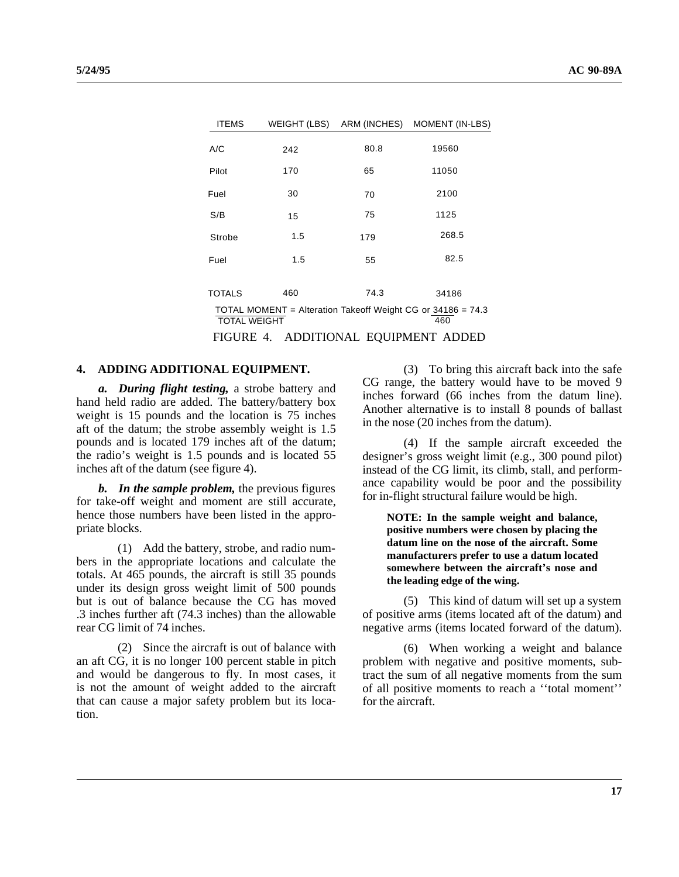| <b>ITEMS</b>                                                                              | WEIGHT (LBS) | ARM (INCHES) | MOMENT (IN-LBS)                      |
|-------------------------------------------------------------------------------------------|--------------|--------------|--------------------------------------|
| A/C                                                                                       | 242          | 80.8         | 19560                                |
| Pilot                                                                                     | 170          | 65           | 11050                                |
| Fuel                                                                                      | 30           | 70           | 2100                                 |
| S/B                                                                                       | 15           | 75           | 1125                                 |
| Strobe                                                                                    | 1.5          | 179          | 268.5                                |
| Fuel                                                                                      | 1.5          | 55           | 82.5                                 |
| <b>TOTALS</b>                                                                             | 460          | 74.3         | 34186                                |
| TOTAL MOMENT = Alteration Takeoff Weight CG or 34186 = 74.3<br><b>TOTAL WEIGHT</b><br>460 |              |              |                                      |
|                                                                                           |              |              | FIGURE 4. ADDITIONAL EQUIPMENT ADDED |

#### **4. ADDING ADDITIONAL EQUIPMENT.**

*a. During flight testing,* a strobe battery and hand held radio are added. The battery/battery box weight is 15 pounds and the location is 75 inches aft of the datum; the strobe assembly weight is 1.5 pounds and is located 179 inches aft of the datum; the radio's weight is 1.5 pounds and is located 55 inches aft of the datum (see figure 4).

*b. In the sample problem,* the previous figures for take-off weight and moment are still accurate, hence those numbers have been listed in the appropriate blocks.

(1) Add the battery, strobe, and radio numbers in the appropriate locations and calculate the totals. At 465 pounds, the aircraft is still 35 pounds under its design gross weight limit of 500 pounds but is out of balance because the CG has moved .3 inches further aft (74.3 inches) than the allowable rear CG limit of 74 inches.

(2) Since the aircraft is out of balance with an aft CG, it is no longer 100 percent stable in pitch and would be dangerous to fly. In most cases, it is not the amount of weight added to the aircraft that can cause a major safety problem but its location.

(3) To bring this aircraft back into the safe CG range, the battery would have to be moved 9 inches forward (66 inches from the datum line). Another alternative is to install 8 pounds of ballast in the nose (20 inches from the datum).

(4) If the sample aircraft exceeded the designer's gross weight limit (e.g., 300 pound pilot) instead of the CG limit, its climb, stall, and performance capability would be poor and the possibility for in-flight structural failure would be high.

**NOTE: In the sample weight and balance, positive numbers were chosen by placing the datum line on the nose of the aircraft. Some manufacturers prefer to use a datum located somewhere between the aircraft's nose and the leading edge of the wing.**

(5) This kind of datum will set up a system of positive arms (items located aft of the datum) and negative arms (items located forward of the datum).

(6) When working a weight and balance problem with negative and positive moments, subtract the sum of all negative moments from the sum of all positive moments to reach a ''total moment'' for the aircraft.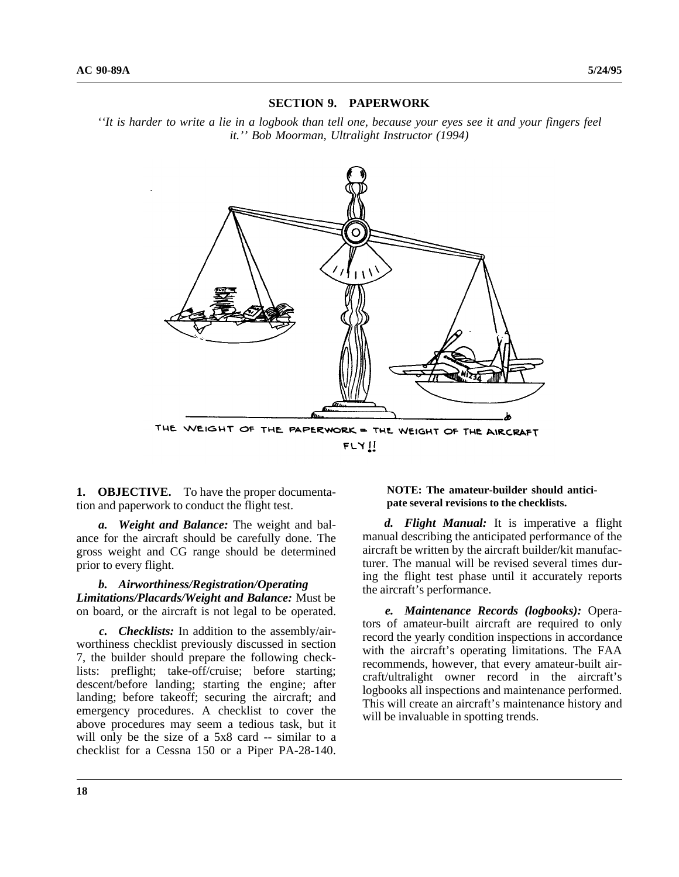#### **SECTION 9. PAPERWORK**

*''It is harder to write a lie in a logbook than tell one, because your eyes see it and your fingers feel it.'' Bob Moorman, Ultralight Instructor (1994)*



THE WEIGHT OF THE PAPERWORK = THE WEIGHT OF THE AIRCRAFT FLY !!

**1. OBJECTIVE.** To have the proper documentation and paperwork to conduct the flight test.

*a. Weight and Balance:* The weight and balance for the aircraft should be carefully done. The gross weight and CG range should be determined prior to every flight.

#### *b. Airworthiness/Registration/Operating Limitations/Placards/Weight and Balance:* Must be on board, or the aircraft is not legal to be operated.

*c. Checklists:* In addition to the assembly/airworthiness checklist previously discussed in section 7, the builder should prepare the following checklists: preflight; take-off/cruise; before starting; descent/before landing; starting the engine; after landing; before takeoff; securing the aircraft; and emergency procedures. A checklist to cover the above procedures may seem a tedious task, but it will only be the size of a 5x8 card -- similar to a checklist for a Cessna 150 or a Piper PA-28-140.

#### **NOTE: The amateur-builder should anticipate several revisions to the checklists.**

*d. Flight Manual:* It is imperative a flight manual describing the anticipated performance of the aircraft be written by the aircraft builder/kit manufacturer. The manual will be revised several times during the flight test phase until it accurately reports the aircraft's performance.

*e. Maintenance Records (logbooks):* Operators of amateur-built aircraft are required to only record the yearly condition inspections in accordance with the aircraft's operating limitations. The FAA recommends, however, that every amateur-built aircraft/ultralight owner record in the aircraft's logbooks all inspections and maintenance performed. This will create an aircraft's maintenance history and will be invaluable in spotting trends.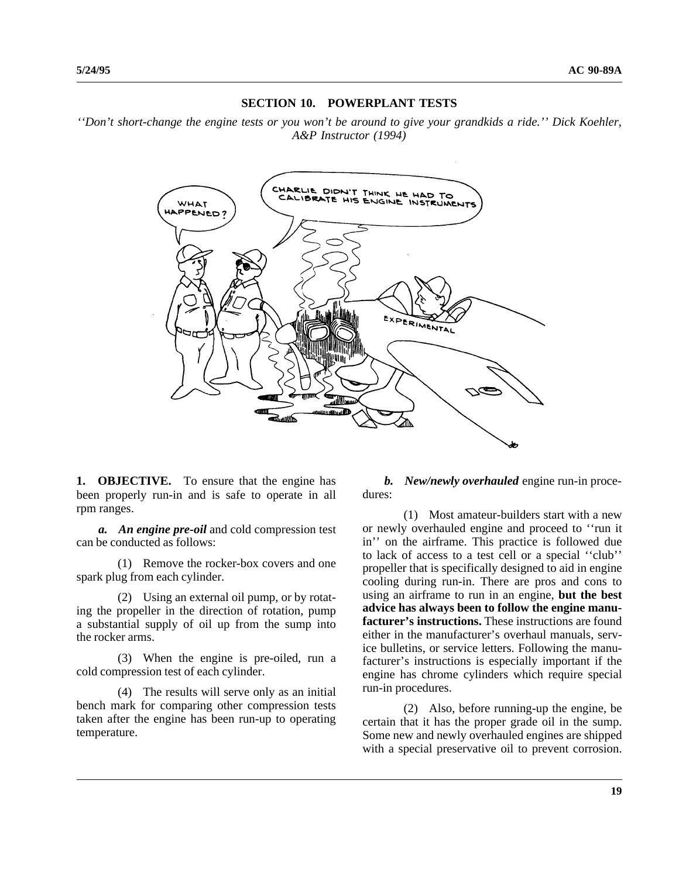#### **SECTION 10. POWERPLANT TESTS**

*''Don't short-change the engine tests or you won't be around to give your grandkids a ride.'' Dick Koehler, A&P Instructor (1994)*



**1. OBJECTIVE.** To ensure that the engine has been properly run-in and is safe to operate in all rpm ranges.

*a. An engine pre-oil* and cold compression test can be conducted as follows:

(1) Remove the rocker-box covers and one spark plug from each cylinder.

(2) Using an external oil pump, or by rotating the propeller in the direction of rotation, pump a substantial supply of oil up from the sump into the rocker arms.

(3) When the engine is pre-oiled, run a cold compression test of each cylinder.

(4) The results will serve only as an initial bench mark for comparing other compression tests taken after the engine has been run-up to operating temperature.

*b. New/newly overhauled* engine run-in procedures:

(1) Most amateur-builders start with a new or newly overhauled engine and proceed to ''run it in'' on the airframe. This practice is followed due to lack of access to a test cell or a special ''club'' propeller that is specifically designed to aid in engine cooling during run-in. There are pros and cons to using an airframe to run in an engine, **but the best advice has always been to follow the engine manufacturer's instructions.** These instructions are found either in the manufacturer's overhaul manuals, service bulletins, or service letters. Following the manufacturer's instructions is especially important if the engine has chrome cylinders which require special run-in procedures.

(2) Also, before running-up the engine, be certain that it has the proper grade oil in the sump. Some new and newly overhauled engines are shipped with a special preservative oil to prevent corrosion.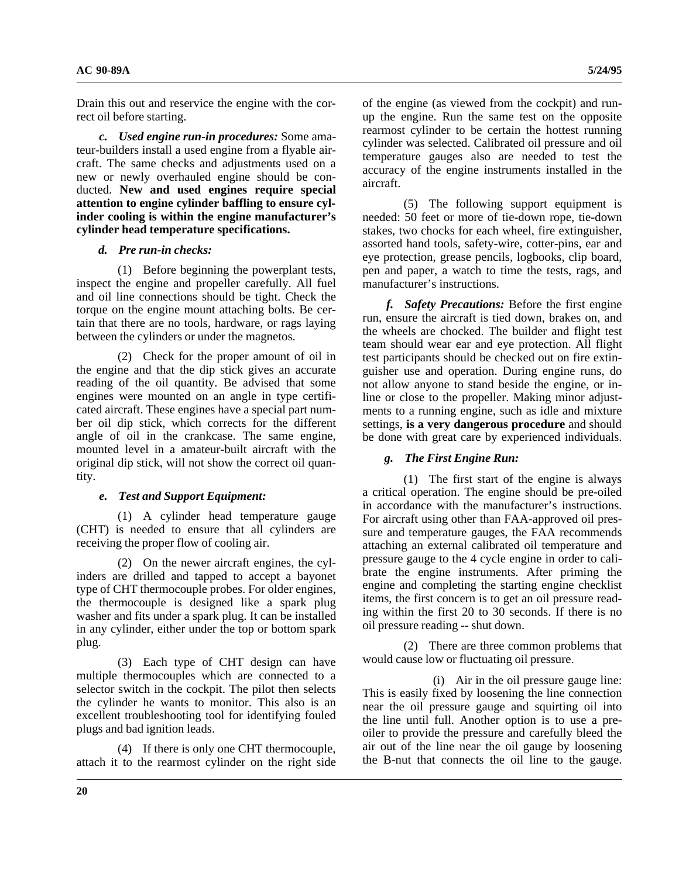Drain this out and reservice the engine with the correct oil before starting.

*c. Used engine run-in procedures:* Some amateur-builders install a used engine from a flyable aircraft. The same checks and adjustments used on a new or newly overhauled engine should be conducted. **New and used engines require special attention to engine cylinder baffling to ensure cylinder cooling is within the engine manufacturer's cylinder head temperature specifications.**

#### *d. Pre run-in checks:*

(1) Before beginning the powerplant tests, inspect the engine and propeller carefully. All fuel and oil line connections should be tight. Check the torque on the engine mount attaching bolts. Be certain that there are no tools, hardware, or rags laying between the cylinders or under the magnetos.

(2) Check for the proper amount of oil in the engine and that the dip stick gives an accurate reading of the oil quantity. Be advised that some engines were mounted on an angle in type certificated aircraft. These engines have a special part number oil dip stick, which corrects for the different angle of oil in the crankcase. The same engine, mounted level in a amateur-built aircraft with the original dip stick, will not show the correct oil quantity.

#### *e. Test and Support Equipment:*

(1) A cylinder head temperature gauge (CHT) is needed to ensure that all cylinders are receiving the proper flow of cooling air.

(2) On the newer aircraft engines, the cylinders are drilled and tapped to accept a bayonet type of CHT thermocouple probes. For older engines, the thermocouple is designed like a spark plug washer and fits under a spark plug. It can be installed in any cylinder, either under the top or bottom spark plug.

(3) Each type of CHT design can have multiple thermocouples which are connected to a selector switch in the cockpit. The pilot then selects the cylinder he wants to monitor. This also is an excellent troubleshooting tool for identifying fouled plugs and bad ignition leads.

(4) If there is only one CHT thermocouple, attach it to the rearmost cylinder on the right side of the engine (as viewed from the cockpit) and runup the engine. Run the same test on the opposite rearmost cylinder to be certain the hottest running cylinder was selected. Calibrated oil pressure and oil temperature gauges also are needed to test the accuracy of the engine instruments installed in the aircraft.

(5) The following support equipment is needed: 50 feet or more of tie-down rope, tie-down stakes, two chocks for each wheel, fire extinguisher, assorted hand tools, safety-wire, cotter-pins, ear and eye protection, grease pencils, logbooks, clip board, pen and paper, a watch to time the tests, rags, and manufacturer's instructions.

*f. Safety Precautions:* Before the first engine run, ensure the aircraft is tied down, brakes on, and the wheels are chocked. The builder and flight test team should wear ear and eye protection. All flight test participants should be checked out on fire extinguisher use and operation. During engine runs, do not allow anyone to stand beside the engine, or inline or close to the propeller. Making minor adjustments to a running engine, such as idle and mixture settings, **is a very dangerous procedure** and should be done with great care by experienced individuals.

#### *g. The First Engine Run:*

(1) The first start of the engine is always a critical operation. The engine should be pre-oiled in accordance with the manufacturer's instructions. For aircraft using other than FAA-approved oil pressure and temperature gauges, the FAA recommends attaching an external calibrated oil temperature and pressure gauge to the 4 cycle engine in order to calibrate the engine instruments. After priming the engine and completing the starting engine checklist items, the first concern is to get an oil pressure reading within the first 20 to 30 seconds. If there is no oil pressure reading -- shut down.

(2) There are three common problems that would cause low or fluctuating oil pressure.

(i) Air in the oil pressure gauge line: This is easily fixed by loosening the line connection near the oil pressure gauge and squirting oil into the line until full. Another option is to use a preoiler to provide the pressure and carefully bleed the air out of the line near the oil gauge by loosening the B-nut that connects the oil line to the gauge.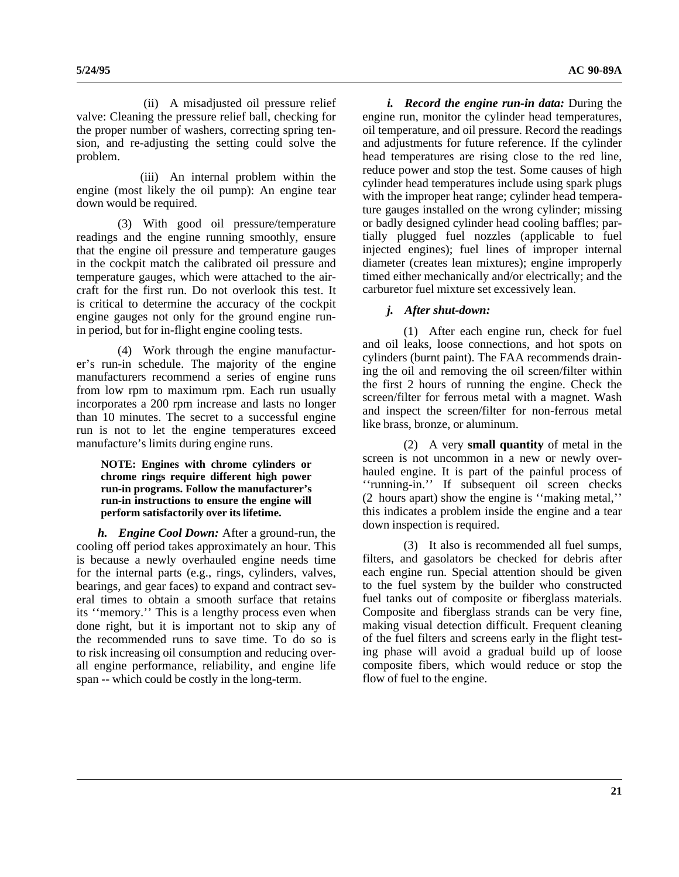(ii) A misadjusted oil pressure relief valve: Cleaning the pressure relief ball, checking for the proper number of washers, correcting spring tension, and re-adjusting the setting could solve the problem.

(iii) An internal problem within the engine (most likely the oil pump): An engine tear down would be required.

(3) With good oil pressure/temperature readings and the engine running smoothly, ensure that the engine oil pressure and temperature gauges in the cockpit match the calibrated oil pressure and temperature gauges, which were attached to the aircraft for the first run. Do not overlook this test. It is critical to determine the accuracy of the cockpit engine gauges not only for the ground engine runin period, but for in-flight engine cooling tests.

(4) Work through the engine manufacturer's run-in schedule. The majority of the engine manufacturers recommend a series of engine runs from low rpm to maximum rpm. Each run usually incorporates a 200 rpm increase and lasts no longer than 10 minutes. The secret to a successful engine run is not to let the engine temperatures exceed manufacture's limits during engine runs.

#### **NOTE: Engines with chrome cylinders or chrome rings require different high power run-in programs. Follow the manufacturer's run-in instructions to ensure the engine will perform satisfactorily over its lifetime.**

*h. Engine Cool Down:* After a ground-run, the cooling off period takes approximately an hour. This is because a newly overhauled engine needs time for the internal parts (e.g., rings, cylinders, valves, bearings, and gear faces) to expand and contract several times to obtain a smooth surface that retains its ''memory.'' This is a lengthy process even when done right, but it is important not to skip any of the recommended runs to save time. To do so is to risk increasing oil consumption and reducing overall engine performance, reliability, and engine life span -- which could be costly in the long-term.

*i. Record the engine run-in data:* During the engine run, monitor the cylinder head temperatures, oil temperature, and oil pressure. Record the readings and adjustments for future reference. If the cylinder head temperatures are rising close to the red line, reduce power and stop the test. Some causes of high cylinder head temperatures include using spark plugs with the improper heat range; cylinder head temperature gauges installed on the wrong cylinder; missing or badly designed cylinder head cooling baffles; partially plugged fuel nozzles (applicable to fuel injected engines); fuel lines of improper internal diameter (creates lean mixtures); engine improperly timed either mechanically and/or electrically; and the carburetor fuel mixture set excessively lean.

## *j. After shut-down:*

(1) After each engine run, check for fuel and oil leaks, loose connections, and hot spots on cylinders (burnt paint). The FAA recommends draining the oil and removing the oil screen/filter within the first 2 hours of running the engine. Check the screen/filter for ferrous metal with a magnet. Wash and inspect the screen/filter for non-ferrous metal like brass, bronze, or aluminum.

(2) A very **small quantity** of metal in the screen is not uncommon in a new or newly overhauled engine. It is part of the painful process of ''running-in.'' If subsequent oil screen checks (2 hours apart) show the engine is ''making metal,'' this indicates a problem inside the engine and a tear down inspection is required.

(3) It also is recommended all fuel sumps, filters, and gasolators be checked for debris after each engine run. Special attention should be given to the fuel system by the builder who constructed fuel tanks out of composite or fiberglass materials. Composite and fiberglass strands can be very fine, making visual detection difficult. Frequent cleaning of the fuel filters and screens early in the flight testing phase will avoid a gradual build up of loose composite fibers, which would reduce or stop the flow of fuel to the engine.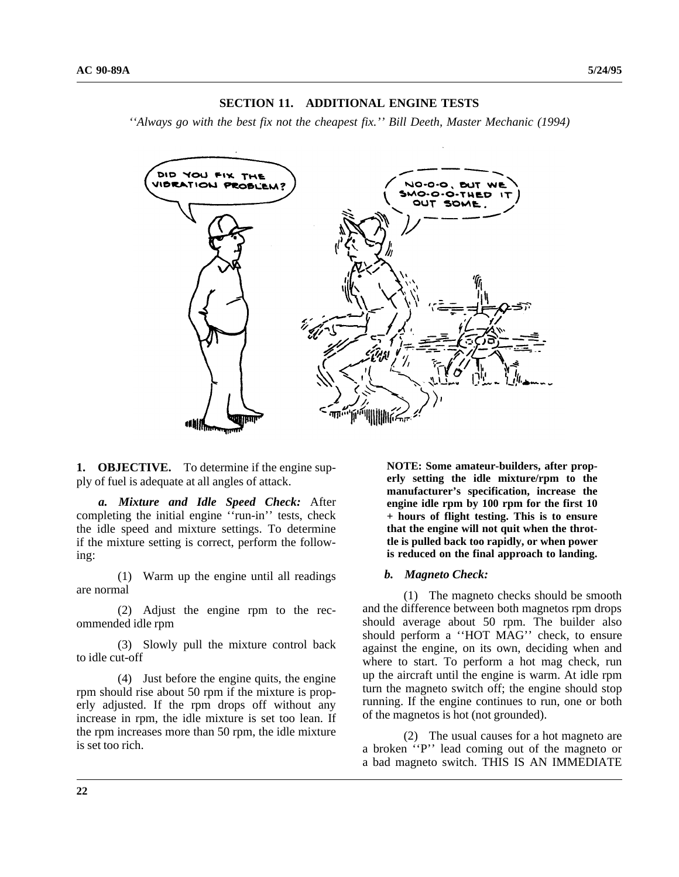### **SECTION 11. ADDITIONAL ENGINE TESTS**

*''Always go with the best fix not the cheapest fix.'' Bill Deeth, Master Mechanic (1994)*



**1. OBJECTIVE.** To determine if the engine supply of fuel is adequate at all angles of attack.

*a. Mixture and Idle Speed Check:* After completing the initial engine ''run-in'' tests, check the idle speed and mixture settings. To determine if the mixture setting is correct, perform the following:

(1) Warm up the engine until all readings are normal

(2) Adjust the engine rpm to the recommended idle rpm

(3) Slowly pull the mixture control back to idle cut-off

(4) Just before the engine quits, the engine rpm should rise about 50 rpm if the mixture is properly adjusted. If the rpm drops off without any increase in rpm, the idle mixture is set too lean. If the rpm increases more than 50 rpm, the idle mixture is set too rich.

**NOTE: Some amateur-builders, after properly setting the idle mixture/rpm to the manufacturer's specification, increase the engine idle rpm by 100 rpm for the first 10 + hours of flight testing. This is to ensure that the engine will not quit when the throttle is pulled back too rapidly, or when power is reduced on the final approach to landing.**

#### *b. Magneto Check:*

(1) The magneto checks should be smooth and the difference between both magnetos rpm drops should average about 50 rpm. The builder also should perform a ''HOT MAG'' check, to ensure against the engine, on its own, deciding when and where to start. To perform a hot mag check, run up the aircraft until the engine is warm. At idle rpm turn the magneto switch off; the engine should stop running. If the engine continues to run, one or both of the magnetos is hot (not grounded).

(2) The usual causes for a hot magneto are a broken ''P'' lead coming out of the magneto or a bad magneto switch. THIS IS AN IMMEDIATE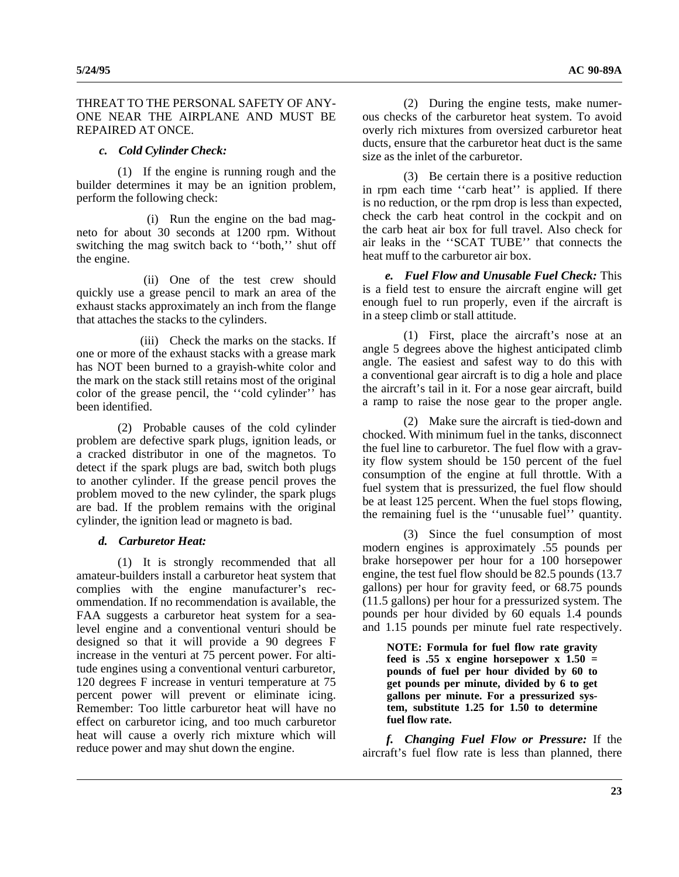#### THREAT TO THE PERSONAL SAFETY OF ANY-ONE NEAR THE AIRPLANE AND MUST BE REPAIRED AT ONCE.

#### *c. Cold Cylinder Check:*

(1) If the engine is running rough and the builder determines it may be an ignition problem, perform the following check:

(i) Run the engine on the bad magneto for about 30 seconds at 1200 rpm. Without switching the mag switch back to ''both,'' shut off the engine.

(ii) One of the test crew should quickly use a grease pencil to mark an area of the exhaust stacks approximately an inch from the flange that attaches the stacks to the cylinders.

(iii) Check the marks on the stacks. If one or more of the exhaust stacks with a grease mark has NOT been burned to a grayish-white color and the mark on the stack still retains most of the original color of the grease pencil, the ''cold cylinder'' has been identified.

(2) Probable causes of the cold cylinder problem are defective spark plugs, ignition leads, or a cracked distributor in one of the magnetos. To detect if the spark plugs are bad, switch both plugs to another cylinder. If the grease pencil proves the problem moved to the new cylinder, the spark plugs are bad. If the problem remains with the original cylinder, the ignition lead or magneto is bad.

#### *d. Carburetor Heat:*

(1) It is strongly recommended that all amateur-builders install a carburetor heat system that complies with the engine manufacturer's recommendation. If no recommendation is available, the FAA suggests a carburetor heat system for a sealevel engine and a conventional venturi should be designed so that it will provide a 90 degrees F increase in the venturi at 75 percent power. For altitude engines using a conventional venturi carburetor, 120 degrees F increase in venturi temperature at 75 percent power will prevent or eliminate icing. Remember: Too little carburetor heat will have no effect on carburetor icing, and too much carburetor heat will cause a overly rich mixture which will reduce power and may shut down the engine.

(2) During the engine tests, make numerous checks of the carburetor heat system. To avoid overly rich mixtures from oversized carburetor heat ducts, ensure that the carburetor heat duct is the same size as the inlet of the carburetor.

(3) Be certain there is a positive reduction in rpm each time ''carb heat'' is applied. If there is no reduction, or the rpm drop is less than expected, check the carb heat control in the cockpit and on the carb heat air box for full travel. Also check for air leaks in the ''SCAT TUBE'' that connects the heat muff to the carburetor air box.

*e. Fuel Flow and Unusable Fuel Check:* This is a field test to ensure the aircraft engine will get enough fuel to run properly, even if the aircraft is in a steep climb or stall attitude.

(1) First, place the aircraft's nose at an angle 5 degrees above the highest anticipated climb angle. The easiest and safest way to do this with a conventional gear aircraft is to dig a hole and place the aircraft's tail in it. For a nose gear aircraft, build a ramp to raise the nose gear to the proper angle.

(2) Make sure the aircraft is tied-down and chocked. With minimum fuel in the tanks, disconnect the fuel line to carburetor. The fuel flow with a gravity flow system should be 150 percent of the fuel consumption of the engine at full throttle. With a fuel system that is pressurized, the fuel flow should be at least 125 percent. When the fuel stops flowing, the remaining fuel is the ''unusable fuel'' quantity.

(3) Since the fuel consumption of most modern engines is approximately .55 pounds per brake horsepower per hour for a 100 horsepower engine, the test fuel flow should be 82.5 pounds (13.7 gallons) per hour for gravity feed, or 68.75 pounds (11.5 gallons) per hour for a pressurized system. The pounds per hour divided by 60 equals 1.4 pounds and 1.15 pounds per minute fuel rate respectively.

**NOTE: Formula for fuel flow rate gravity feed is .55 x engine horsepower x 1.50 = pounds of fuel per hour divided by 60 to get pounds per minute, divided by 6 to get gallons per minute. For a pressurized system, substitute 1.25 for 1.50 to determine fuel flow rate.**

*f. Changing Fuel Flow or Pressure:* If the aircraft's fuel flow rate is less than planned, there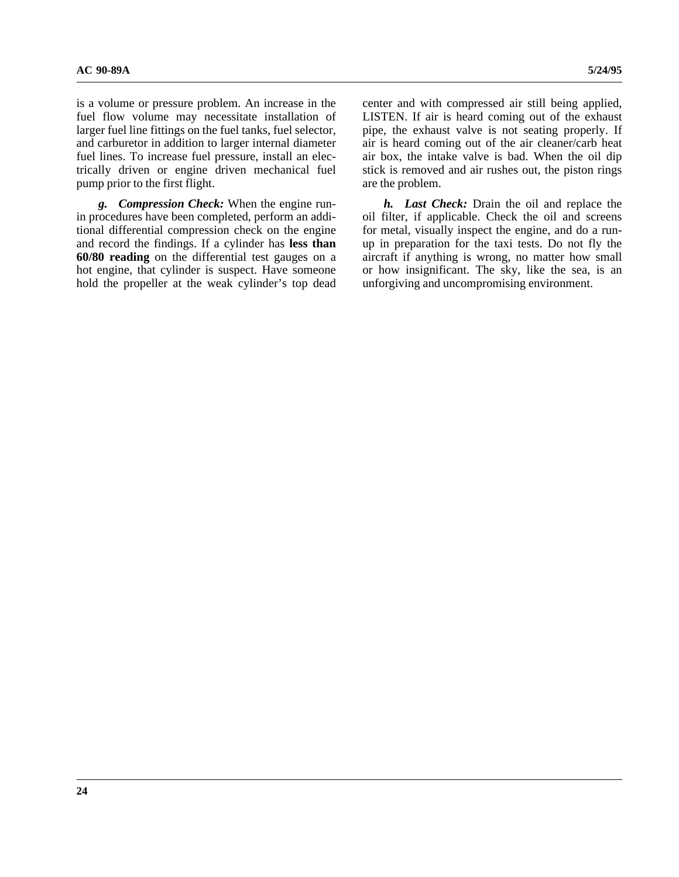is a volume or pressure problem. An increase in the fuel flow volume may necessitate installation of larger fuel line fittings on the fuel tanks, fuel selector, and carburetor in addition to larger internal diameter fuel lines. To increase fuel pressure, install an electrically driven or engine driven mechanical fuel pump prior to the first flight.

*g. Compression Check:* When the engine runin procedures have been completed, perform an additional differential compression check on the engine and record the findings. If a cylinder has **less than 60/80 reading** on the differential test gauges on a hot engine, that cylinder is suspect. Have someone hold the propeller at the weak cylinder's top dead

center and with compressed air still being applied, LISTEN. If air is heard coming out of the exhaust pipe, the exhaust valve is not seating properly. If air is heard coming out of the air cleaner/carb heat air box, the intake valve is bad. When the oil dip stick is removed and air rushes out, the piston rings are the problem.

*h. Last Check:* Drain the oil and replace the oil filter, if applicable. Check the oil and screens for metal, visually inspect the engine, and do a runup in preparation for the taxi tests. Do not fly the aircraft if anything is wrong, no matter how small or how insignificant. The sky, like the sea, is an unforgiving and uncompromising environment.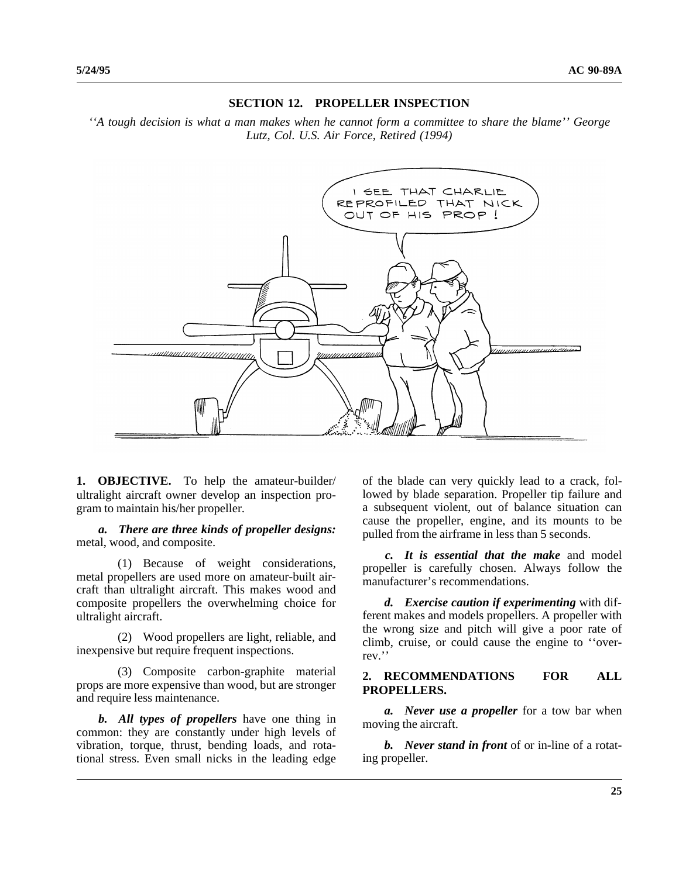### **SECTION 12. PROPELLER INSPECTION**

*''A tough decision is what a man makes when he cannot form a committee to share the blame'' George Lutz, Col. U.S. Air Force, Retired (1994)*



**1. OBJECTIVE.** To help the amateur-builder/ ultralight aircraft owner develop an inspection program to maintain his/her propeller.

*a. There are three kinds of propeller designs:* metal, wood, and composite.

(1) Because of weight considerations, metal propellers are used more on amateur-built aircraft than ultralight aircraft. This makes wood and composite propellers the overwhelming choice for ultralight aircraft.

(2) Wood propellers are light, reliable, and inexpensive but require frequent inspections.

(3) Composite carbon-graphite material props are more expensive than wood, but are stronger and require less maintenance.

*b. All types of propellers* have one thing in common: they are constantly under high levels of vibration, torque, thrust, bending loads, and rotational stress. Even small nicks in the leading edge

of the blade can very quickly lead to a crack, followed by blade separation. Propeller tip failure and a subsequent violent, out of balance situation can cause the propeller, engine, and its mounts to be pulled from the airframe in less than 5 seconds.

*c. It is essential that the make* and model propeller is carefully chosen. Always follow the manufacturer's recommendations.

*d. Exercise caution if experimenting* with different makes and models propellers. A propeller with the wrong size and pitch will give a poor rate of climb, cruise, or could cause the engine to ''overrev.''

#### **2. RECOMMENDATIONS FOR ALL PROPELLERS.**

*a. Never use a propeller* for a tow bar when moving the aircraft.

*b. Never stand in front* of or in-line of a rotating propeller.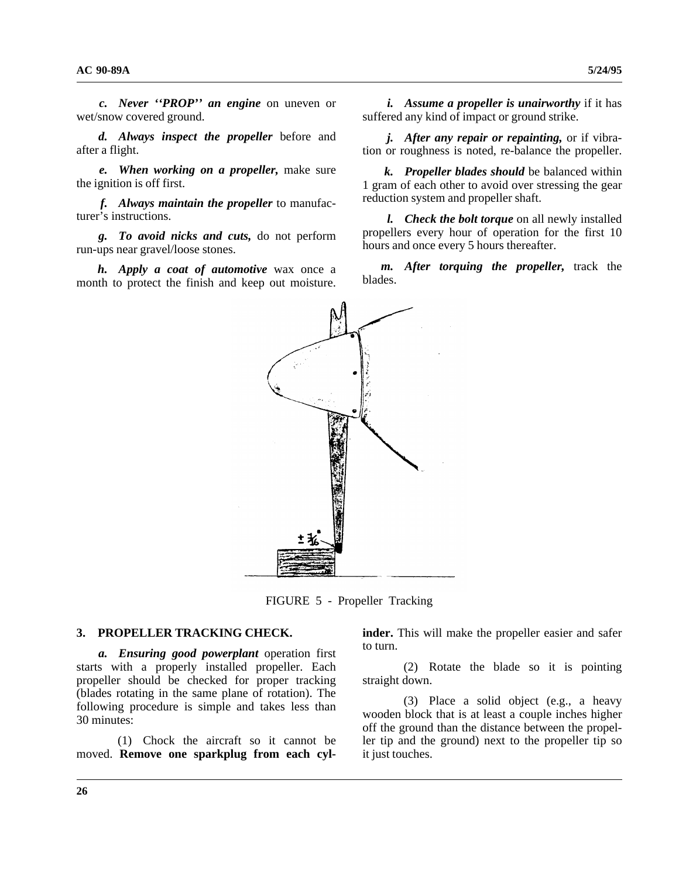*c. Never ''PROP'' an engine* on uneven or wet/snow covered ground.

*d. Always inspect the propeller* before and after a flight.

*e. When working on a propeller,* make sure the ignition is off first.

*f. Always maintain the propeller* to manufacturer's instructions.

*g. To avoid nicks and cuts,* do not perform run-ups near gravel/loose stones.

*h. Apply a coat of automotive* wax once a month to protect the finish and keep out moisture.

*i. Assume a propeller is unairworthy* if it has suffered any kind of impact or ground strike.

*j. After any repair or repainting,* or if vibration or roughness is noted, re-balance the propeller.

*k. Propeller blades should* be balanced within 1 gram of each other to avoid over stressing the gear reduction system and propeller shaft.

*l. Check the bolt torque* on all newly installed propellers every hour of operation for the first 10 hours and once every 5 hours thereafter.

*m. After torquing the propeller,* track the blades.

FIGURE 5 - Propeller Tracking

**3. PROPELLER TRACKING CHECK.**

*a. Ensuring good powerplant* operation first starts with a properly installed propeller. Each propeller should be checked for proper tracking (blades rotating in the same plane of rotation). The following procedure is simple and takes less than 30 minutes:

(1) Chock the aircraft so it cannot be moved. **Remove one sparkplug from each cyl-** **inder.** This will make the propeller easier and safer to turn.

(2) Rotate the blade so it is pointing straight down.

(3) Place a solid object (e.g., a heavy wooden block that is at least a couple inches higher off the ground than the distance between the propeller tip and the ground) next to the propeller tip so it just touches.

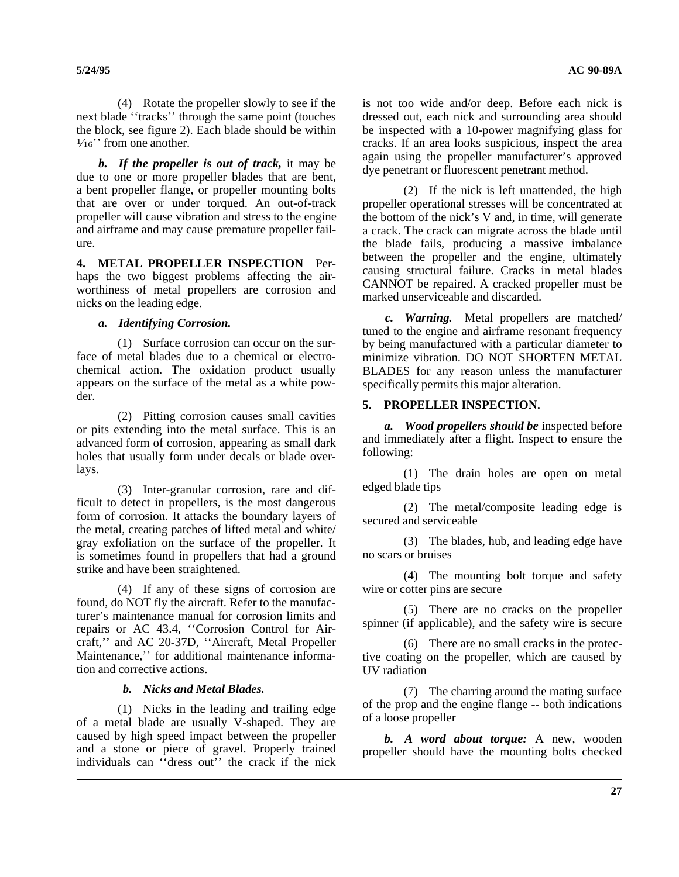(4) Rotate the propeller slowly to see if the next blade ''tracks'' through the same point (touches the block, see figure 2). Each blade should be within  $\frac{1}{16}$ <sup>3</sup> from one another.

*b. If the propeller is out of track,* it may be due to one or more propeller blades that are bent, a bent propeller flange, or propeller mounting bolts that are over or under torqued. An out-of-track propeller will cause vibration and stress to the engine and airframe and may cause premature propeller failure.

**4. METAL PROPELLER INSPECTION** Perhaps the two biggest problems affecting the airworthiness of metal propellers are corrosion and nicks on the leading edge.

*a. Identifying Corrosion.*

(1) Surface corrosion can occur on the surface of metal blades due to a chemical or electrochemical action. The oxidation product usually appears on the surface of the metal as a white powder.

(2) Pitting corrosion causes small cavities or pits extending into the metal surface. This is an advanced form of corrosion, appearing as small dark holes that usually form under decals or blade overlays.

(3) Inter-granular corrosion, rare and difficult to detect in propellers, is the most dangerous form of corrosion. It attacks the boundary layers of the metal, creating patches of lifted metal and white/ gray exfoliation on the surface of the propeller. It is sometimes found in propellers that had a ground strike and have been straightened.

(4) If any of these signs of corrosion are found, do NOT fly the aircraft. Refer to the manufacturer's maintenance manual for corrosion limits and repairs or AC 43.4, ''Corrosion Control for Aircraft,'' and AC 20-37D, ''Aircraft, Metal Propeller Maintenance,'' for additional maintenance information and corrective actions.

#### *b. Nicks and Metal Blades.*

(1) Nicks in the leading and trailing edge of a metal blade are usually V-shaped. They are caused by high speed impact between the propeller and a stone or piece of gravel. Properly trained individuals can ''dress out'' the crack if the nick

is not too wide and/or deep. Before each nick is dressed out, each nick and surrounding area should be inspected with a 10-power magnifying glass for cracks. If an area looks suspicious, inspect the area again using the propeller manufacturer's approved dye penetrant or fluorescent penetrant method.

(2) If the nick is left unattended, the high propeller operational stresses will be concentrated at the bottom of the nick's V and, in time, will generate a crack. The crack can migrate across the blade until the blade fails, producing a massive imbalance between the propeller and the engine, ultimately causing structural failure. Cracks in metal blades CANNOT be repaired. A cracked propeller must be marked unserviceable and discarded.

*c. Warning.* Metal propellers are matched/ tuned to the engine and airframe resonant frequency by being manufactured with a particular diameter to minimize vibration. DO NOT SHORTEN METAL BLADES for any reason unless the manufacturer specifically permits this major alteration.

#### **5. PROPELLER INSPECTION.**

*a. Wood propellers should be* inspected before and immediately after a flight. Inspect to ensure the following:

(1) The drain holes are open on metal edged blade tips

(2) The metal/composite leading edge is secured and serviceable

(3) The blades, hub, and leading edge have no scars or bruises

(4) The mounting bolt torque and safety wire or cotter pins are secure

(5) There are no cracks on the propeller spinner (if applicable), and the safety wire is secure

(6) There are no small cracks in the protective coating on the propeller, which are caused by UV radiation

(7) The charring around the mating surface of the prop and the engine flange -- both indications of a loose propeller

*b. A word about torque:* A new, wooden propeller should have the mounting bolts checked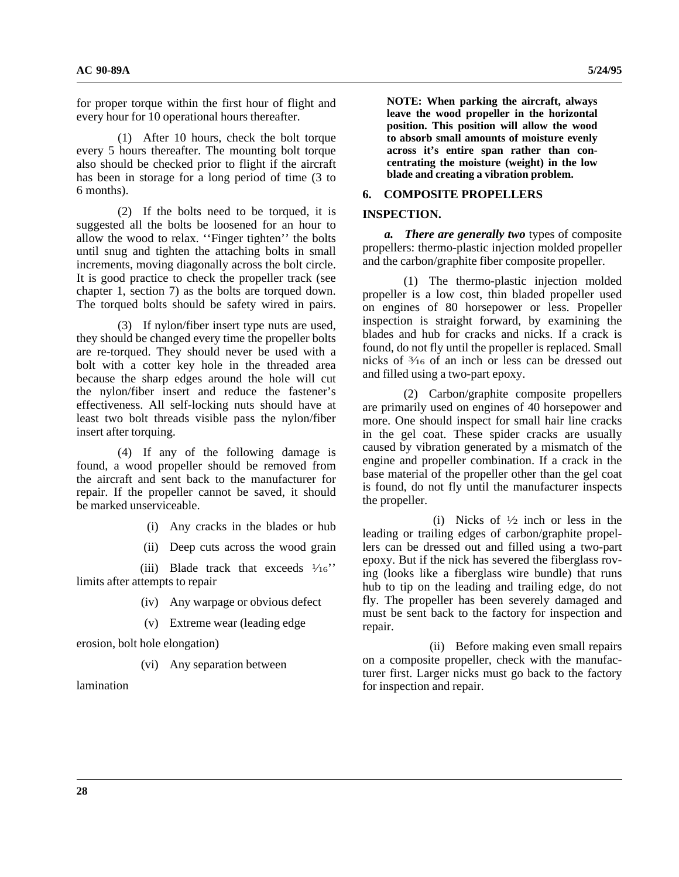for proper torque within the first hour of flight and every hour for 10 operational hours thereafter.

(1) After 10 hours, check the bolt torque every 5 hours thereafter. The mounting bolt torque also should be checked prior to flight if the aircraft has been in storage for a long period of time (3 to 6 months).

(2) If the bolts need to be torqued, it is suggested all the bolts be loosened for an hour to allow the wood to relax. ''Finger tighten'' the bolts until snug and tighten the attaching bolts in small increments, moving diagonally across the bolt circle. It is good practice to check the propeller track (see chapter 1, section 7) as the bolts are torqued down. The torqued bolts should be safety wired in pairs.

(3) If nylon/fiber insert type nuts are used, they should be changed every time the propeller bolts are re-torqued. They should never be used with a bolt with a cotter key hole in the threaded area because the sharp edges around the hole will cut the nylon/fiber insert and reduce the fastener's effectiveness. All self-locking nuts should have at least two bolt threads visible pass the nylon/fiber insert after torquing.

(4) If any of the following damage is found, a wood propeller should be removed from the aircraft and sent back to the manufacturer for repair. If the propeller cannot be saved, it should be marked unserviceable.

(i) Any cracks in the blades or hub

(ii) Deep cuts across the wood grain

(iii) Blade track that exceeds  $\frac{1}{16}$ " limits after attempts to repair

(iv) Any warpage or obvious defect

(v) Extreme wear (leading edge

erosion, bolt hole elongation)

(vi) Any separation between

lamination

**NOTE: When parking the aircraft, always leave the wood propeller in the horizontal position. This position will allow the wood to absorb small amounts of moisture evenly across it's entire span rather than concentrating the moisture (weight) in the low blade and creating a vibration problem.**

#### **6. COMPOSITE PROPELLERS**

#### **INSPECTION.**

*a. There are generally two* types of composite propellers: thermo-plastic injection molded propeller and the carbon/graphite fiber composite propeller.

(1) The thermo-plastic injection molded propeller is a low cost, thin bladed propeller used on engines of 80 horsepower or less. Propeller inspection is straight forward, by examining the blades and hub for cracks and nicks. If a crack is found, do not fly until the propeller is replaced. Small nicks of 3⁄16 of an inch or less can be dressed out and filled using a two-part epoxy.

(2) Carbon/graphite composite propellers are primarily used on engines of 40 horsepower and more. One should inspect for small hair line cracks in the gel coat. These spider cracks are usually caused by vibration generated by a mismatch of the engine and propeller combination. If a crack in the base material of the propeller other than the gel coat is found, do not fly until the manufacturer inspects the propeller.

(i) Nicks of  $\frac{1}{2}$  inch or less in the leading or trailing edges of carbon/graphite propellers can be dressed out and filled using a two-part epoxy. But if the nick has severed the fiberglass roving (looks like a fiberglass wire bundle) that runs hub to tip on the leading and trailing edge, do not fly. The propeller has been severely damaged and must be sent back to the factory for inspection and repair.

(ii) Before making even small repairs on a composite propeller, check with the manufacturer first. Larger nicks must go back to the factory for inspection and repair.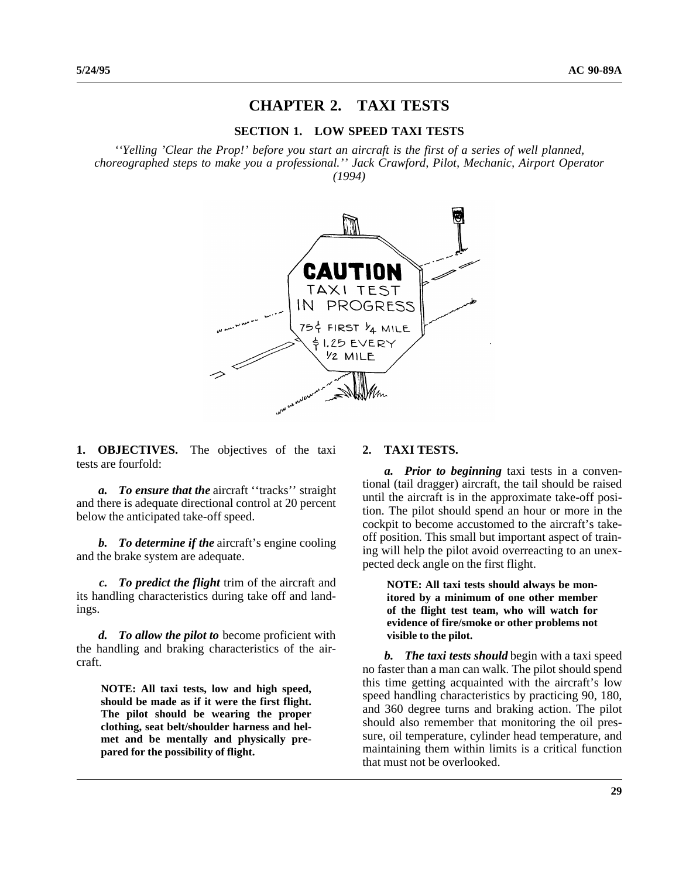# **CHAPTER 2. TAXI TESTS**

#### **SECTION 1. LOW SPEED TAXI TESTS**

*''Yelling 'Clear the Prop!' before you start an aircraft is the first of a series of well planned, choreographed steps to make you a professional.'' Jack Crawford, Pilot, Mechanic, Airport Operator (1994)*



**1. OBJECTIVES.** The objectives of the taxi tests are fourfold:

*a. To ensure that the* aircraft ''tracks'' straight and there is adequate directional control at 20 percent below the anticipated take-off speed.

*b. To determine if the* aircraft's engine cooling and the brake system are adequate.

*c. To predict the flight* trim of the aircraft and its handling characteristics during take off and landings.

*d. To allow the pilot to* become proficient with the handling and braking characteristics of the aircraft.

**NOTE: All taxi tests, low and high speed, should be made as if it were the first flight. The pilot should be wearing the proper clothing, seat belt/shoulder harness and helmet and be mentally and physically prepared for the possibility of flight.**

#### **2. TAXI TESTS.**

*a. Prior to beginning* taxi tests in a conventional (tail dragger) aircraft, the tail should be raised until the aircraft is in the approximate take-off position. The pilot should spend an hour or more in the cockpit to become accustomed to the aircraft's takeoff position. This small but important aspect of training will help the pilot avoid overreacting to an unexpected deck angle on the first flight.

**NOTE: All taxi tests should always be monitored by a minimum of one other member of the flight test team, who will watch for evidence of fire/smoke or other problems not visible to the pilot.**

*b. The taxi tests should* begin with a taxi speed no faster than a man can walk. The pilot should spend this time getting acquainted with the aircraft's low speed handling characteristics by practicing 90, 180, and 360 degree turns and braking action. The pilot should also remember that monitoring the oil pressure, oil temperature, cylinder head temperature, and maintaining them within limits is a critical function that must not be overlooked.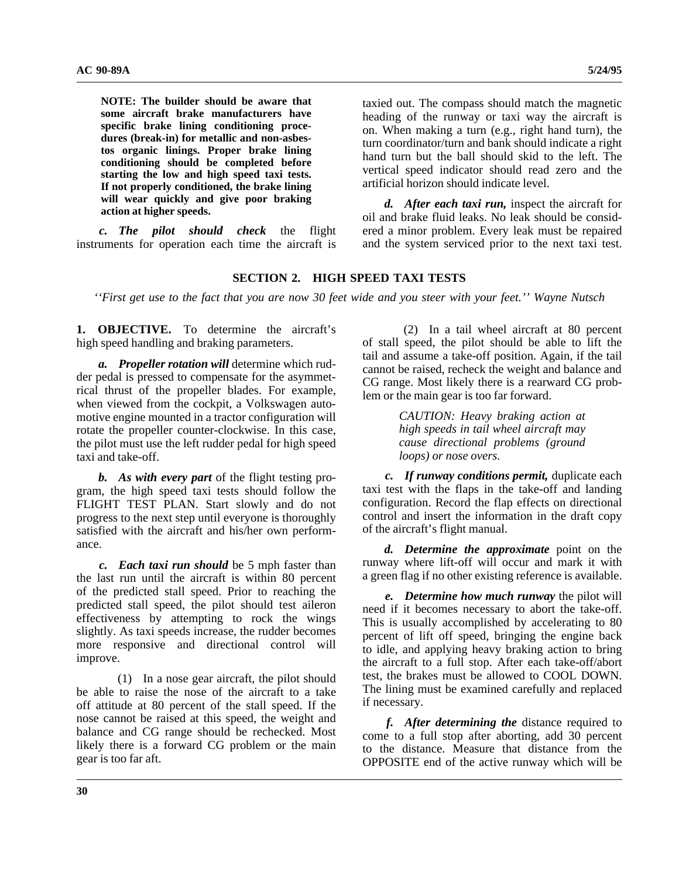**NOTE: The builder should be aware that some aircraft brake manufacturers have specific brake lining conditioning procedures (break-in) for metallic and non-asbestos organic linings. Proper brake lining conditioning should be completed before starting the low and high speed taxi tests. If not properly conditioned, the brake lining will wear quickly and give poor braking action at higher speeds.**

*c. The pilot should check* the flight instruments for operation each time the aircraft is taxied out. The compass should match the magnetic heading of the runway or taxi way the aircraft is on. When making a turn (e.g., right hand turn), the turn coordinator/turn and bank should indicate a right hand turn but the ball should skid to the left. The vertical speed indicator should read zero and the artificial horizon should indicate level.

*d. After each taxi run,* inspect the aircraft for oil and brake fluid leaks. No leak should be considered a minor problem. Every leak must be repaired and the system serviced prior to the next taxi test.

### **SECTION 2. HIGH SPEED TAXI TESTS**

*''First get use to the fact that you are now 30 feet wide and you steer with your feet.'' Wayne Nutsch*

**1. OBJECTIVE.** To determine the aircraft's high speed handling and braking parameters.

*a. Propeller rotation will* determine which rudder pedal is pressed to compensate for the asymmetrical thrust of the propeller blades. For example, when viewed from the cockpit, a Volkswagen automotive engine mounted in a tractor configuration will rotate the propeller counter-clockwise. In this case, the pilot must use the left rudder pedal for high speed taxi and take-off.

*b. As with every part* of the flight testing program, the high speed taxi tests should follow the FLIGHT TEST PLAN. Start slowly and do not progress to the next step until everyone is thoroughly satisfied with the aircraft and his/her own performance.

*c. Each taxi run should* be 5 mph faster than the last run until the aircraft is within 80 percent of the predicted stall speed. Prior to reaching the predicted stall speed, the pilot should test aileron effectiveness by attempting to rock the wings slightly. As taxi speeds increase, the rudder becomes more responsive and directional control will improve.

(1) In a nose gear aircraft, the pilot should be able to raise the nose of the aircraft to a take off attitude at 80 percent of the stall speed. If the nose cannot be raised at this speed, the weight and balance and CG range should be rechecked. Most likely there is a forward CG problem or the main gear is too far aft.

(2) In a tail wheel aircraft at 80 percent of stall speed, the pilot should be able to lift the tail and assume a take-off position. Again, if the tail cannot be raised, recheck the weight and balance and CG range. Most likely there is a rearward CG problem or the main gear is too far forward.

> *CAUTION: Heavy braking action at high speeds in tail wheel aircraft may cause directional problems (ground loops) or nose overs.*

*c. If runway conditions permit,* duplicate each taxi test with the flaps in the take-off and landing configuration. Record the flap effects on directional control and insert the information in the draft copy of the aircraft's flight manual.

*d. Determine the approximate* point on the runway where lift-off will occur and mark it with a green flag if no other existing reference is available.

*e. Determine how much runway* the pilot will need if it becomes necessary to abort the take-off. This is usually accomplished by accelerating to 80 percent of lift off speed, bringing the engine back to idle, and applying heavy braking action to bring the aircraft to a full stop. After each take-off/abort test, the brakes must be allowed to COOL DOWN. The lining must be examined carefully and replaced if necessary.

*f. After determining the* distance required to come to a full stop after aborting, add 30 percent to the distance. Measure that distance from the OPPOSITE end of the active runway which will be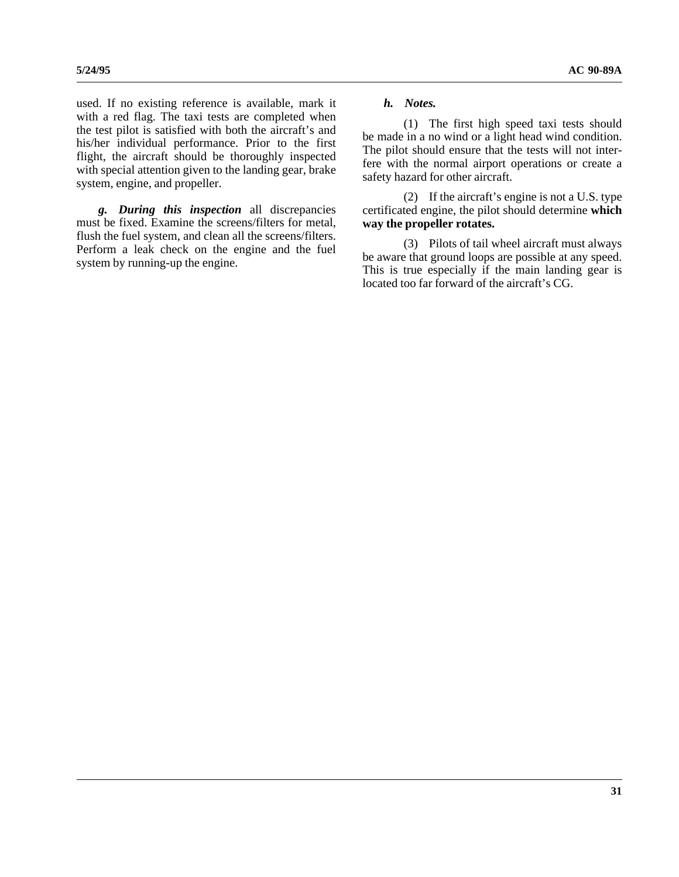used. If no existing reference is available, mark it with a red flag. The taxi tests are completed when the test pilot is satisfied with both the aircraft's and his/her individual performance. Prior to the first flight, the aircraft should be thoroughly inspected with special attention given to the landing gear, brake system, engine, and propeller.

*g. During this inspection* all discrepancies must be fixed. Examine the screens/filters for metal, flush the fuel system, and clean all the screens/filters. Perform a leak check on the engine and the fuel system by running-up the engine.

### *h. Notes.*

(1) The first high speed taxi tests should be made in a no wind or a light head wind condition. The pilot should ensure that the tests will not interfere with the normal airport operations or create a safety hazard for other aircraft.

(2) If the aircraft's engine is not a U.S. type certificated engine, the pilot should determine **which way the propeller rotates.**

(3) Pilots of tail wheel aircraft must always be aware that ground loops are possible at any speed. This is true especially if the main landing gear is located too far forward of the aircraft's CG.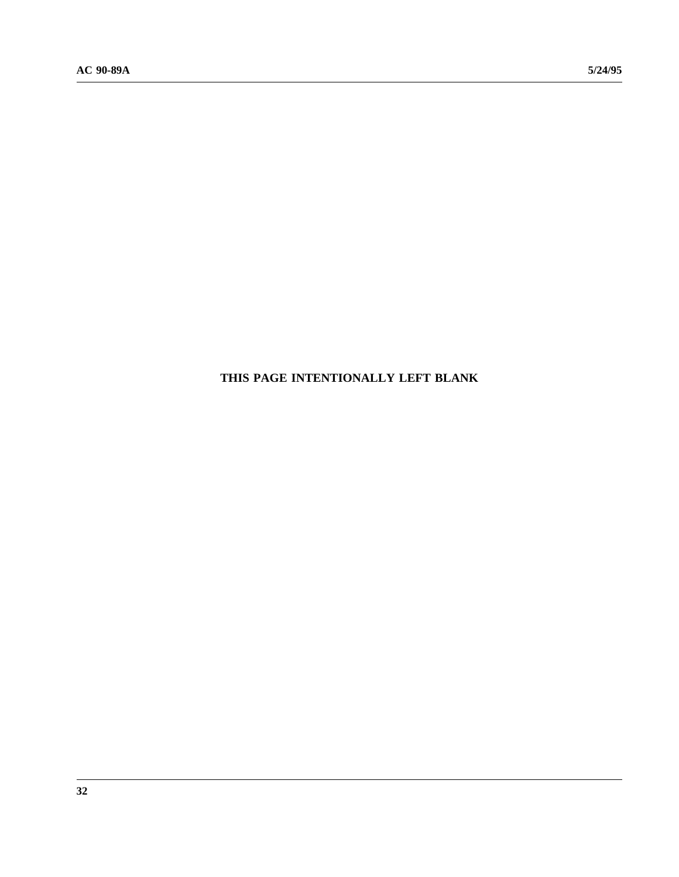# **THIS PAGE INTENTIONALLY LEFT BLANK**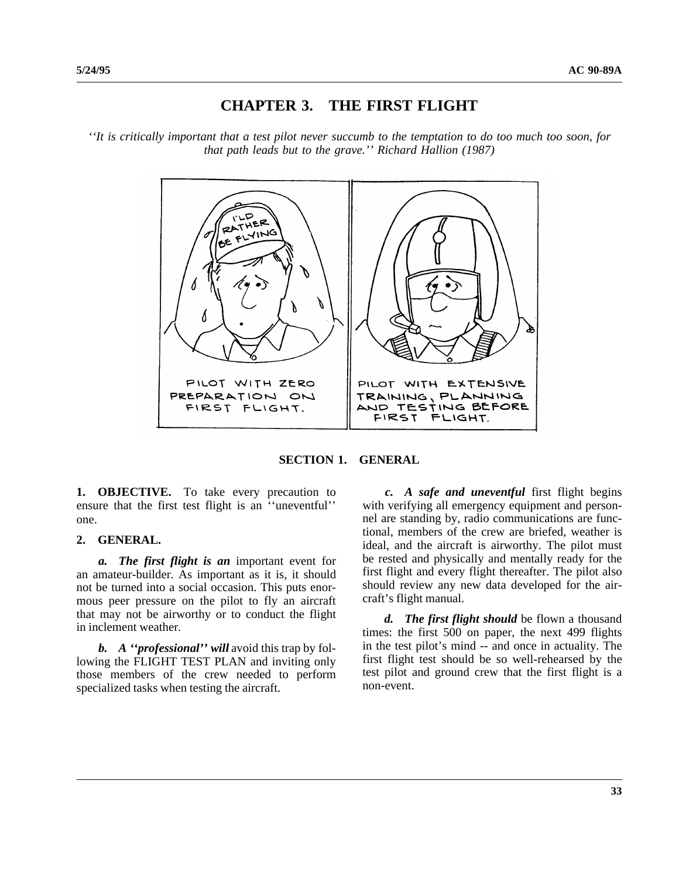# **CHAPTER 3. THE FIRST FLIGHT**

*''It is critically important that a test pilot never succumb to the temptation to do too much too soon, for that path leads but to the grave.'' Richard Hallion (1987)*



**SECTION 1. GENERAL**

**1. OBJECTIVE.** To take every precaution to ensure that the first test flight is an ''uneventful'' one.

#### **2. GENERAL.**

*a. The first flight is an* important event for an amateur-builder. As important as it is, it should not be turned into a social occasion. This puts enormous peer pressure on the pilot to fly an aircraft that may not be airworthy or to conduct the flight in inclement weather.

*b.* A "*professional*" will avoid this trap by following the FLIGHT TEST PLAN and inviting only those members of the crew needed to perform specialized tasks when testing the aircraft.

*c. A safe and uneventful* first flight begins with verifying all emergency equipment and personnel are standing by, radio communications are functional, members of the crew are briefed, weather is ideal, and the aircraft is airworthy. The pilot must be rested and physically and mentally ready for the first flight and every flight thereafter. The pilot also should review any new data developed for the aircraft's flight manual.

*d. The first flight should* be flown a thousand times: the first 500 on paper, the next 499 flights in the test pilot's mind -- and once in actuality. The first flight test should be so well-rehearsed by the test pilot and ground crew that the first flight is a non-event.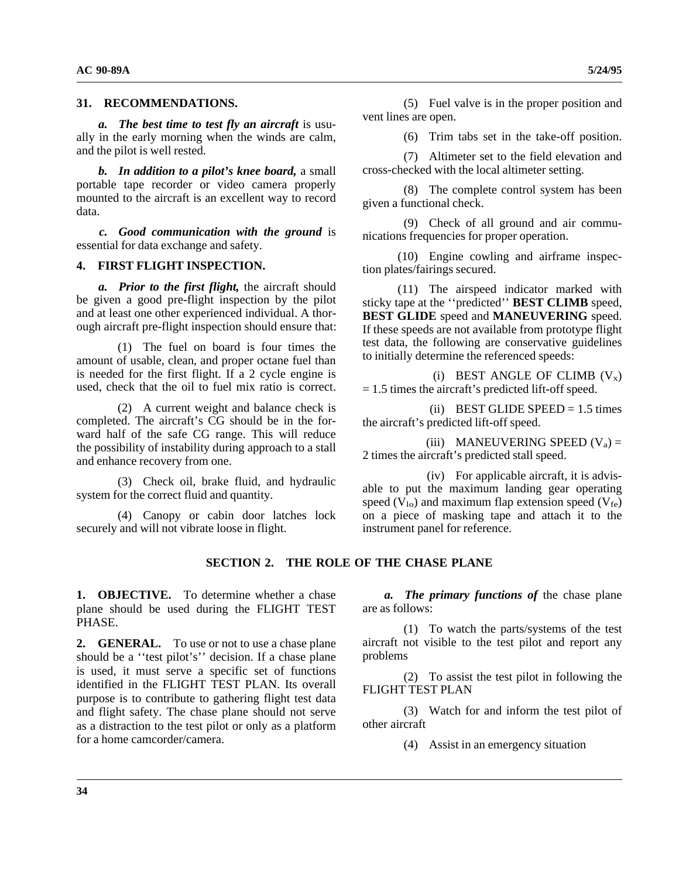### **31. RECOMMENDATIONS.**

*a. The best time to test fly an aircraft* is usually in the early morning when the winds are calm, and the pilot is well rested.

*b. In addition to a pilot's knee board,* a small portable tape recorder or video camera properly mounted to the aircraft is an excellent way to record data.

*c. Good communication with the ground* is essential for data exchange and safety.

#### **4. FIRST FLIGHT INSPECTION.**

*a. Prior to the first flight,* the aircraft should be given a good pre-flight inspection by the pilot and at least one other experienced individual. A thorough aircraft pre-flight inspection should ensure that:

(1) The fuel on board is four times the amount of usable, clean, and proper octane fuel than is needed for the first flight. If a 2 cycle engine is used, check that the oil to fuel mix ratio is correct.

(2) A current weight and balance check is completed. The aircraft's CG should be in the forward half of the safe CG range. This will reduce the possibility of instability during approach to a stall and enhance recovery from one.

(3) Check oil, brake fluid, and hydraulic system for the correct fluid and quantity.

(4) Canopy or cabin door latches lock securely and will not vibrate loose in flight.

(5) Fuel valve is in the proper position and vent lines are open.

(6) Trim tabs set in the take-off position.

(7) Altimeter set to the field elevation and cross-checked with the local altimeter setting.

(8) The complete control system has been given a functional check.

(9) Check of all ground and air communications frequencies for proper operation.

(10) Engine cowling and airframe inspection plates/fairings secured.

(11) The airspeed indicator marked with sticky tape at the ''predicted'' **BEST CLIMB** speed, **BEST GLIDE** speed and **MANEUVERING** speed. If these speeds are not available from prototype flight test data, the following are conservative guidelines to initially determine the referenced speeds:

(i) BEST ANGLE OF CLIMB  $(V_x)$ = 1.5 times the aircraft's predicted lift-off speed.

(ii) BEST GLIDE SPEED  $= 1.5$  times the aircraft's predicted lift-off speed.

(iii) MANEUVERING SPEED  $(V_a)$  = 2 times the aircraft's predicted stall speed.

(iv) For applicable aircraft, it is advisable to put the maximum landing gear operating speed  $(\hat{V}_{10})$  and maximum flap extension speed  $(V_{fe})$ on a piece of masking tape and attach it to the instrument panel for reference.

### **SECTION 2. THE ROLE OF THE CHASE PLANE**

**1. OBJECTIVE.** To determine whether a chase plane should be used during the FLIGHT TEST PHASE.

**2. GENERAL.** To use or not to use a chase plane should be a ''test pilot's'' decision. If a chase plane is used, it must serve a specific set of functions identified in the FLIGHT TEST PLAN. Its overall purpose is to contribute to gathering flight test data and flight safety. The chase plane should not serve as a distraction to the test pilot or only as a platform for a home camcorder/camera.

*a. The primary functions of* the chase plane are as follows:

(1) To watch the parts/systems of the test aircraft not visible to the test pilot and report any problems

(2) To assist the test pilot in following the FLIGHT TEST PLAN

(3) Watch for and inform the test pilot of other aircraft

(4) Assist in an emergency situation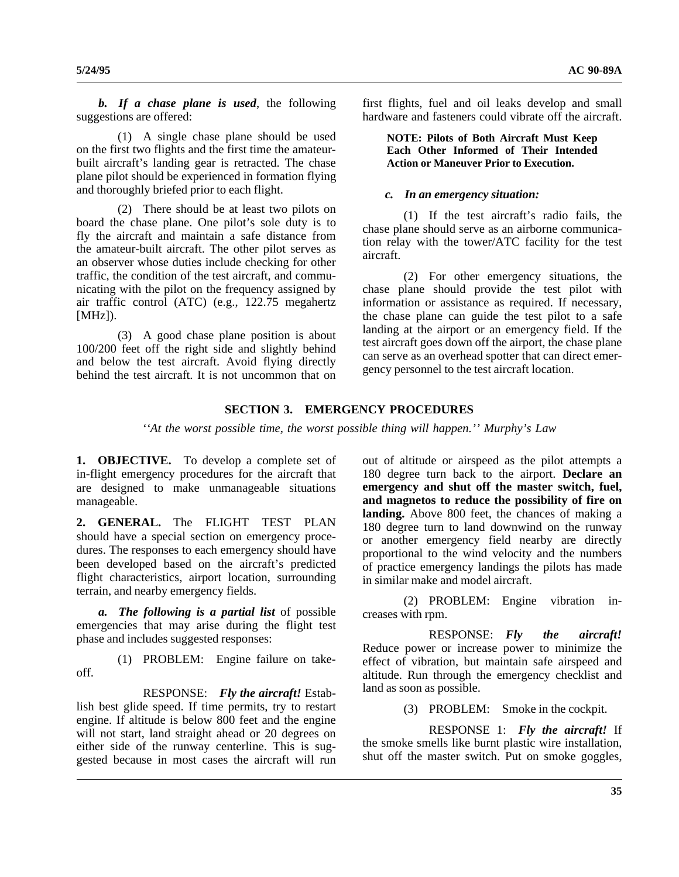*b. If a chase plane is used*, the following suggestions are offered:

(1) A single chase plane should be used on the first two flights and the first time the amateurbuilt aircraft's landing gear is retracted. The chase plane pilot should be experienced in formation flying and thoroughly briefed prior to each flight.

(2) There should be at least two pilots on board the chase plane. One pilot's sole duty is to fly the aircraft and maintain a safe distance from the amateur-built aircraft. The other pilot serves as an observer whose duties include checking for other traffic, the condition of the test aircraft, and communicating with the pilot on the frequency assigned by air traffic control (ATC) (e.g., 122.75 megahertz [MHz]).

(3) A good chase plane position is about 100/200 feet off the right side and slightly behind and below the test aircraft. Avoid flying directly behind the test aircraft. It is not uncommon that on

first flights, fuel and oil leaks develop and small hardware and fasteners could vibrate off the aircraft.

**NOTE: Pilots of Both Aircraft Must Keep Each Other Informed of Their Intended Action or Maneuver Prior to Execution.**

### *c. In an emergency situation:*

(1) If the test aircraft's radio fails, the chase plane should serve as an airborne communication relay with the tower/ATC facility for the test aircraft.

(2) For other emergency situations, the chase plane should provide the test pilot with information or assistance as required. If necessary, the chase plane can guide the test pilot to a safe landing at the airport or an emergency field. If the test aircraft goes down off the airport, the chase plane can serve as an overhead spotter that can direct emergency personnel to the test aircraft location.

## **SECTION 3. EMERGENCY PROCEDURES**

*''At the worst possible time, the worst possible thing will happen.'' Murphy's Law*

**1. OBJECTIVE.** To develop a complete set of in-flight emergency procedures for the aircraft that are designed to make unmanageable situations manageable.

**2. GENERAL.** The FLIGHT TEST PLAN should have a special section on emergency procedures. The responses to each emergency should have been developed based on the aircraft's predicted flight characteristics, airport location, surrounding terrain, and nearby emergency fields.

*a. The following is a partial list* of possible emergencies that may arise during the flight test phase and includes suggested responses:

(1) PROBLEM: Engine failure on takeoff.

RESPONSE: *Fly the aircraft!* Establish best glide speed. If time permits, try to restart engine. If altitude is below 800 feet and the engine will not start, land straight ahead or 20 degrees on either side of the runway centerline. This is suggested because in most cases the aircraft will run out of altitude or airspeed as the pilot attempts a 180 degree turn back to the airport. **Declare an emergency and shut off the master switch, fuel, and magnetos to reduce the possibility of fire on landing.** Above 800 feet, the chances of making a 180 degree turn to land downwind on the runway or another emergency field nearby are directly proportional to the wind velocity and the numbers of practice emergency landings the pilots has made in similar make and model aircraft.

(2) PROBLEM: Engine vibration increases with rpm.

RESPONSE: *Fly the aircraft!* Reduce power or increase power to minimize the effect of vibration, but maintain safe airspeed and altitude. Run through the emergency checklist and land as soon as possible.

(3) PROBLEM: Smoke in the cockpit.

RESPONSE 1: *Fly the aircraft!* If the smoke smells like burnt plastic wire installation, shut off the master switch. Put on smoke goggles,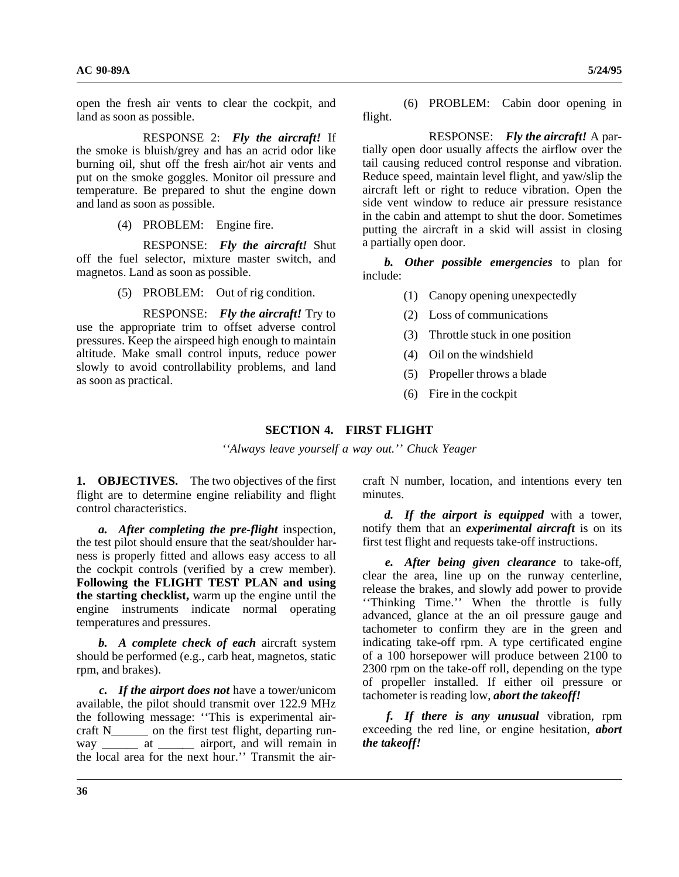open the fresh air vents to clear the cockpit, and land as soon as possible.

RESPONSE 2: *Fly the aircraft!* If the smoke is bluish/grey and has an acrid odor like burning oil, shut off the fresh air/hot air vents and put on the smoke goggles. Monitor oil pressure and temperature. Be prepared to shut the engine down and land as soon as possible.

(4) PROBLEM: Engine fire.

RESPONSE: *Fly the aircraft!* Shut off the fuel selector, mixture master switch, and magnetos. Land as soon as possible.

(5) PROBLEM: Out of rig condition.

RESPONSE: *Fly the aircraft!* Try to use the appropriate trim to offset adverse control pressures. Keep the airspeed high enough to maintain altitude. Make small control inputs, reduce power slowly to avoid controllability problems, and land as soon as practical.

(6) PROBLEM: Cabin door opening in flight.

RESPONSE: *Fly the aircraft!* A partially open door usually affects the airflow over the tail causing reduced control response and vibration. Reduce speed, maintain level flight, and yaw/slip the aircraft left or right to reduce vibration. Open the side vent window to reduce air pressure resistance in the cabin and attempt to shut the door. Sometimes putting the aircraft in a skid will assist in closing a partially open door.

*b. Other possible emergencies* to plan for include:

- (1) Canopy opening unexpectedly
- (2) Loss of communications
- (3) Throttle stuck in one position
- (4) Oil on the windshield
- (5) Propeller throws a blade
- (6) Fire in the cockpit

### **SECTION 4. FIRST FLIGHT**

*''Always leave yourself a way out.'' Chuck Yeager*

**1. OBJECTIVES.** The two objectives of the first flight are to determine engine reliability and flight control characteristics.

*a. After completing the pre-flight* inspection, the test pilot should ensure that the seat/shoulder harness is properly fitted and allows easy access to all the cockpit controls (verified by a crew member). **Following the FLIGHT TEST PLAN and using the starting checklist,** warm up the engine until the engine instruments indicate normal operating temperatures and pressures.

*b. A complete check of each* aircraft system should be performed (e.g., carb heat, magnetos, static rpm, and brakes).

*c. If the airport does not* have a tower/unicom available, the pilot should transmit over 122.9 MHz the following message: ''This is experimental aircraft  $N$  on the first test flight, departing runway \_\_\_\_\_\_\_ at \_\_\_\_\_\_\_ airport, and will remain in the local area for the next hour.'' Transmit the aircraft N number, location, and intentions every ten minutes.

*d. If the airport is equipped* with a tower, notify them that an *experimental aircraft* is on its first test flight and requests take-off instructions.

*e. After being given clearance* to take-off, clear the area, line up on the runway centerline, release the brakes, and slowly add power to provide ''Thinking Time.'' When the throttle is fully advanced, glance at the an oil pressure gauge and tachometer to confirm they are in the green and indicating take-off rpm. A type certificated engine of a 100 horsepower will produce between 2100 to 2300 rpm on the take-off roll, depending on the type of propeller installed. If either oil pressure or tachometer is reading low, *abort the takeoff!*

*f. If there is any unusual* vibration, rpm exceeding the red line, or engine hesitation, *abort the takeoff!*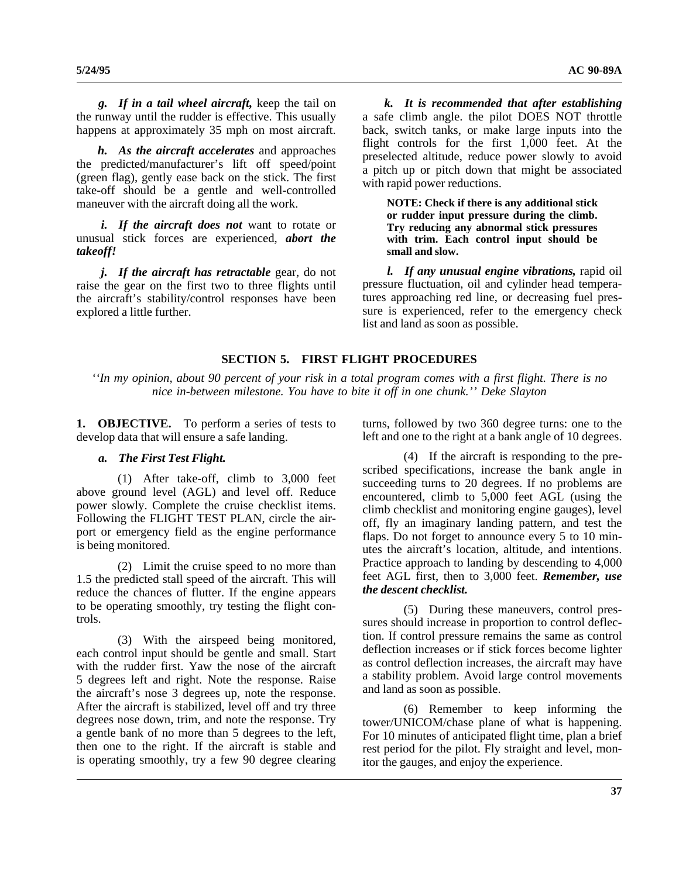*g. If in a tail wheel aircraft,* keep the tail on the runway until the rudder is effective. This usually happens at approximately 35 mph on most aircraft.

*h. As the aircraft accelerates* and approaches the predicted/manufacturer's lift off speed/point (green flag), gently ease back on the stick. The first take-off should be a gentle and well-controlled maneuver with the aircraft doing all the work.

*i. If the aircraft does not* want to rotate or unusual stick forces are experienced, *abort the takeoff!*

*j. If the aircraft has retractable* gear, do not raise the gear on the first two to three flights until the aircraft's stability/control responses have been explored a little further.

*k. It is recommended that after establishing* a safe climb angle. the pilot DOES NOT throttle back, switch tanks, or make large inputs into the flight controls for the first 1,000 feet. At the preselected altitude, reduce power slowly to avoid a pitch up or pitch down that might be associated with rapid power reductions.

**NOTE: Check if there is any additional stick or rudder input pressure during the climb. Try reducing any abnormal stick pressures with trim. Each control input should be small and slow.**

*l. If any unusual engine vibrations,* rapid oil pressure fluctuation, oil and cylinder head temperatures approaching red line, or decreasing fuel pressure is experienced, refer to the emergency check list and land as soon as possible.

## **SECTION 5. FIRST FLIGHT PROCEDURES**

*''In my opinion, about 90 percent of your risk in a total program comes with a first flight. There is no nice in-between milestone. You have to bite it off in one chunk.'' Deke Slayton*

**1. OBJECTIVE.** To perform a series of tests to develop data that will ensure a safe landing.

### *a. The First Test Flight.*

(1) After take-off, climb to 3,000 feet above ground level (AGL) and level off. Reduce power slowly. Complete the cruise checklist items. Following the FLIGHT TEST PLAN, circle the airport or emergency field as the engine performance is being monitored.

(2) Limit the cruise speed to no more than 1.5 the predicted stall speed of the aircraft. This will reduce the chances of flutter. If the engine appears to be operating smoothly, try testing the flight controls.

(3) With the airspeed being monitored, each control input should be gentle and small. Start with the rudder first. Yaw the nose of the aircraft 5 degrees left and right. Note the response. Raise the aircraft's nose 3 degrees up, note the response. After the aircraft is stabilized, level off and try three degrees nose down, trim, and note the response. Try a gentle bank of no more than 5 degrees to the left, then one to the right. If the aircraft is stable and is operating smoothly, try a few 90 degree clearing turns, followed by two 360 degree turns: one to the left and one to the right at a bank angle of 10 degrees.

(4) If the aircraft is responding to the prescribed specifications, increase the bank angle in succeeding turns to 20 degrees. If no problems are encountered, climb to 5,000 feet AGL (using the climb checklist and monitoring engine gauges), level off, fly an imaginary landing pattern, and test the flaps. Do not forget to announce every 5 to 10 minutes the aircraft's location, altitude, and intentions. Practice approach to landing by descending to 4,000 feet AGL first, then to 3,000 feet. *Remember, use the descent checklist.*

(5) During these maneuvers, control pressures should increase in proportion to control deflection. If control pressure remains the same as control deflection increases or if stick forces become lighter as control deflection increases, the aircraft may have a stability problem. Avoid large control movements and land as soon as possible.

(6) Remember to keep informing the tower/UNICOM/chase plane of what is happening. For 10 minutes of anticipated flight time, plan a brief rest period for the pilot. Fly straight and level, monitor the gauges, and enjoy the experience.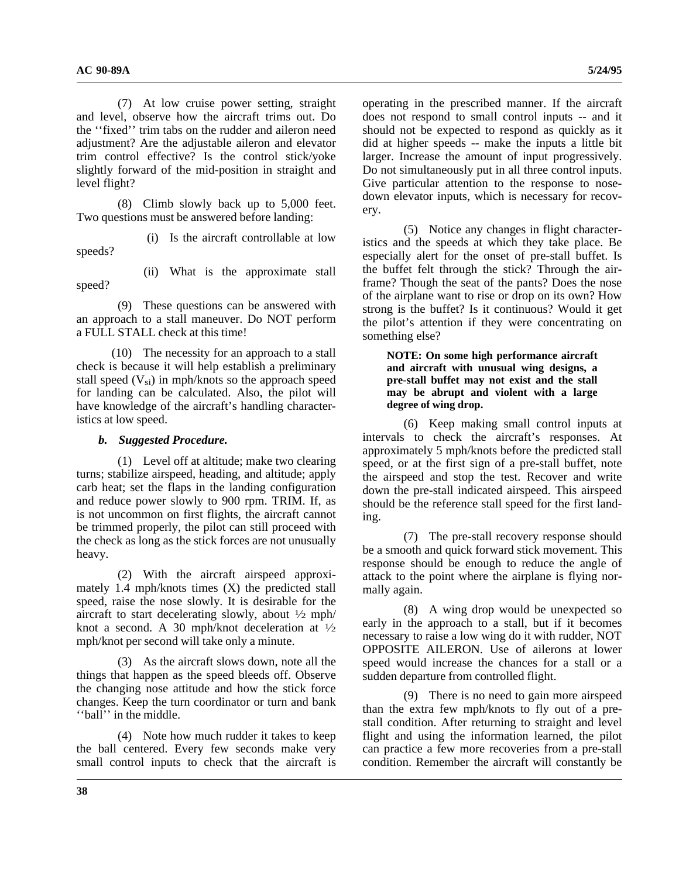(7) At low cruise power setting, straight and level, observe how the aircraft trims out. Do the ''fixed'' trim tabs on the rudder and aileron need adjustment? Are the adjustable aileron and elevator trim control effective? Is the control stick/yoke slightly forward of the mid-position in straight and level flight?

(8) Climb slowly back up to 5,000 feet. Two questions must be answered before landing:

(i) Is the aircraft controllable at low speeds?

(ii) What is the approximate stall speed?

(9) These questions can be answered with an approach to a stall maneuver. Do NOT perform a FULL STALL check at this time!

(10) The necessity for an approach to a stall check is because it will help establish a preliminary stall speed  $(V_{si})$  in mph/knots so the approach speed for landing can be calculated. Also, the pilot will have knowledge of the aircraft's handling characteristics at low speed.

### *b. Suggested Procedure.*

(1) Level off at altitude; make two clearing turns; stabilize airspeed, heading, and altitude; apply carb heat; set the flaps in the landing configuration and reduce power slowly to 900 rpm. TRIM. If, as is not uncommon on first flights, the aircraft cannot be trimmed properly, the pilot can still proceed with the check as long as the stick forces are not unusually heavy.

(2) With the aircraft airspeed approximately 1.4 mph/knots times (X) the predicted stall speed, raise the nose slowly. It is desirable for the aircraft to start decelerating slowly, about  $\frac{1}{2}$  mph/ knot a second. A 30 mph/knot deceleration at  $\frac{1}{2}$ mph/knot per second will take only a minute.

(3) As the aircraft slows down, note all the things that happen as the speed bleeds off. Observe the changing nose attitude and how the stick force changes. Keep the turn coordinator or turn and bank ''ball'' in the middle.

(4) Note how much rudder it takes to keep the ball centered. Every few seconds make very small control inputs to check that the aircraft is

operating in the prescribed manner. If the aircraft does not respond to small control inputs -- and it should not be expected to respond as quickly as it did at higher speeds -- make the inputs a little bit larger. Increase the amount of input progressively. Do not simultaneously put in all three control inputs. Give particular attention to the response to nosedown elevator inputs, which is necessary for recovery.

(5) Notice any changes in flight characteristics and the speeds at which they take place. Be especially alert for the onset of pre-stall buffet. Is the buffet felt through the stick? Through the airframe? Though the seat of the pants? Does the nose of the airplane want to rise or drop on its own? How strong is the buffet? Is it continuous? Would it get the pilot's attention if they were concentrating on something else?

#### **NOTE: On some high performance aircraft and aircraft with unusual wing designs, a pre-stall buffet may not exist and the stall may be abrupt and violent with a large degree of wing drop.**

(6) Keep making small control inputs at intervals to check the aircraft's responses. At approximately 5 mph/knots before the predicted stall speed, or at the first sign of a pre-stall buffet, note the airspeed and stop the test. Recover and write down the pre-stall indicated airspeed. This airspeed should be the reference stall speed for the first landing.

(7) The pre-stall recovery response should be a smooth and quick forward stick movement. This response should be enough to reduce the angle of attack to the point where the airplane is flying normally again.

(8) A wing drop would be unexpected so early in the approach to a stall, but if it becomes necessary to raise a low wing do it with rudder, NOT OPPOSITE AILERON. Use of ailerons at lower speed would increase the chances for a stall or a sudden departure from controlled flight.

(9) There is no need to gain more airspeed than the extra few mph/knots to fly out of a prestall condition. After returning to straight and level flight and using the information learned, the pilot can practice a few more recoveries from a pre-stall condition. Remember the aircraft will constantly be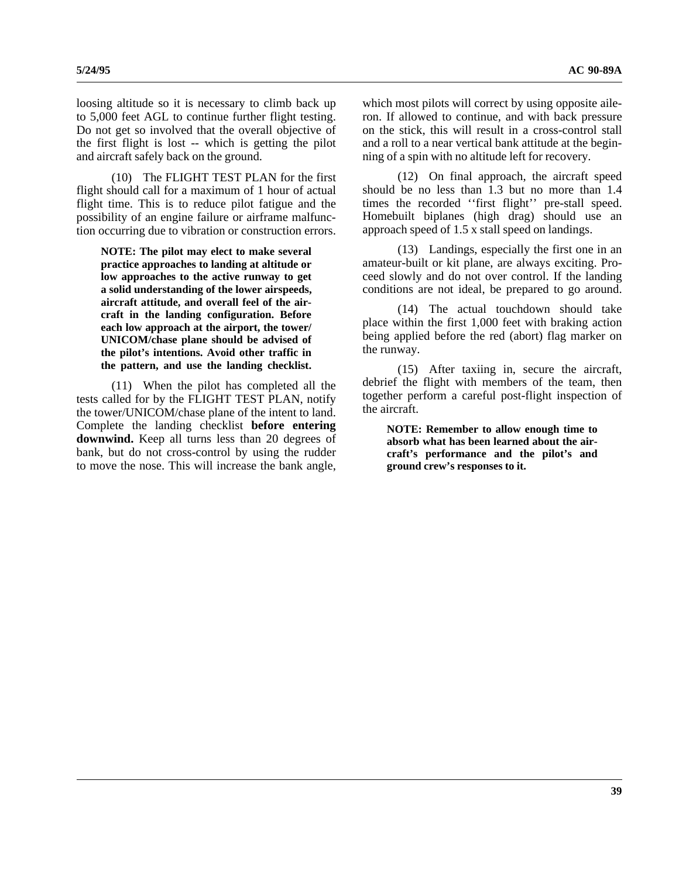loosing altitude so it is necessary to climb back up to 5,000 feet AGL to continue further flight testing. Do not get so involved that the overall objective of the first flight is lost -- which is getting the pilot and aircraft safely back on the ground.

(10) The FLIGHT TEST PLAN for the first flight should call for a maximum of 1 hour of actual flight time. This is to reduce pilot fatigue and the possibility of an engine failure or airframe malfunction occurring due to vibration or construction errors.

**NOTE: The pilot may elect to make several practice approaches to landing at altitude or low approaches to the active runway to get a solid understanding of the lower airspeeds, aircraft attitude, and overall feel of the aircraft in the landing configuration. Before each low approach at the airport, the tower/ UNICOM/chase plane should be advised of the pilot's intentions. Avoid other traffic in the pattern, and use the landing checklist.**

(11) When the pilot has completed all the tests called for by the FLIGHT TEST PLAN, notify the tower/UNICOM/chase plane of the intent to land. Complete the landing checklist **before entering downwind.** Keep all turns less than 20 degrees of bank, but do not cross-control by using the rudder to move the nose. This will increase the bank angle,

which most pilots will correct by using opposite aileron. If allowed to continue, and with back pressure on the stick, this will result in a cross-control stall and a roll to a near vertical bank attitude at the beginning of a spin with no altitude left for recovery.

(12) On final approach, the aircraft speed should be no less than 1.3 but no more than 1.4 times the recorded ''first flight'' pre-stall speed. Homebuilt biplanes (high drag) should use an approach speed of 1.5 x stall speed on landings.

(13) Landings, especially the first one in an amateur-built or kit plane, are always exciting. Proceed slowly and do not over control. If the landing conditions are not ideal, be prepared to go around.

(14) The actual touchdown should take place within the first 1,000 feet with braking action being applied before the red (abort) flag marker on the runway.

(15) After taxiing in, secure the aircraft, debrief the flight with members of the team, then together perform a careful post-flight inspection of the aircraft.

**NOTE: Remember to allow enough time to absorb what has been learned about the aircraft's performance and the pilot's and ground crew's responses to it.**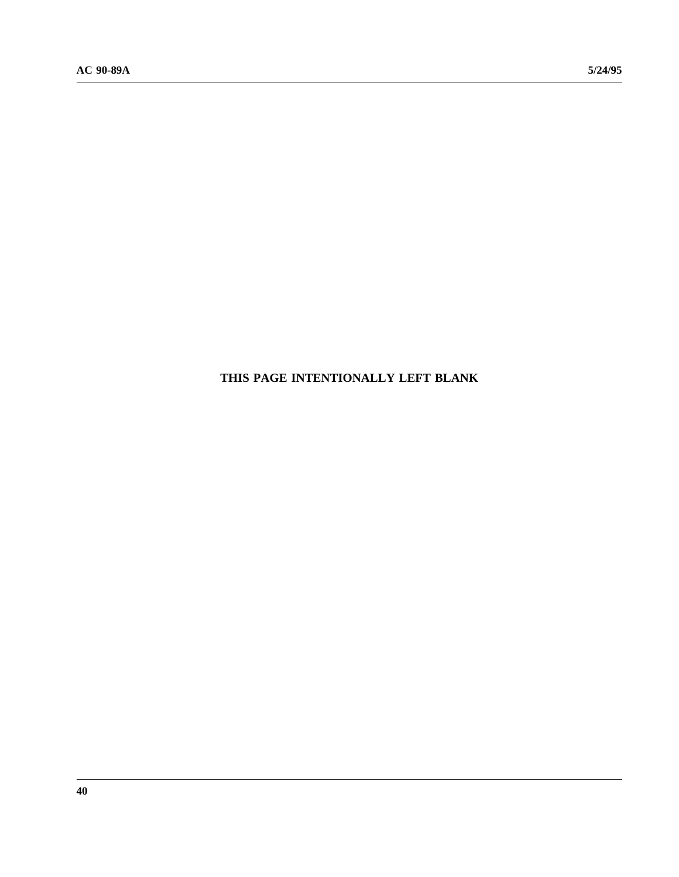# **THIS PAGE INTENTIONALLY LEFT BLANK**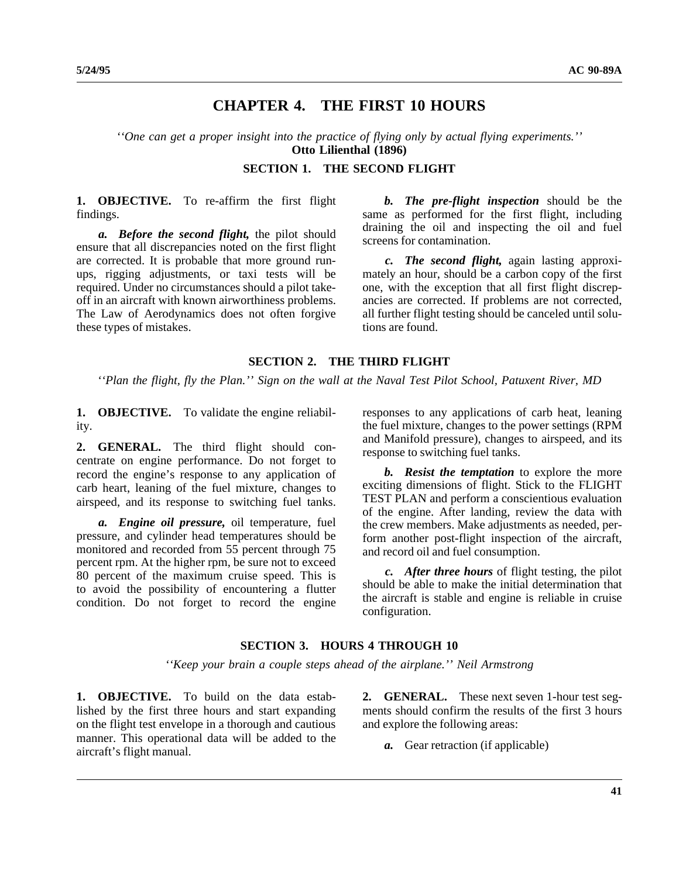# **CHAPTER 4. THE FIRST 10 HOURS**

*''One can get a proper insight into the practice of flying only by actual flying experiments.''* **Otto Lilienthal (1896)**

### **SECTION 1. THE SECOND FLIGHT**

**1. OBJECTIVE.** To re-affirm the first flight findings.

*a. Before the second flight,* the pilot should ensure that all discrepancies noted on the first flight are corrected. It is probable that more ground runups, rigging adjustments, or taxi tests will be required. Under no circumstances should a pilot takeoff in an aircraft with known airworthiness problems. The Law of Aerodynamics does not often forgive these types of mistakes.

*b. The pre-flight inspection* should be the same as performed for the first flight, including draining the oil and inspecting the oil and fuel screens for contamination.

*c. The second flight,* again lasting approximately an hour, should be a carbon copy of the first one, with the exception that all first flight discrepancies are corrected. If problems are not corrected, all further flight testing should be canceled until solutions are found.

### **SECTION 2. THE THIRD FLIGHT**

*''Plan the flight, fly the Plan.'' Sign on the wall at the Naval Test Pilot School, Patuxent River, MD*

**1. OBJECTIVE.** To validate the engine reliability.

**2. GENERAL.** The third flight should concentrate on engine performance. Do not forget to record the engine's response to any application of carb heart, leaning of the fuel mixture, changes to airspeed, and its response to switching fuel tanks.

*a. Engine oil pressure,* oil temperature, fuel pressure, and cylinder head temperatures should be monitored and recorded from 55 percent through 75 percent rpm. At the higher rpm, be sure not to exceed 80 percent of the maximum cruise speed. This is to avoid the possibility of encountering a flutter condition. Do not forget to record the engine responses to any applications of carb heat, leaning the fuel mixture, changes to the power settings (RPM and Manifold pressure), changes to airspeed, and its response to switching fuel tanks.

*b. Resist the temptation* to explore the more exciting dimensions of flight. Stick to the FLIGHT TEST PLAN and perform a conscientious evaluation of the engine. After landing, review the data with the crew members. Make adjustments as needed, perform another post-flight inspection of the aircraft, and record oil and fuel consumption.

*c. After three hours* of flight testing, the pilot should be able to make the initial determination that the aircraft is stable and engine is reliable in cruise configuration.

### **SECTION 3. HOURS 4 THROUGH 10**

*''Keep your brain a couple steps ahead of the airplane.'' Neil Armstrong*

**1. OBJECTIVE.** To build on the data established by the first three hours and start expanding on the flight test envelope in a thorough and cautious manner. This operational data will be added to the aircraft's flight manual.

**2. GENERAL.** These next seven 1-hour test segments should confirm the results of the first 3 hours and explore the following areas:

*a.* Gear retraction (if applicable)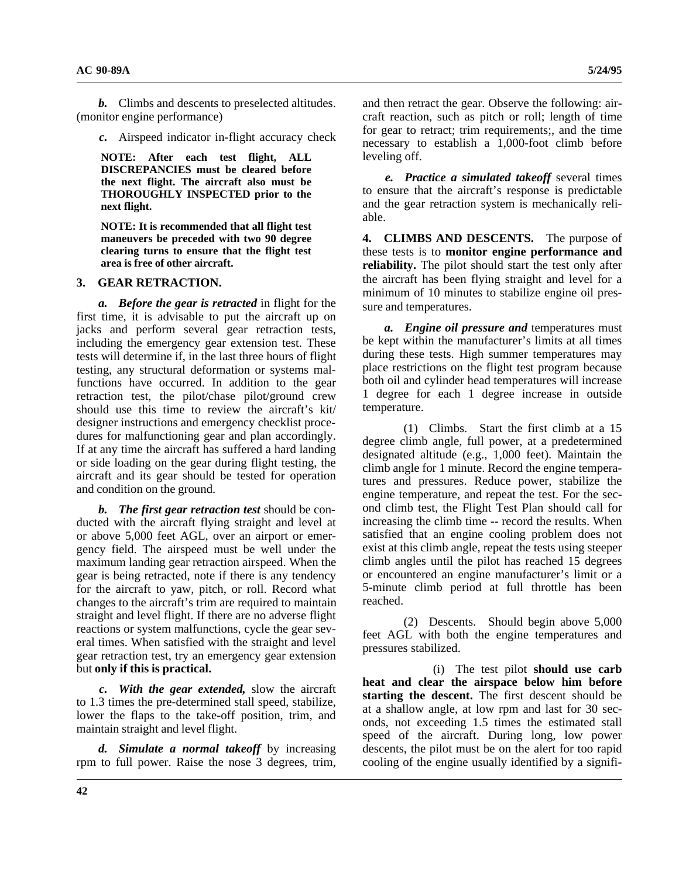*b.* Climbs and descents to preselected altitudes. (monitor engine performance)

*c.* Airspeed indicator in-flight accuracy check

**NOTE: After each test flight, ALL DISCREPANCIES must be cleared before the next flight. The aircraft also must be THOROUGHLY INSPECTED prior to the next flight.**

**NOTE: It is recommended that all flight test maneuvers be preceded with two 90 degree clearing turns to ensure that the flight test area is free of other aircraft.**

### **3. GEAR RETRACTION.**

*a. Before the gear is retracted* in flight for the first time, it is advisable to put the aircraft up on jacks and perform several gear retraction tests, including the emergency gear extension test. These tests will determine if, in the last three hours of flight testing, any structural deformation or systems malfunctions have occurred. In addition to the gear retraction test, the pilot/chase pilot/ground crew should use this time to review the aircraft's kit/ designer instructions and emergency checklist procedures for malfunctioning gear and plan accordingly. If at any time the aircraft has suffered a hard landing or side loading on the gear during flight testing, the aircraft and its gear should be tested for operation and condition on the ground.

*b. The first gear retraction test* should be conducted with the aircraft flying straight and level at or above 5,000 feet AGL, over an airport or emergency field. The airspeed must be well under the maximum landing gear retraction airspeed. When the gear is being retracted, note if there is any tendency for the aircraft to yaw, pitch, or roll. Record what changes to the aircraft's trim are required to maintain straight and level flight. If there are no adverse flight reactions or system malfunctions, cycle the gear several times. When satisfied with the straight and level gear retraction test, try an emergency gear extension but **only if this is practical.**

*c. With the gear extended,* slow the aircraft to 1.3 times the pre-determined stall speed, stabilize, lower the flaps to the take-off position, trim, and maintain straight and level flight.

*d. Simulate a normal takeoff* by increasing rpm to full power. Raise the nose 3 degrees, trim, and then retract the gear. Observe the following: aircraft reaction, such as pitch or roll; length of time for gear to retract; trim requirements;, and the time necessary to establish a 1,000-foot climb before leveling off.

*e. Practice a simulated takeoff* several times to ensure that the aircraft's response is predictable and the gear retraction system is mechanically reliable.

**4. CLIMBS AND DESCENTS.** The purpose of these tests is to **monitor engine performance and reliability.** The pilot should start the test only after the aircraft has been flying straight and level for a minimum of 10 minutes to stabilize engine oil pressure and temperatures.

*a. Engine oil pressure and* temperatures must be kept within the manufacturer's limits at all times during these tests. High summer temperatures may place restrictions on the flight test program because both oil and cylinder head temperatures will increase 1 degree for each 1 degree increase in outside temperature.

(1) Climbs. Start the first climb at a 15 degree climb angle, full power, at a predetermined designated altitude (e.g., 1,000 feet). Maintain the climb angle for 1 minute. Record the engine temperatures and pressures. Reduce power, stabilize the engine temperature, and repeat the test. For the second climb test, the Flight Test Plan should call for increasing the climb time -- record the results. When satisfied that an engine cooling problem does not exist at this climb angle, repeat the tests using steeper climb angles until the pilot has reached 15 degrees or encountered an engine manufacturer's limit or a 5-minute climb period at full throttle has been reached.

(2) Descents. Should begin above 5,000 feet AGL with both the engine temperatures and pressures stabilized.

(i) The test pilot **should use carb heat and clear the airspace below him before starting the descent.** The first descent should be at a shallow angle, at low rpm and last for 30 seconds, not exceeding 1.5 times the estimated stall speed of the aircraft. During long, low power descents, the pilot must be on the alert for too rapid cooling of the engine usually identified by a signifi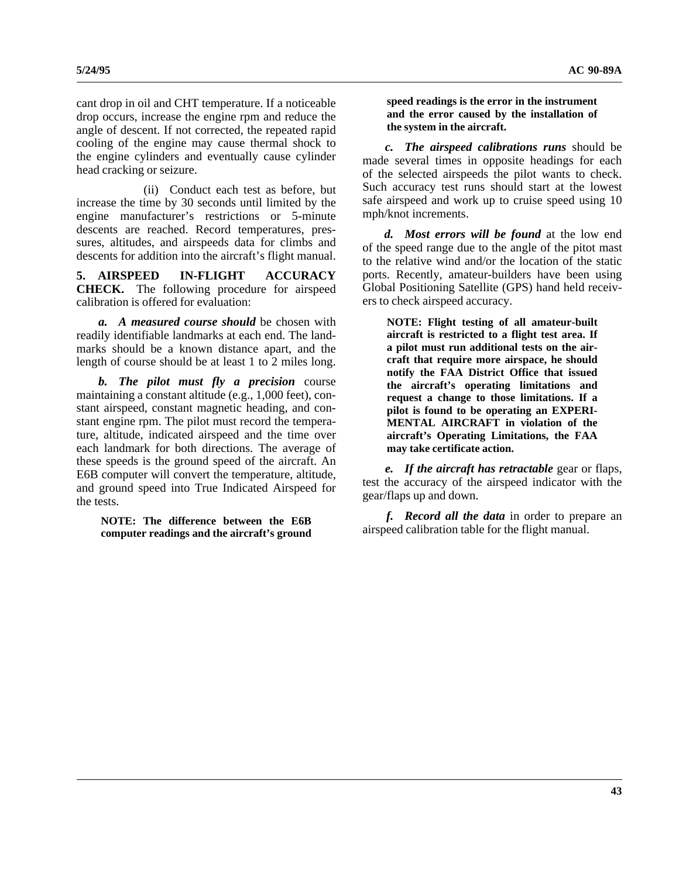cant drop in oil and CHT temperature. If a noticeable drop occurs, increase the engine rpm and reduce the angle of descent. If not corrected, the repeated rapid cooling of the engine may cause thermal shock to the engine cylinders and eventually cause cylinder head cracking or seizure.

(ii) Conduct each test as before, but increase the time by 30 seconds until limited by the engine manufacturer's restrictions or 5-minute descents are reached. Record temperatures, pressures, altitudes, and airspeeds data for climbs and descents for addition into the aircraft's flight manual.

**5. AIRSPEED IN-FLIGHT ACCURACY CHECK.** The following procedure for airspeed calibration is offered for evaluation:

*a. A measured course should* be chosen with readily identifiable landmarks at each end. The landmarks should be a known distance apart, and the length of course should be at least 1 to 2 miles long.

*b. The pilot must fly a precision* course maintaining a constant altitude (e.g., 1,000 feet), constant airspeed, constant magnetic heading, and constant engine rpm. The pilot must record the temperature, altitude, indicated airspeed and the time over each landmark for both directions. The average of these speeds is the ground speed of the aircraft. An E6B computer will convert the temperature, altitude, and ground speed into True Indicated Airspeed for the tests.

**NOTE: The difference between the E6B computer readings and the aircraft's ground** **speed readings is the error in the instrument and the error caused by the installation of the system in the aircraft.**

*c. The airspeed calibrations runs* should be made several times in opposite headings for each of the selected airspeeds the pilot wants to check. Such accuracy test runs should start at the lowest safe airspeed and work up to cruise speed using 10 mph/knot increments.

*d. Most errors will be found* at the low end of the speed range due to the angle of the pitot mast to the relative wind and/or the location of the static ports. Recently, amateur-builders have been using Global Positioning Satellite (GPS) hand held receivers to check airspeed accuracy.

**NOTE: Flight testing of all amateur-built aircraft is restricted to a flight test area. If a pilot must run additional tests on the aircraft that require more airspace, he should notify the FAA District Office that issued the aircraft's operating limitations and request a change to those limitations. If a pilot is found to be operating an EXPERI-MENTAL AIRCRAFT in violation of the aircraft's Operating Limitations, the FAA may take certificate action.**

*e. If the aircraft has retractable* gear or flaps, test the accuracy of the airspeed indicator with the gear/flaps up and down.

*f. Record all the data* in order to prepare an airspeed calibration table for the flight manual.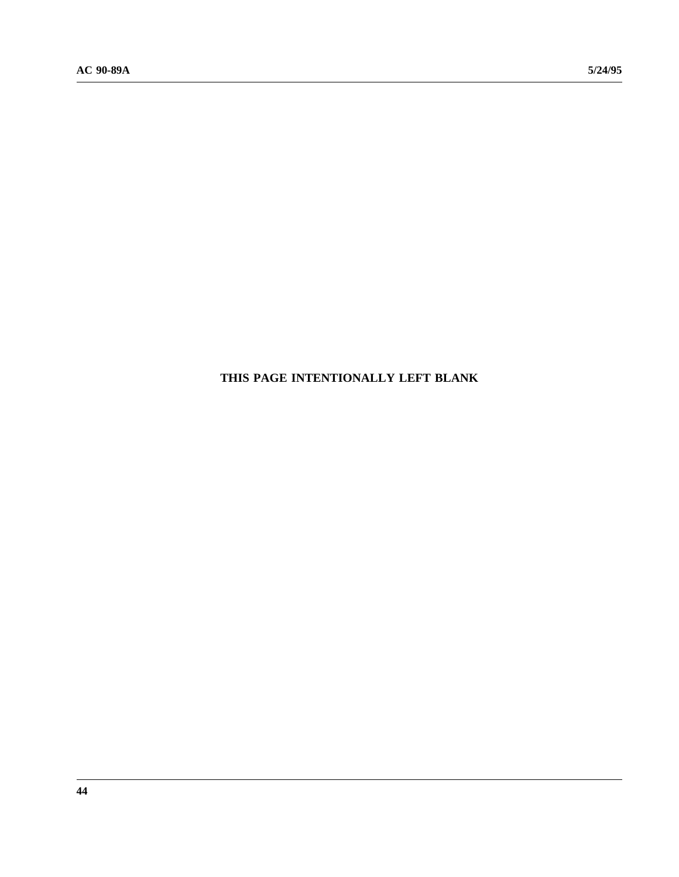# **THIS PAGE INTENTIONALLY LEFT BLANK**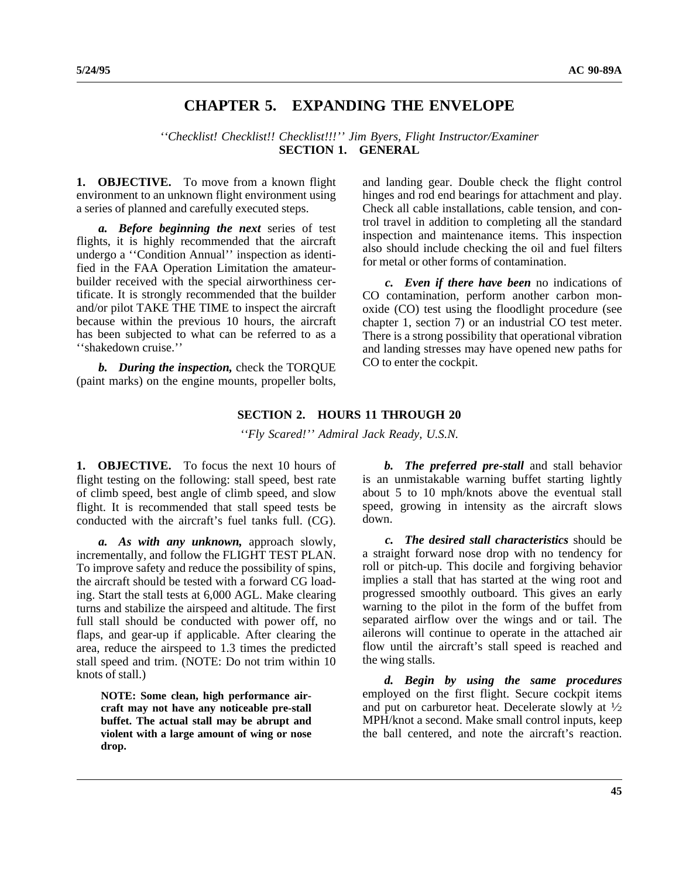# **CHAPTER 5. EXPANDING THE ENVELOPE**

*''Checklist! Checklist!! Checklist!!!'' Jim Byers, Flight Instructor/Examiner* **SECTION 1. GENERAL**

**1. OBJECTIVE.** To move from a known flight environment to an unknown flight environment using a series of planned and carefully executed steps.

*a. Before beginning the next* series of test flights, it is highly recommended that the aircraft undergo a ''Condition Annual'' inspection as identified in the FAA Operation Limitation the amateurbuilder received with the special airworthiness certificate. It is strongly recommended that the builder and/or pilot TAKE THE TIME to inspect the aircraft because within the previous 10 hours, the aircraft has been subjected to what can be referred to as a ''shakedown cruise.''

*b. During the inspection,* check the TORQUE (paint marks) on the engine mounts, propeller bolts, and landing gear. Double check the flight control hinges and rod end bearings for attachment and play. Check all cable installations, cable tension, and control travel in addition to completing all the standard inspection and maintenance items. This inspection also should include checking the oil and fuel filters for metal or other forms of contamination.

*c. Even if there have been* no indications of CO contamination, perform another carbon monoxide (CO) test using the floodlight procedure (see chapter 1, section 7) or an industrial CO test meter. There is a strong possibility that operational vibration and landing stresses may have opened new paths for CO to enter the cockpit.

### **SECTION 2. HOURS 11 THROUGH 20**

*''Fly Scared!'' Admiral Jack Ready, U.S.N.*

**1. OBJECTIVE.** To focus the next 10 hours of flight testing on the following: stall speed, best rate of climb speed, best angle of climb speed, and slow flight. It is recommended that stall speed tests be conducted with the aircraft's fuel tanks full. (CG).

*a. As with any unknown,* approach slowly, incrementally, and follow the FLIGHT TEST PLAN. To improve safety and reduce the possibility of spins, the aircraft should be tested with a forward CG loading. Start the stall tests at 6,000 AGL. Make clearing turns and stabilize the airspeed and altitude. The first full stall should be conducted with power off, no flaps, and gear-up if applicable. After clearing the area, reduce the airspeed to 1.3 times the predicted stall speed and trim. (NOTE: Do not trim within 10 knots of stall.)

**NOTE: Some clean, high performance aircraft may not have any noticeable pre-stall buffet. The actual stall may be abrupt and violent with a large amount of wing or nose drop.**

*b. The preferred pre-stall* and stall behavior is an unmistakable warning buffet starting lightly about 5 to 10 mph/knots above the eventual stall speed, growing in intensity as the aircraft slows down.

*c. The desired stall characteristics* should be a straight forward nose drop with no tendency for roll or pitch-up. This docile and forgiving behavior implies a stall that has started at the wing root and progressed smoothly outboard. This gives an early warning to the pilot in the form of the buffet from separated airflow over the wings and or tail. The ailerons will continue to operate in the attached air flow until the aircraft's stall speed is reached and the wing stalls.

*d. Begin by using the same procedures* employed on the first flight. Secure cockpit items and put on carburetor heat. Decelerate slowly at 1⁄2 MPH/knot a second. Make small control inputs, keep the ball centered, and note the aircraft's reaction.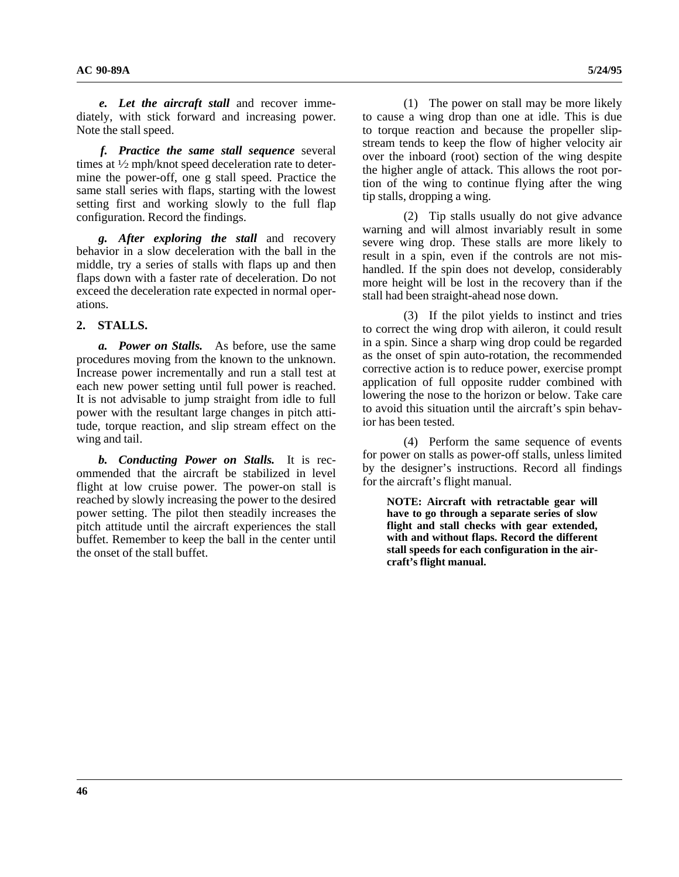*e. Let the aircraft stall* and recover immediately, with stick forward and increasing power. Note the stall speed.

*f. Practice the same stall sequence* several times at 1⁄2 mph/knot speed deceleration rate to determine the power-off, one g stall speed. Practice the same stall series with flaps, starting with the lowest setting first and working slowly to the full flap configuration. Record the findings.

*g. After exploring the stall* and recovery behavior in a slow deceleration with the ball in the middle, try a series of stalls with flaps up and then flaps down with a faster rate of deceleration. Do not exceed the deceleration rate expected in normal operations.

### **2. STALLS.**

*a. Power on Stalls.* As before, use the same procedures moving from the known to the unknown. Increase power incrementally and run a stall test at each new power setting until full power is reached. It is not advisable to jump straight from idle to full power with the resultant large changes in pitch attitude, torque reaction, and slip stream effect on the wing and tail.

*b. Conducting Power on Stalls.* It is recommended that the aircraft be stabilized in level flight at low cruise power. The power-on stall is reached by slowly increasing the power to the desired power setting. The pilot then steadily increases the pitch attitude until the aircraft experiences the stall buffet. Remember to keep the ball in the center until the onset of the stall buffet.

(1) The power on stall may be more likely to cause a wing drop than one at idle. This is due to torque reaction and because the propeller slipstream tends to keep the flow of higher velocity air over the inboard (root) section of the wing despite the higher angle of attack. This allows the root portion of the wing to continue flying after the wing tip stalls, dropping a wing.

(2) Tip stalls usually do not give advance warning and will almost invariably result in some severe wing drop. These stalls are more likely to result in a spin, even if the controls are not mishandled. If the spin does not develop, considerably more height will be lost in the recovery than if the stall had been straight-ahead nose down.

(3) If the pilot yields to instinct and tries to correct the wing drop with aileron, it could result in a spin. Since a sharp wing drop could be regarded as the onset of spin auto-rotation, the recommended corrective action is to reduce power, exercise prompt application of full opposite rudder combined with lowering the nose to the horizon or below. Take care to avoid this situation until the aircraft's spin behavior has been tested.

(4) Perform the same sequence of events for power on stalls as power-off stalls, unless limited by the designer's instructions. Record all findings for the aircraft's flight manual.

**NOTE: Aircraft with retractable gear will have to go through a separate series of slow flight and stall checks with gear extended, with and without flaps. Record the different stall speeds for each configuration in the aircraft's flight manual.**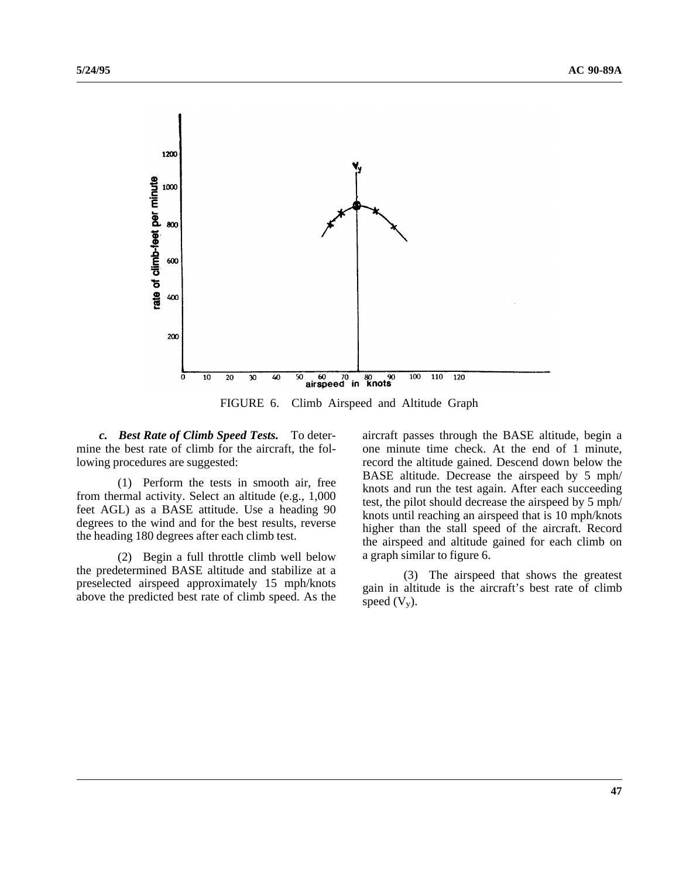

FIGURE 6. Climb Airspeed and Altitude Graph

*c. Best Rate of Climb Speed Tests.* To determine the best rate of climb for the aircraft, the following procedures are suggested:

(1) Perform the tests in smooth air, free from thermal activity. Select an altitude (e.g., 1,000 feet AGL) as a BASE attitude. Use a heading 90 degrees to the wind and for the best results, reverse the heading 180 degrees after each climb test.

(2) Begin a full throttle climb well below the predetermined BASE altitude and stabilize at a preselected airspeed approximately 15 mph/knots above the predicted best rate of climb speed. As the aircraft passes through the BASE altitude, begin a one minute time check. At the end of 1 minute, record the altitude gained. Descend down below the BASE altitude. Decrease the airspeed by 5 mph/ knots and run the test again. After each succeeding test, the pilot should decrease the airspeed by 5 mph/ knots until reaching an airspeed that is 10 mph/knots higher than the stall speed of the aircraft. Record the airspeed and altitude gained for each climb on a graph similar to figure 6.

(3) The airspeed that shows the greatest gain in altitude is the aircraft's best rate of climb speed  $(V_v)$ .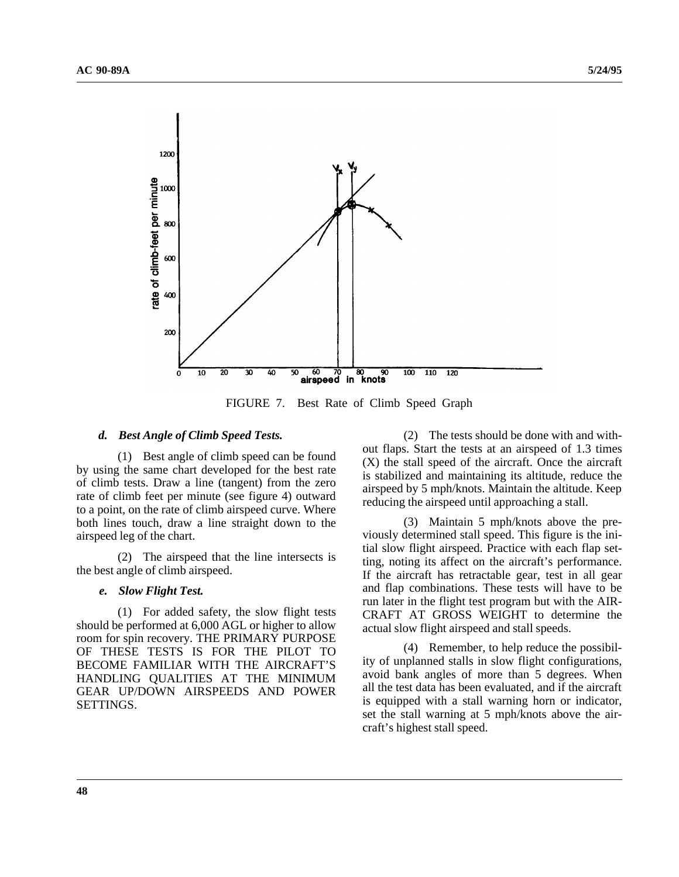

FIGURE 7. Best Rate of Climb Speed Graph

#### *d. Best Angle of Climb Speed Tests.*

(1) Best angle of climb speed can be found by using the same chart developed for the best rate of climb tests. Draw a line (tangent) from the zero rate of climb feet per minute (see figure 4) outward to a point, on the rate of climb airspeed curve. Where both lines touch, draw a line straight down to the airspeed leg of the chart.

(2) The airspeed that the line intersects is the best angle of climb airspeed.

### *e. Slow Flight Test.*

(1) For added safety, the slow flight tests should be performed at 6,000 AGL or higher to allow room for spin recovery. THE PRIMARY PURPOSE OF THESE TESTS IS FOR THE PILOT TO BECOME FAMILIAR WITH THE AIRCRAFT'S HANDLING QUALITIES AT THE MINIMUM GEAR UP/DOWN AIRSPEEDS AND POWER SETTINGS.

(2) The tests should be done with and without flaps. Start the tests at an airspeed of 1.3 times (X) the stall speed of the aircraft. Once the aircraft is stabilized and maintaining its altitude, reduce the airspeed by 5 mph/knots. Maintain the altitude. Keep reducing the airspeed until approaching a stall.

(3) Maintain 5 mph/knots above the previously determined stall speed. This figure is the initial slow flight airspeed. Practice with each flap setting, noting its affect on the aircraft's performance. If the aircraft has retractable gear, test in all gear and flap combinations. These tests will have to be run later in the flight test program but with the AIR-CRAFT AT GROSS WEIGHT to determine the actual slow flight airspeed and stall speeds.

(4) Remember, to help reduce the possibility of unplanned stalls in slow flight configurations, avoid bank angles of more than 5 degrees. When all the test data has been evaluated, and if the aircraft is equipped with a stall warning horn or indicator, set the stall warning at 5 mph/knots above the aircraft's highest stall speed.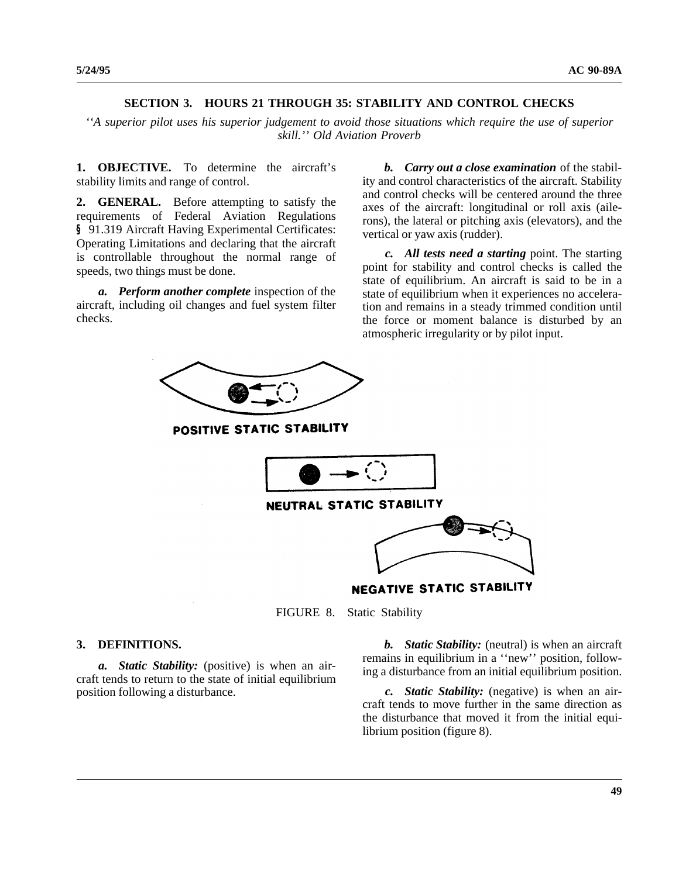# **SECTION 3. HOURS 21 THROUGH 35: STABILITY AND CONTROL CHECKS**

*''A superior pilot uses his superior judgement to avoid those situations which require the use of superior skill.'' Old Aviation Proverb*

**1. OBJECTIVE.** To determine the aircraft's stability limits and range of control.

**2. GENERAL.** Before attempting to satisfy the requirements of Federal Aviation Regulations **§** 91.319 Aircraft Having Experimental Certificates: Operating Limitations and declaring that the aircraft is controllable throughout the normal range of speeds, two things must be done.

*a. Perform another complete* inspection of the aircraft, including oil changes and fuel system filter checks.

*b. Carry out a close examination* of the stability and control characteristics of the aircraft. Stability and control checks will be centered around the three axes of the aircraft: longitudinal or roll axis (ailerons), the lateral or pitching axis (elevators), and the vertical or yaw axis (rudder).

*c. All tests need a starting* point. The starting point for stability and control checks is called the state of equilibrium. An aircraft is said to be in a state of equilibrium when it experiences no acceleration and remains in a steady trimmed condition until the force or moment balance is disturbed by an atmospheric irregularity or by pilot input.



POSITIVE STATIC STABILITY



NEUTRAL STATIC STABILITY



**NEGATIVE STATIC STABILITY** 

FIGURE 8. Static Stability

## **3. DEFINITIONS.**

*a. Static Stability:* (positive) is when an aircraft tends to return to the state of initial equilibrium position following a disturbance.

*b. Static Stability:* (neutral) is when an aircraft remains in equilibrium in a ''new'' position, following a disturbance from an initial equilibrium position.

*c. Static Stability:* (negative) is when an aircraft tends to move further in the same direction as the disturbance that moved it from the initial equilibrium position (figure 8).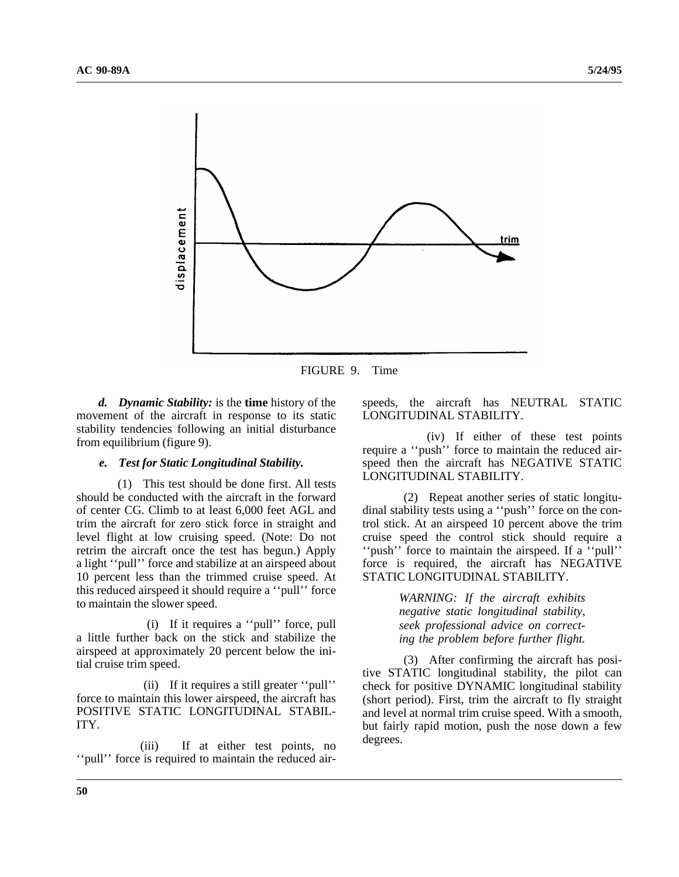

FIGURE 9. Time

*d. Dynamic Stability:* is the **time** history of the movement of the aircraft in response to its static stability tendencies following an initial disturbance from equilibrium (figure 9).

### *e. Test for Static Longitudinal Stability.*

(1) This test should be done first. All tests should be conducted with the aircraft in the forward of center CG. Climb to at least 6,000 feet AGL and trim the aircraft for zero stick force in straight and level flight at low cruising speed. (Note: Do not retrim the aircraft once the test has begun.) Apply a light ''pull'' force and stabilize at an airspeed about 10 percent less than the trimmed cruise speed. At this reduced airspeed it should require a ''pull'' force to maintain the slower speed.

(i) If it requires a ''pull'' force, pull a little further back on the stick and stabilize the airspeed at approximately 20 percent below the initial cruise trim speed.

(ii) If it requires a still greater ''pull'' force to maintain this lower airspeed, the aircraft has POSITIVE STATIC LONGITUDINAL STABIL-ITY.

(iii) If at either test points, no ''pull'' force is required to maintain the reduced airspeeds, the aircraft has NEUTRAL STATIC LONGITUDINAL STABILITY.

(iv) If either of these test points require a ''push'' force to maintain the reduced airspeed then the aircraft has NEGATIVE STATIC LONGITUDINAL STABILITY.

(2) Repeat another series of static longitudinal stability tests using a ''push'' force on the control stick. At an airspeed 10 percent above the trim cruise speed the control stick should require a ''push'' force to maintain the airspeed. If a ''pull'' force is required, the aircraft has NEGATIVE STATIC LONGITUDINAL STABILITY.

> *WARNING: If the aircraft exhibits negative static longitudinal stability, seek professional advice on correcting the problem before further flight.*

(3) After confirming the aircraft has positive STATIC longitudinal stability, the pilot can check for positive DYNAMIC longitudinal stability (short period). First, trim the aircraft to fly straight and level at normal trim cruise speed. With a smooth, but fairly rapid motion, push the nose down a few degrees.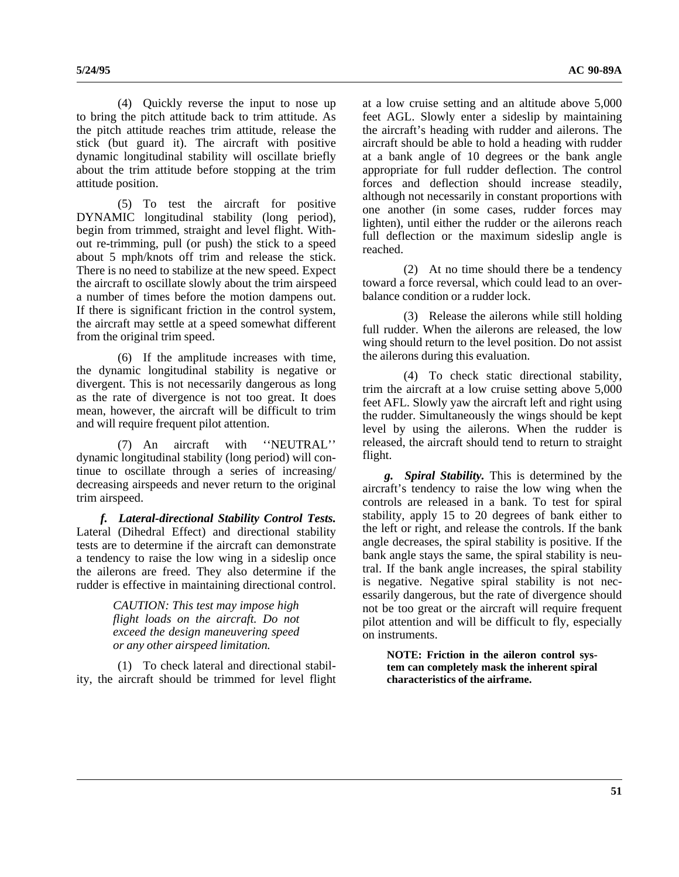(4) Quickly reverse the input to nose up to bring the pitch attitude back to trim attitude. As the pitch attitude reaches trim attitude, release the stick (but guard it). The aircraft with positive dynamic longitudinal stability will oscillate briefly about the trim attitude before stopping at the trim attitude position.

(5) To test the aircraft for positive DYNAMIC longitudinal stability (long period), begin from trimmed, straight and level flight. Without re-trimming, pull (or push) the stick to a speed about 5 mph/knots off trim and release the stick. There is no need to stabilize at the new speed. Expect the aircraft to oscillate slowly about the trim airspeed a number of times before the motion dampens out. If there is significant friction in the control system, the aircraft may settle at a speed somewhat different from the original trim speed.

(6) If the amplitude increases with time, the dynamic longitudinal stability is negative or divergent. This is not necessarily dangerous as long as the rate of divergence is not too great. It does mean, however, the aircraft will be difficult to trim and will require frequent pilot attention.

(7) An aircraft with ''NEUTRAL'' dynamic longitudinal stability (long period) will continue to oscillate through a series of increasing/ decreasing airspeeds and never return to the original trim airspeed.

*f. Lateral-directional Stability Control Tests.* Lateral (Dihedral Effect) and directional stability tests are to determine if the aircraft can demonstrate a tendency to raise the low wing in a sideslip once the ailerons are freed. They also determine if the rudder is effective in maintaining directional control.

> *CAUTION: This test may impose high flight loads on the aircraft. Do not exceed the design maneuvering speed or any other airspeed limitation.*

(1) To check lateral and directional stability, the aircraft should be trimmed for level flight at a low cruise setting and an altitude above 5,000 feet AGL. Slowly enter a sideslip by maintaining the aircraft's heading with rudder and ailerons. The aircraft should be able to hold a heading with rudder at a bank angle of 10 degrees or the bank angle appropriate for full rudder deflection. The control forces and deflection should increase steadily, although not necessarily in constant proportions with one another (in some cases, rudder forces may lighten), until either the rudder or the ailerons reach full deflection or the maximum sideslip angle is reached.

(2) At no time should there be a tendency toward a force reversal, which could lead to an overbalance condition or a rudder lock.

(3) Release the ailerons while still holding full rudder. When the ailerons are released, the low wing should return to the level position. Do not assist the ailerons during this evaluation.

(4) To check static directional stability, trim the aircraft at a low cruise setting above 5,000 feet AFL. Slowly yaw the aircraft left and right using the rudder. Simultaneously the wings should be kept level by using the ailerons. When the rudder is released, the aircraft should tend to return to straight flight.

*g. Spiral Stability.* This is determined by the aircraft's tendency to raise the low wing when the controls are released in a bank. To test for spiral stability, apply 15 to 20 degrees of bank either to the left or right, and release the controls. If the bank angle decreases, the spiral stability is positive. If the bank angle stays the same, the spiral stability is neutral. If the bank angle increases, the spiral stability is negative. Negative spiral stability is not necessarily dangerous, but the rate of divergence should not be too great or the aircraft will require frequent pilot attention and will be difficult to fly, especially on instruments.

**NOTE: Friction in the aileron control system can completely mask the inherent spiral characteristics of the airframe.**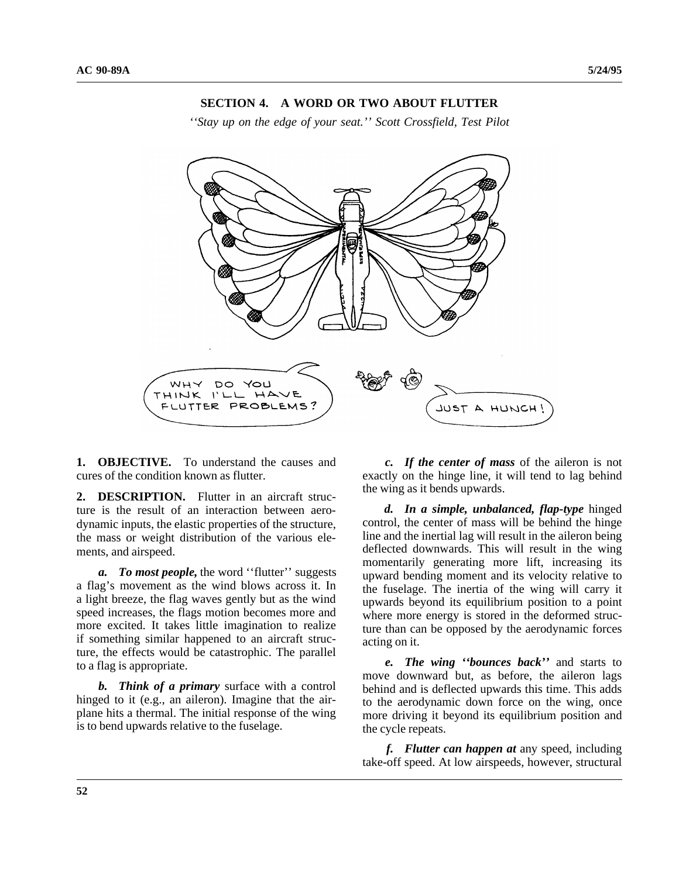# **SECTION 4. A WORD OR TWO ABOUT FLUTTER**

*''Stay up on the edge of your seat.'' Scott Crossfield, Test Pilot*



**1. OBJECTIVE.** To understand the causes and cures of the condition known as flutter.

**2. DESCRIPTION.** Flutter in an aircraft structure is the result of an interaction between aerodynamic inputs, the elastic properties of the structure, the mass or weight distribution of the various elements, and airspeed.

*a. To most people,* the word ''flutter'' suggests a flag's movement as the wind blows across it. In a light breeze, the flag waves gently but as the wind speed increases, the flags motion becomes more and more excited. It takes little imagination to realize if something similar happened to an aircraft structure, the effects would be catastrophic. The parallel to a flag is appropriate.

*b. Think of a primary* surface with a control hinged to it (e.g., an aileron). Imagine that the airplane hits a thermal. The initial response of the wing is to bend upwards relative to the fuselage.

*c. If the center of mass* of the aileron is not exactly on the hinge line, it will tend to lag behind the wing as it bends upwards.

*d. In a simple, unbalanced, flap-type* hinged control, the center of mass will be behind the hinge line and the inertial lag will result in the aileron being deflected downwards. This will result in the wing momentarily generating more lift, increasing its upward bending moment and its velocity relative to the fuselage. The inertia of the wing will carry it upwards beyond its equilibrium position to a point where more energy is stored in the deformed structure than can be opposed by the aerodynamic forces acting on it.

*e. The wing ''bounces back''* and starts to move downward but, as before, the aileron lags behind and is deflected upwards this time. This adds to the aerodynamic down force on the wing, once more driving it beyond its equilibrium position and the cycle repeats.

*f. Flutter can happen at* any speed, including take-off speed. At low airspeeds, however, structural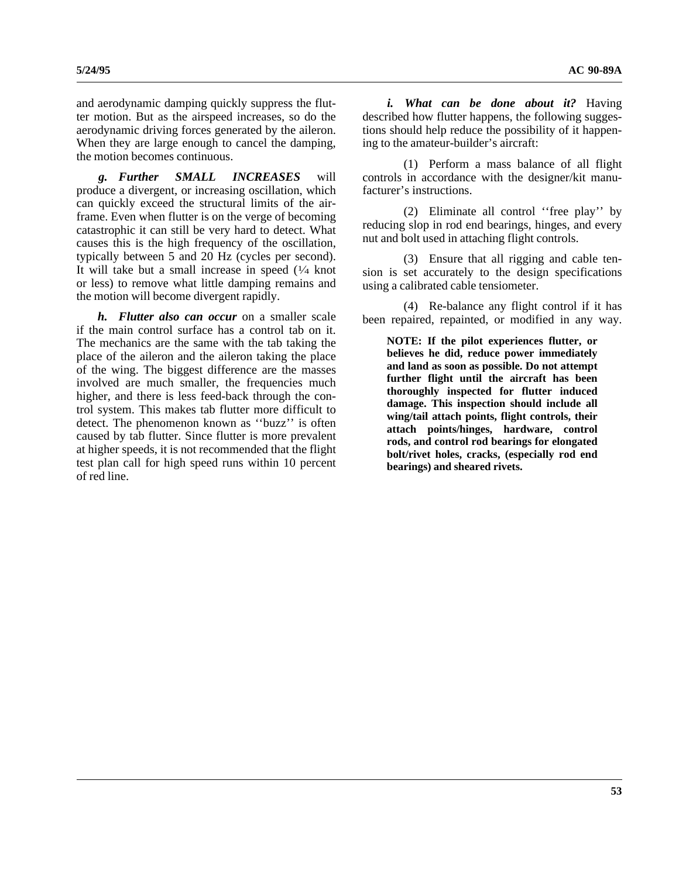and aerodynamic damping quickly suppress the flutter motion. But as the airspeed increases, so do the aerodynamic driving forces generated by the aileron. When they are large enough to cancel the damping, the motion becomes continuous.

*g. Further SMALL INCREASES* will produce a divergent, or increasing oscillation, which can quickly exceed the structural limits of the airframe. Even when flutter is on the verge of becoming catastrophic it can still be very hard to detect. What causes this is the high frequency of the oscillation, typically between 5 and 20 Hz (cycles per second). It will take but a small increase in speed  $(\frac{1}{4}$  knot or less) to remove what little damping remains and the motion will become divergent rapidly.

*h. Flutter also can occur* on a smaller scale if the main control surface has a control tab on it. The mechanics are the same with the tab taking the place of the aileron and the aileron taking the place of the wing. The biggest difference are the masses involved are much smaller, the frequencies much higher, and there is less feed-back through the control system. This makes tab flutter more difficult to detect. The phenomenon known as ''buzz'' is often caused by tab flutter. Since flutter is more prevalent at higher speeds, it is not recommended that the flight test plan call for high speed runs within 10 percent of red line.

*i. What can be done about it?* Having described how flutter happens, the following suggestions should help reduce the possibility of it happening to the amateur-builder's aircraft:

(1) Perform a mass balance of all flight controls in accordance with the designer/kit manufacturer's instructions.

(2) Eliminate all control ''free play'' by reducing slop in rod end bearings, hinges, and every nut and bolt used in attaching flight controls.

(3) Ensure that all rigging and cable tension is set accurately to the design specifications using a calibrated cable tensiometer.

(4) Re-balance any flight control if it has been repaired, repainted, or modified in any way.

**NOTE: If the pilot experiences flutter, or believes he did, reduce power immediately and land as soon as possible. Do not attempt further flight until the aircraft has been thoroughly inspected for flutter induced damage. This inspection should include all wing/tail attach points, flight controls, their attach points/hinges, hardware, control rods, and control rod bearings for elongated bolt/rivet holes, cracks, (especially rod end bearings) and sheared rivets.**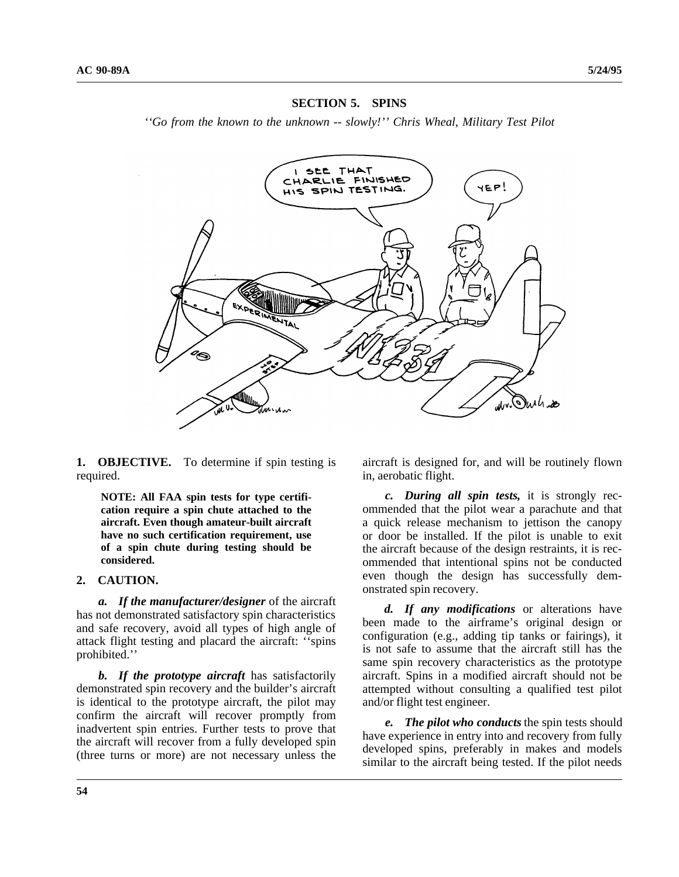### **SECTION 5. SPINS**

*''Go from the known to the unknown -- slowly!'' Chris Wheal, Military Test Pilot*



**1. OBJECTIVE.** To determine if spin testing is required.

**NOTE: All FAA spin tests for type certification require a spin chute attached to the aircraft. Even though amateur-built aircraft have no such certification requirement, use of a spin chute during testing should be considered.**

### **2. CAUTION.**

*a. If the manufacturer/designer* of the aircraft has not demonstrated satisfactory spin characteristics and safe recovery, avoid all types of high angle of attack flight testing and placard the aircraft: ''spins prohibited.''

*b. If the prototype aircraft* has satisfactorily demonstrated spin recovery and the builder's aircraft is identical to the prototype aircraft, the pilot may confirm the aircraft will recover promptly from inadvertent spin entries. Further tests to prove that the aircraft will recover from a fully developed spin (three turns or more) are not necessary unless the

aircraft is designed for, and will be routinely flown in, aerobatic flight.

*c. During all spin tests,* it is strongly recommended that the pilot wear a parachute and that a quick release mechanism to jettison the canopy or door be installed. If the pilot is unable to exit the aircraft because of the design restraints, it is recommended that intentional spins not be conducted even though the design has successfully demonstrated spin recovery.

*d. If any modifications* or alterations have been made to the airframe's original design or configuration (e.g., adding tip tanks or fairings), it is not safe to assume that the aircraft still has the same spin recovery characteristics as the prototype aircraft. Spins in a modified aircraft should not be attempted without consulting a qualified test pilot and/or flight test engineer.

*e. The pilot who conducts* the spin tests should have experience in entry into and recovery from fully developed spins, preferably in makes and models similar to the aircraft being tested. If the pilot needs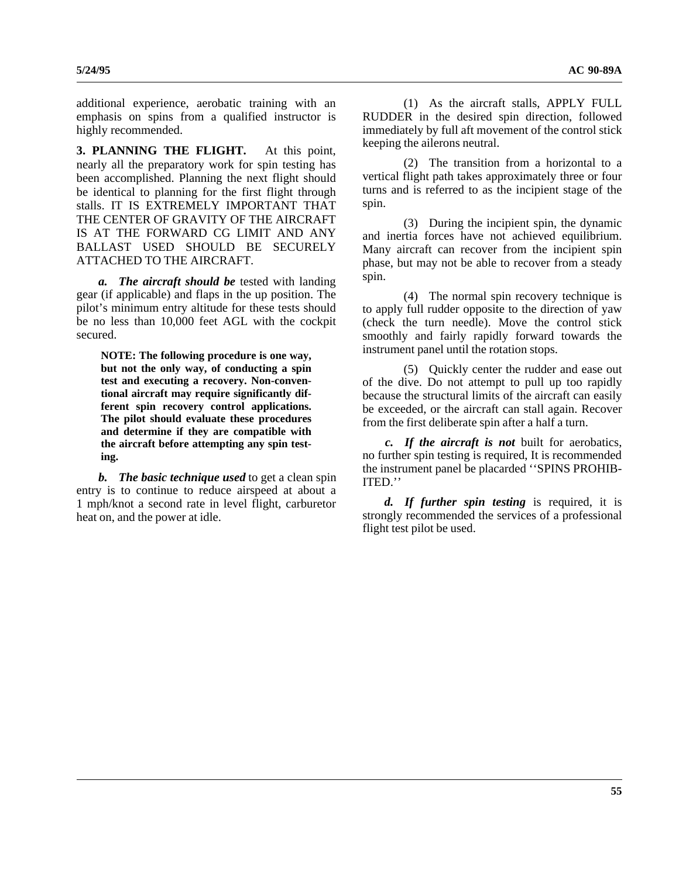additional experience, aerobatic training with an emphasis on spins from a qualified instructor is highly recommended.

**3. PLANNING THE FLIGHT.** At this point, nearly all the preparatory work for spin testing has been accomplished. Planning the next flight should be identical to planning for the first flight through stalls. IT IS EXTREMELY IMPORTANT THAT THE CENTER OF GRAVITY OF THE AIRCRAFT IS AT THE FORWARD CG LIMIT AND ANY BALLAST USED SHOULD BE SECURELY ATTACHED TO THE AIRCRAFT.

*a. The aircraft should be* tested with landing gear (if applicable) and flaps in the up position. The pilot's minimum entry altitude for these tests should be no less than 10,000 feet AGL with the cockpit secured.

**NOTE: The following procedure is one way, but not the only way, of conducting a spin test and executing a recovery. Non-conventional aircraft may require significantly different spin recovery control applications. The pilot should evaluate these procedures and determine if they are compatible with the aircraft before attempting any spin testing.**

*b. The basic technique used* to get a clean spin entry is to continue to reduce airspeed at about a 1 mph/knot a second rate in level flight, carburetor heat on, and the power at idle.

(1) As the aircraft stalls, APPLY FULL RUDDER in the desired spin direction, followed immediately by full aft movement of the control stick keeping the ailerons neutral.

(2) The transition from a horizontal to a vertical flight path takes approximately three or four turns and is referred to as the incipient stage of the spin.

(3) During the incipient spin, the dynamic and inertia forces have not achieved equilibrium. Many aircraft can recover from the incipient spin phase, but may not be able to recover from a steady spin.

(4) The normal spin recovery technique is to apply full rudder opposite to the direction of yaw (check the turn needle). Move the control stick smoothly and fairly rapidly forward towards the instrument panel until the rotation stops.

(5) Quickly center the rudder and ease out of the dive. Do not attempt to pull up too rapidly because the structural limits of the aircraft can easily be exceeded, or the aircraft can stall again. Recover from the first deliberate spin after a half a turn.

*c. If the aircraft is not* built for aerobatics, no further spin testing is required, It is recommended the instrument panel be placarded ''SPINS PROHIB-ITED.''

*d. If further spin testing* is required, it is strongly recommended the services of a professional flight test pilot be used.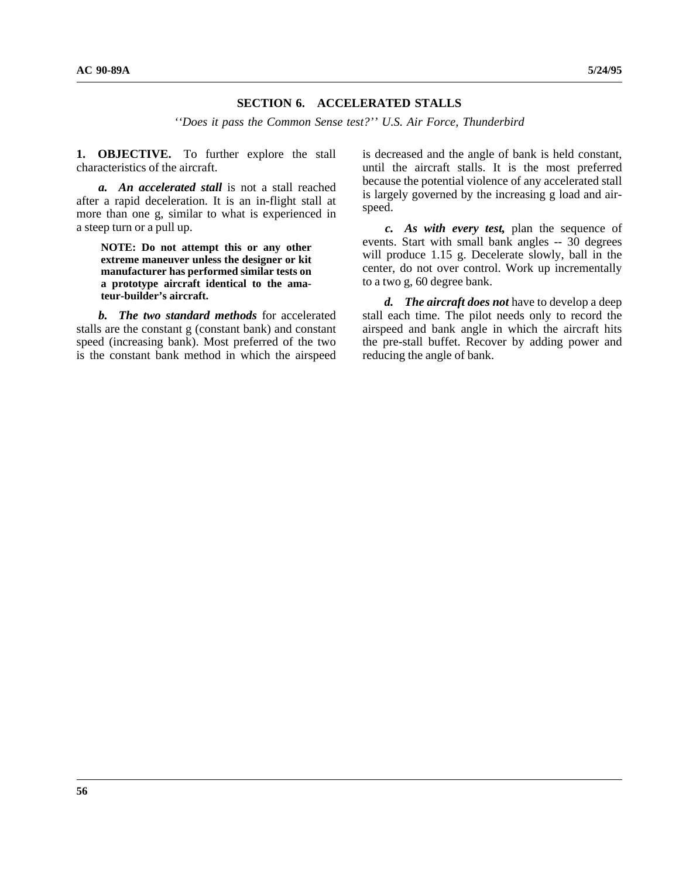# **SECTION 6. ACCELERATED STALLS**

*''Does it pass the Common Sense test?'' U.S. Air Force, Thunderbird*

**1. OBJECTIVE.** To further explore the stall characteristics of the aircraft.

*a. An accelerated stall* is not a stall reached after a rapid deceleration. It is an in-flight stall at more than one g, similar to what is experienced in a steep turn or a pull up.

**NOTE: Do not attempt this or any other extreme maneuver unless the designer or kit manufacturer has performed similar tests on a prototype aircraft identical to the amateur-builder's aircraft.**

*b. The two standard methods* for accelerated stalls are the constant g (constant bank) and constant speed (increasing bank). Most preferred of the two is the constant bank method in which the airspeed

is decreased and the angle of bank is held constant, until the aircraft stalls. It is the most preferred because the potential violence of any accelerated stall is largely governed by the increasing g load and airspeed.

*c. As with every test,* plan the sequence of events. Start with small bank angles -- 30 degrees will produce 1.15 g. Decelerate slowly, ball in the center, do not over control. Work up incrementally to a two g, 60 degree bank.

*d. The aircraft does not* have to develop a deep stall each time. The pilot needs only to record the airspeed and bank angle in which the aircraft hits the pre-stall buffet. Recover by adding power and reducing the angle of bank.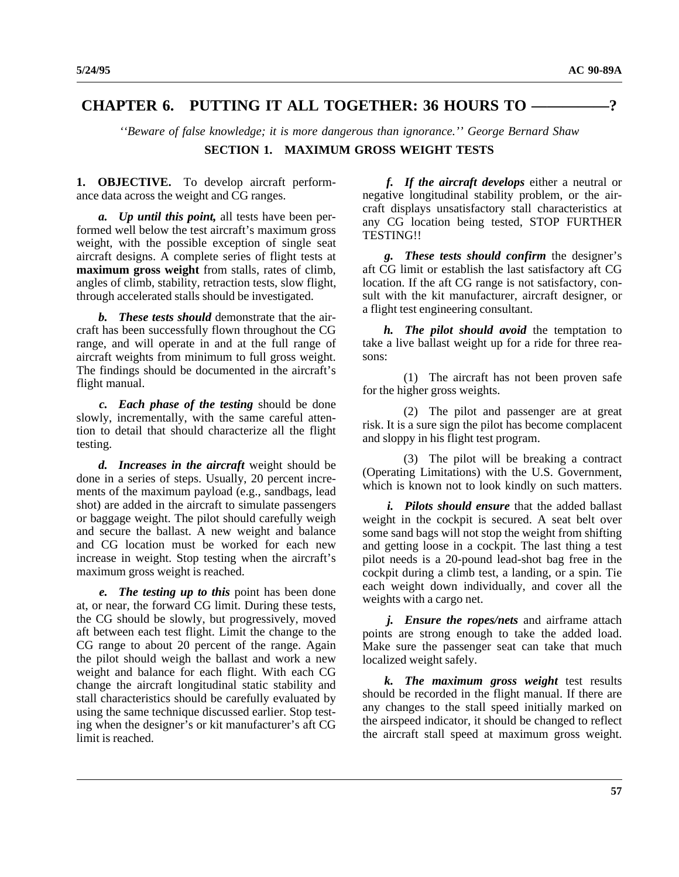# **CHAPTER 6. PUTTING IT ALL TOGETHER: 36 HOURS TO —————?**

*''Beware of false knowledge; it is more dangerous than ignorance.'' George Bernard Shaw* **SECTION 1. MAXIMUM GROSS WEIGHT TESTS**

**1. OBJECTIVE.** To develop aircraft performance data across the weight and CG ranges.

*a. Up until this point,* all tests have been performed well below the test aircraft's maximum gross weight, with the possible exception of single seat aircraft designs. A complete series of flight tests at **maximum gross weight** from stalls, rates of climb, angles of climb, stability, retraction tests, slow flight, through accelerated stalls should be investigated.

*b. These tests should* demonstrate that the aircraft has been successfully flown throughout the CG range, and will operate in and at the full range of aircraft weights from minimum to full gross weight. The findings should be documented in the aircraft's flight manual.

*c. Each phase of the testing* should be done slowly, incrementally, with the same careful attention to detail that should characterize all the flight testing.

*d. Increases in the aircraft* weight should be done in a series of steps. Usually, 20 percent increments of the maximum payload (e.g., sandbags, lead shot) are added in the aircraft to simulate passengers or baggage weight. The pilot should carefully weigh and secure the ballast. A new weight and balance and CG location must be worked for each new increase in weight. Stop testing when the aircraft's maximum gross weight is reached.

*e. The testing up to this* point has been done at, or near, the forward CG limit. During these tests, the CG should be slowly, but progressively, moved aft between each test flight. Limit the change to the CG range to about 20 percent of the range. Again the pilot should weigh the ballast and work a new weight and balance for each flight. With each CG change the aircraft longitudinal static stability and stall characteristics should be carefully evaluated by using the same technique discussed earlier. Stop testing when the designer's or kit manufacturer's aft CG limit is reached.

*f. If the aircraft develops* either a neutral or negative longitudinal stability problem, or the aircraft displays unsatisfactory stall characteristics at any CG location being tested, STOP FURTHER TESTING!!

*g. These tests should confirm* the designer's aft CG limit or establish the last satisfactory aft CG location. If the aft CG range is not satisfactory, consult with the kit manufacturer, aircraft designer, or a flight test engineering consultant.

*h. The pilot should avoid* the temptation to take a live ballast weight up for a ride for three reasons:

(1) The aircraft has not been proven safe for the higher gross weights.

(2) The pilot and passenger are at great risk. It is a sure sign the pilot has become complacent and sloppy in his flight test program.

(3) The pilot will be breaking a contract (Operating Limitations) with the U.S. Government, which is known not to look kindly on such matters.

*i. Pilots should ensure* that the added ballast weight in the cockpit is secured. A seat belt over some sand bags will not stop the weight from shifting and getting loose in a cockpit. The last thing a test pilot needs is a 20-pound lead-shot bag free in the cockpit during a climb test, a landing, or a spin. Tie each weight down individually, and cover all the weights with a cargo net.

*j. Ensure the ropes/nets* and airframe attach points are strong enough to take the added load. Make sure the passenger seat can take that much localized weight safely.

*k. The maximum gross weight* test results should be recorded in the flight manual. If there are any changes to the stall speed initially marked on the airspeed indicator, it should be changed to reflect the aircraft stall speed at maximum gross weight.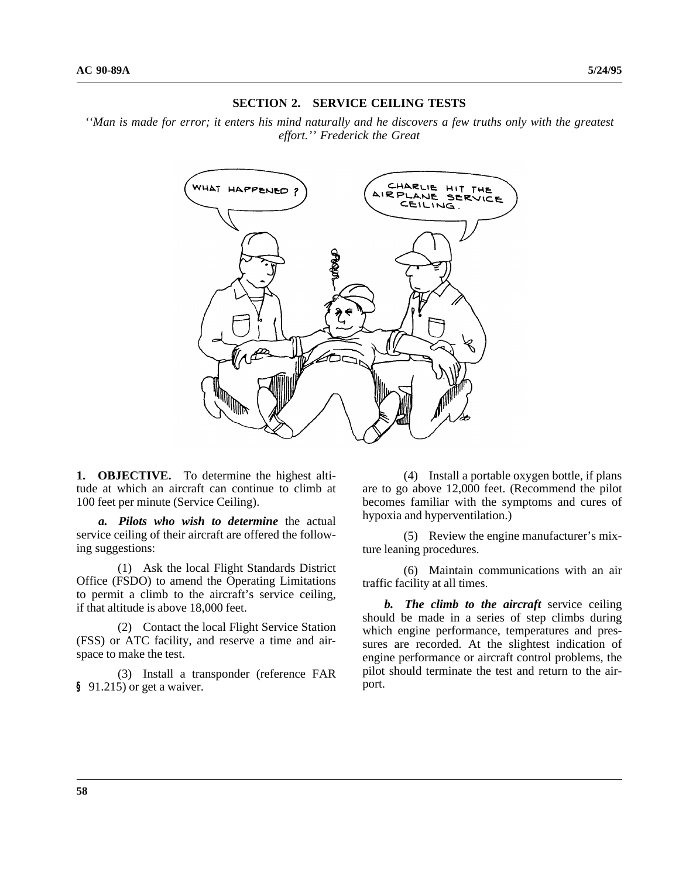# **SECTION 2. SERVICE CEILING TESTS**

*''Man is made for error; it enters his mind naturally and he discovers a few truths only with the greatest effort.'' Frederick the Great*



**1. OBJECTIVE.** To determine the highest altitude at which an aircraft can continue to climb at 100 feet per minute (Service Ceiling).

*a. Pilots who wish to determine* the actual service ceiling of their aircraft are offered the following suggestions:

(1) Ask the local Flight Standards District Office (FSDO) to amend the Operating Limitations to permit a climb to the aircraft's service ceiling, if that altitude is above 18,000 feet.

(2) Contact the local Flight Service Station (FSS) or ATC facility, and reserve a time and airspace to make the test.

(3) Install a transponder (reference FAR **§** 91.215) or get a waiver.

(4) Install a portable oxygen bottle, if plans are to go above 12,000 feet. (Recommend the pilot becomes familiar with the symptoms and cures of hypoxia and hyperventilation.)

(5) Review the engine manufacturer's mixture leaning procedures.

(6) Maintain communications with an air traffic facility at all times.

*b. The climb to the aircraft* service ceiling should be made in a series of step climbs during which engine performance, temperatures and pressures are recorded. At the slightest indication of engine performance or aircraft control problems, the pilot should terminate the test and return to the airport.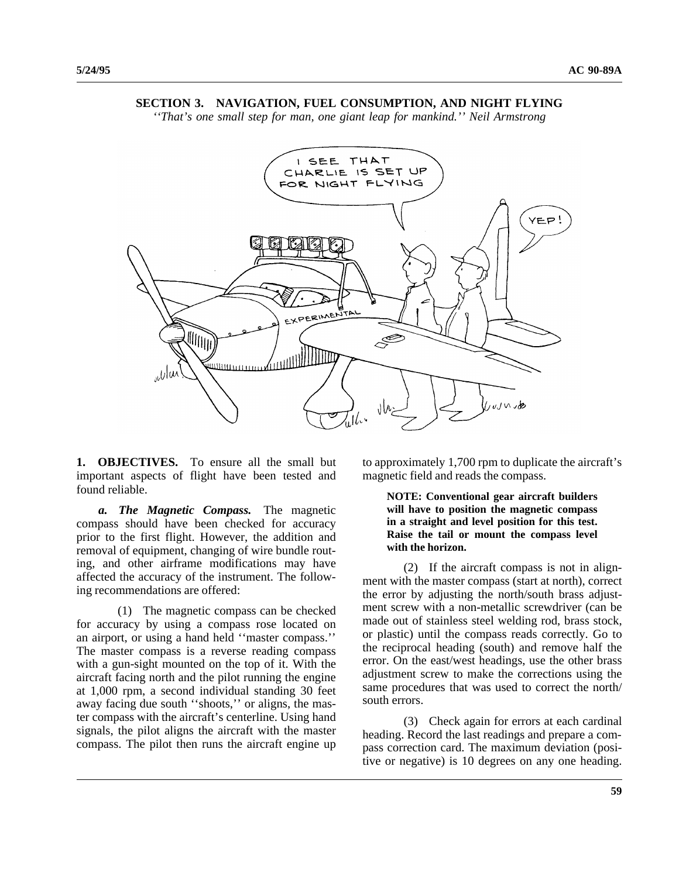### **SECTION 3. NAVIGATION, FUEL CONSUMPTION, AND NIGHT FLYING**

*''That's one small step for man, one giant leap for mankind.'' Neil Armstrong*



**1. OBJECTIVES.** To ensure all the small but important aspects of flight have been tested and found reliable.

*a. The Magnetic Compass.* The magnetic compass should have been checked for accuracy prior to the first flight. However, the addition and removal of equipment, changing of wire bundle routing, and other airframe modifications may have affected the accuracy of the instrument. The following recommendations are offered:

(1) The magnetic compass can be checked for accuracy by using a compass rose located on an airport, or using a hand held ''master compass.'' The master compass is a reverse reading compass with a gun-sight mounted on the top of it. With the aircraft facing north and the pilot running the engine at 1,000 rpm, a second individual standing 30 feet away facing due south ''shoots,'' or aligns, the master compass with the aircraft's centerline. Using hand signals, the pilot aligns the aircraft with the master compass. The pilot then runs the aircraft engine up

to approximately 1,700 rpm to duplicate the aircraft's magnetic field and reads the compass.

**NOTE: Conventional gear aircraft builders will have to position the magnetic compass in a straight and level position for this test. Raise the tail or mount the compass level with the horizon.**

(2) If the aircraft compass is not in alignment with the master compass (start at north), correct the error by adjusting the north/south brass adjustment screw with a non-metallic screwdriver (can be made out of stainless steel welding rod, brass stock, or plastic) until the compass reads correctly. Go to the reciprocal heading (south) and remove half the error. On the east/west headings, use the other brass adjustment screw to make the corrections using the same procedures that was used to correct the north/ south errors.

(3) Check again for errors at each cardinal heading. Record the last readings and prepare a compass correction card. The maximum deviation (positive or negative) is 10 degrees on any one heading.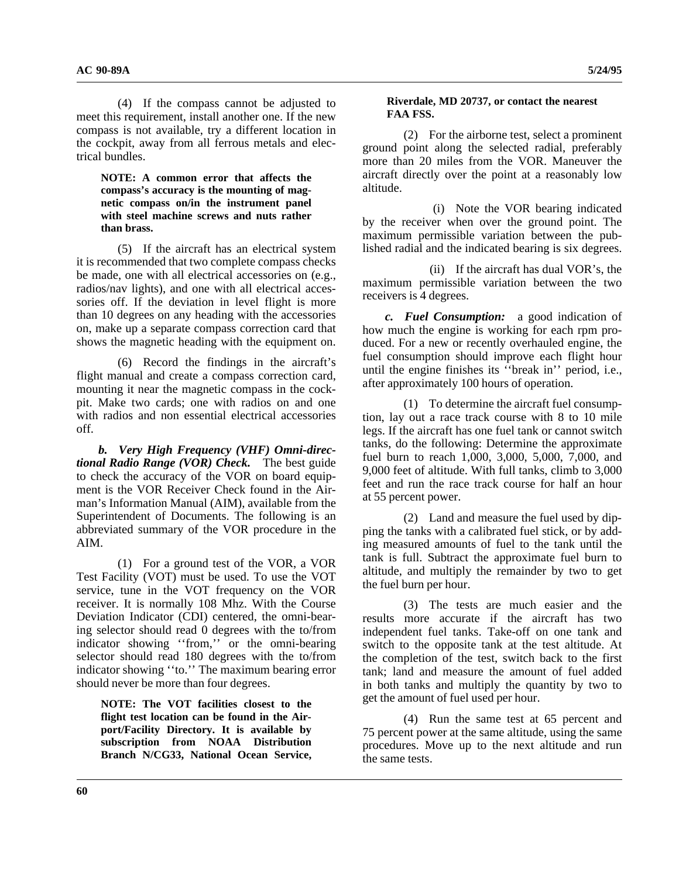(4) If the compass cannot be adjusted to meet this requirement, install another one. If the new compass is not available, try a different location in the cockpit, away from all ferrous metals and electrical bundles.

### **NOTE: A common error that affects the compass's accuracy is the mounting of magnetic compass on/in the instrument panel with steel machine screws and nuts rather than brass.**

(5) If the aircraft has an electrical system it is recommended that two complete compass checks be made, one with all electrical accessories on (e.g., radios/nav lights), and one with all electrical accessories off. If the deviation in level flight is more than 10 degrees on any heading with the accessories on, make up a separate compass correction card that shows the magnetic heading with the equipment on.

(6) Record the findings in the aircraft's flight manual and create a compass correction card, mounting it near the magnetic compass in the cockpit. Make two cards; one with radios on and one with radios and non essential electrical accessories off.

*b. Very High Frequency (VHF) Omni-directional Radio Range (VOR) Check.* The best guide to check the accuracy of the VOR on board equipment is the VOR Receiver Check found in the Airman's Information Manual (AIM), available from the Superintendent of Documents. The following is an abbreviated summary of the VOR procedure in the AIM.

(1) For a ground test of the VOR, a VOR Test Facility (VOT) must be used. To use the VOT service, tune in the VOT frequency on the VOR receiver. It is normally 108 Mhz. With the Course Deviation Indicator (CDI) centered, the omni-bearing selector should read 0 degrees with the to/from indicator showing ''from,'' or the omni-bearing selector should read 180 degrees with the to/from indicator showing ''to.'' The maximum bearing error should never be more than four degrees.

**NOTE: The VOT facilities closest to the flight test location can be found in the Airport/Facility Directory. It is available by subscription from NOAA Distribution Branch N/CG33, National Ocean Service,**

### **Riverdale, MD 20737, or contact the nearest FAA FSS.**

(2) For the airborne test, select a prominent ground point along the selected radial, preferably more than 20 miles from the VOR. Maneuver the aircraft directly over the point at a reasonably low altitude.

(i) Note the VOR bearing indicated by the receiver when over the ground point. The maximum permissible variation between the published radial and the indicated bearing is six degrees.

(ii) If the aircraft has dual VOR's, the maximum permissible variation between the two receivers is 4 degrees.

*c. Fuel Consumption:* a good indication of how much the engine is working for each rpm produced. For a new or recently overhauled engine, the fuel consumption should improve each flight hour until the engine finishes its ''break in'' period, i.e., after approximately 100 hours of operation.

(1) To determine the aircraft fuel consumption, lay out a race track course with 8 to 10 mile legs. If the aircraft has one fuel tank or cannot switch tanks, do the following: Determine the approximate fuel burn to reach 1,000, 3,000, 5,000, 7,000, and 9,000 feet of altitude. With full tanks, climb to 3,000 feet and run the race track course for half an hour at 55 percent power.

(2) Land and measure the fuel used by dipping the tanks with a calibrated fuel stick, or by adding measured amounts of fuel to the tank until the tank is full. Subtract the approximate fuel burn to altitude, and multiply the remainder by two to get the fuel burn per hour.

(3) The tests are much easier and the results more accurate if the aircraft has two independent fuel tanks. Take-off on one tank and switch to the opposite tank at the test altitude. At the completion of the test, switch back to the first tank; land and measure the amount of fuel added in both tanks and multiply the quantity by two to get the amount of fuel used per hour.

(4) Run the same test at 65 percent and 75 percent power at the same altitude, using the same procedures. Move up to the next altitude and run the same tests.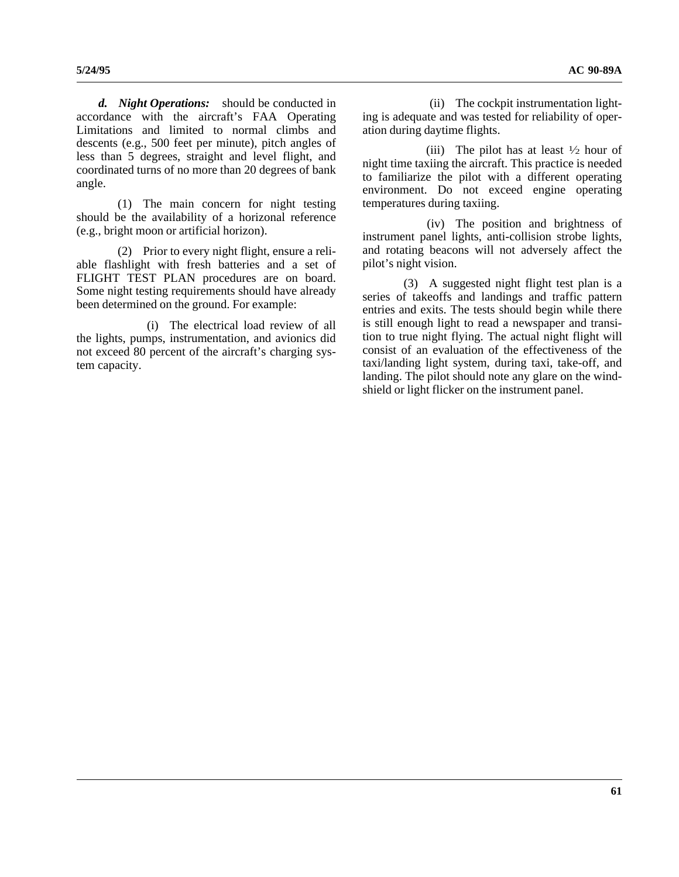*d. Night Operations:* should be conducted in accordance with the aircraft's FAA Operating Limitations and limited to normal climbs and descents (e.g., 500 feet per minute), pitch angles of less than 5 degrees, straight and level flight, and coordinated turns of no more than 20 degrees of bank angle.

(1) The main concern for night testing should be the availability of a horizonal reference (e.g., bright moon or artificial horizon).

(2) Prior to every night flight, ensure a reliable flashlight with fresh batteries and a set of FLIGHT TEST PLAN procedures are on board. Some night testing requirements should have already been determined on the ground. For example:

(i) The electrical load review of all the lights, pumps, instrumentation, and avionics did not exceed 80 percent of the aircraft's charging system capacity.

(ii) The cockpit instrumentation lighting is adequate and was tested for reliability of operation during daytime flights.

(iii) The pilot has at least  $\frac{1}{2}$  hour of night time taxiing the aircraft. This practice is needed to familiarize the pilot with a different operating environment. Do not exceed engine operating temperatures during taxiing.

(iv) The position and brightness of instrument panel lights, anti-collision strobe lights, and rotating beacons will not adversely affect the pilot's night vision.

(3) A suggested night flight test plan is a series of takeoffs and landings and traffic pattern entries and exits. The tests should begin while there is still enough light to read a newspaper and transition to true night flying. The actual night flight will consist of an evaluation of the effectiveness of the taxi/landing light system, during taxi, take-off, and landing. The pilot should note any glare on the windshield or light flicker on the instrument panel.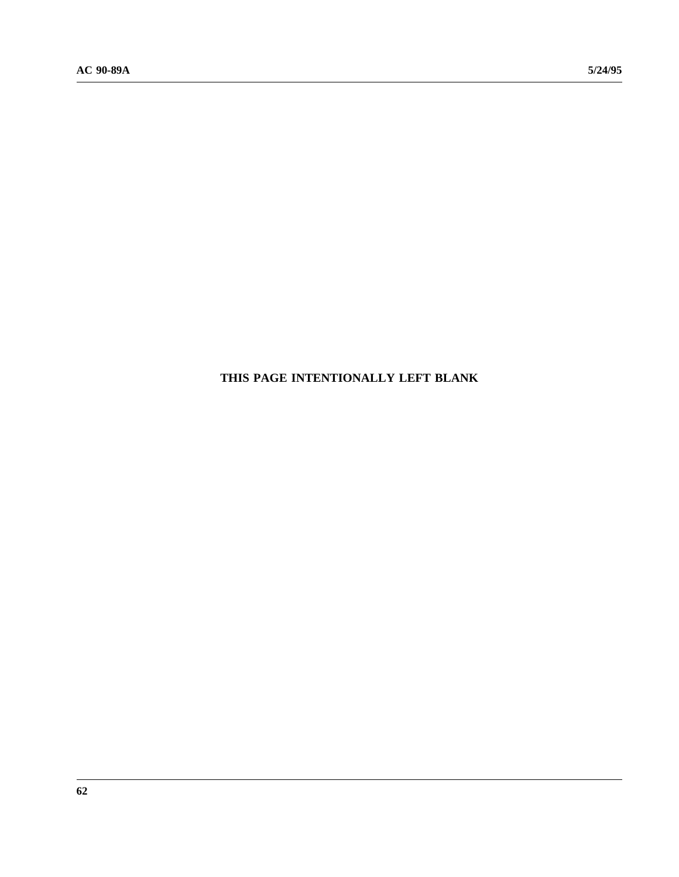# **THIS PAGE INTENTIONALLY LEFT BLANK**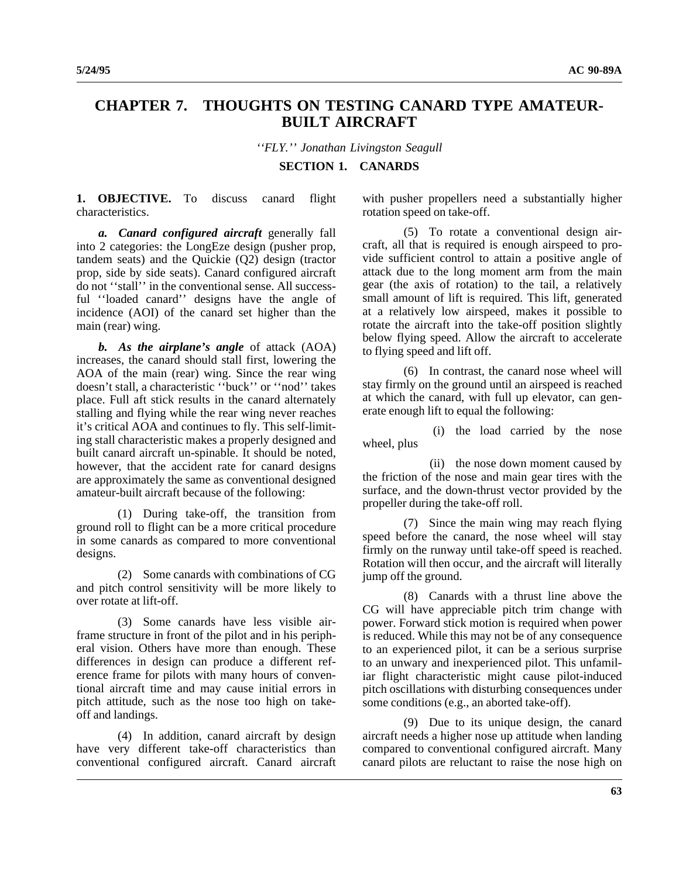# **CHAPTER 7. THOUGHTS ON TESTING CANARD TYPE AMATEUR-BUILT AIRCRAFT**

*''FLY.'' Jonathan Livingston Seagull* **SECTION 1. CANARDS**

**1. OBJECTIVE.** To discuss canard flight characteristics.

*a. Canard configured aircraft* generally fall into 2 categories: the LongEze design (pusher prop, tandem seats) and the Quickie (Q2) design (tractor prop, side by side seats). Canard configured aircraft do not ''stall'' in the conventional sense. All successful ''loaded canard'' designs have the angle of incidence (AOI) of the canard set higher than the main (rear) wing.

*b. As the airplane's angle* of attack (AOA) increases, the canard should stall first, lowering the AOA of the main (rear) wing. Since the rear wing doesn't stall, a characteristic ''buck'' or ''nod'' takes place. Full aft stick results in the canard alternately stalling and flying while the rear wing never reaches it's critical AOA and continues to fly. This self-limiting stall characteristic makes a properly designed and built canard aircraft un-spinable. It should be noted, however, that the accident rate for canard designs are approximately the same as conventional designed amateur-built aircraft because of the following:

(1) During take-off, the transition from ground roll to flight can be a more critical procedure in some canards as compared to more conventional designs.

(2) Some canards with combinations of CG and pitch control sensitivity will be more likely to over rotate at lift-off.

(3) Some canards have less visible airframe structure in front of the pilot and in his peripheral vision. Others have more than enough. These differences in design can produce a different reference frame for pilots with many hours of conventional aircraft time and may cause initial errors in pitch attitude, such as the nose too high on takeoff and landings.

(4) In addition, canard aircraft by design have very different take-off characteristics than conventional configured aircraft. Canard aircraft with pusher propellers need a substantially higher rotation speed on take-off.

(5) To rotate a conventional design aircraft, all that is required is enough airspeed to provide sufficient control to attain a positive angle of attack due to the long moment arm from the main gear (the axis of rotation) to the tail, a relatively small amount of lift is required. This lift, generated at a relatively low airspeed, makes it possible to rotate the aircraft into the take-off position slightly below flying speed. Allow the aircraft to accelerate to flying speed and lift off.

(6) In contrast, the canard nose wheel will stay firmly on the ground until an airspeed is reached at which the canard, with full up elevator, can generate enough lift to equal the following:

(i) the load carried by the nose wheel, plus

(ii) the nose down moment caused by the friction of the nose and main gear tires with the surface, and the down-thrust vector provided by the propeller during the take-off roll.

(7) Since the main wing may reach flying speed before the canard, the nose wheel will stay firmly on the runway until take-off speed is reached. Rotation will then occur, and the aircraft will literally jump off the ground.

(8) Canards with a thrust line above the CG will have appreciable pitch trim change with power. Forward stick motion is required when power is reduced. While this may not be of any consequence to an experienced pilot, it can be a serious surprise to an unwary and inexperienced pilot. This unfamiliar flight characteristic might cause pilot-induced pitch oscillations with disturbing consequences under some conditions (e.g., an aborted take-off).

(9) Due to its unique design, the canard aircraft needs a higher nose up attitude when landing compared to conventional configured aircraft. Many canard pilots are reluctant to raise the nose high on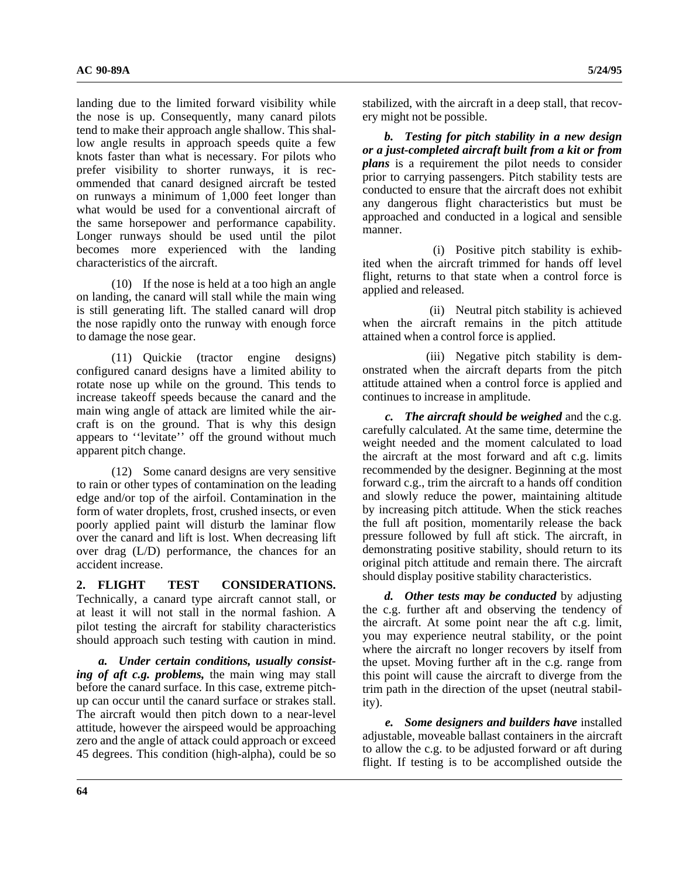landing due to the limited forward visibility while the nose is up. Consequently, many canard pilots tend to make their approach angle shallow. This shallow angle results in approach speeds quite a few knots faster than what is necessary. For pilots who prefer visibility to shorter runways, it is recommended that canard designed aircraft be tested on runways a minimum of 1,000 feet longer than what would be used for a conventional aircraft of the same horsepower and performance capability. Longer runways should be used until the pilot becomes more experienced with the landing characteristics of the aircraft.

(10) If the nose is held at a too high an angle on landing, the canard will stall while the main wing is still generating lift. The stalled canard will drop the nose rapidly onto the runway with enough force to damage the nose gear.

(11) Quickie (tractor engine designs) configured canard designs have a limited ability to rotate nose up while on the ground. This tends to increase takeoff speeds because the canard and the main wing angle of attack are limited while the aircraft is on the ground. That is why this design appears to ''levitate'' off the ground without much apparent pitch change.

(12) Some canard designs are very sensitive to rain or other types of contamination on the leading edge and/or top of the airfoil. Contamination in the form of water droplets, frost, crushed insects, or even poorly applied paint will disturb the laminar flow over the canard and lift is lost. When decreasing lift over drag (L/D) performance, the chances for an accident increase.

**2. FLIGHT TEST CONSIDERATIONS.** Technically, a canard type aircraft cannot stall, or at least it will not stall in the normal fashion. A pilot testing the aircraft for stability characteristics should approach such testing with caution in mind.

*a. Under certain conditions, usually consisting of aft c.g. problems,* the main wing may stall before the canard surface. In this case, extreme pitchup can occur until the canard surface or strakes stall. The aircraft would then pitch down to a near-level attitude, however the airspeed would be approaching zero and the angle of attack could approach or exceed 45 degrees. This condition (high-alpha), could be so stabilized, with the aircraft in a deep stall, that recovery might not be possible.

*b. Testing for pitch stability in a new design or a just-completed aircraft built from a kit or from plans* is a requirement the pilot needs to consider prior to carrying passengers. Pitch stability tests are conducted to ensure that the aircraft does not exhibit any dangerous flight characteristics but must be approached and conducted in a logical and sensible manner.

(i) Positive pitch stability is exhibited when the aircraft trimmed for hands off level flight, returns to that state when a control force is applied and released.

(ii) Neutral pitch stability is achieved when the aircraft remains in the pitch attitude attained when a control force is applied.

(iii) Negative pitch stability is demonstrated when the aircraft departs from the pitch attitude attained when a control force is applied and continues to increase in amplitude.

*c. The aircraft should be weighed* and the c.g. carefully calculated. At the same time, determine the weight needed and the moment calculated to load the aircraft at the most forward and aft c.g. limits recommended by the designer. Beginning at the most forward c.g., trim the aircraft to a hands off condition and slowly reduce the power, maintaining altitude by increasing pitch attitude. When the stick reaches the full aft position, momentarily release the back pressure followed by full aft stick. The aircraft, in demonstrating positive stability, should return to its original pitch attitude and remain there. The aircraft should display positive stability characteristics.

*d. Other tests may be conducted* by adjusting the c.g. further aft and observing the tendency of the aircraft. At some point near the aft c.g. limit, you may experience neutral stability, or the point where the aircraft no longer recovers by itself from the upset. Moving further aft in the c.g. range from this point will cause the aircraft to diverge from the trim path in the direction of the upset (neutral stability).

*e. Some designers and builders have* installed adjustable, moveable ballast containers in the aircraft to allow the c.g. to be adjusted forward or aft during flight. If testing is to be accomplished outside the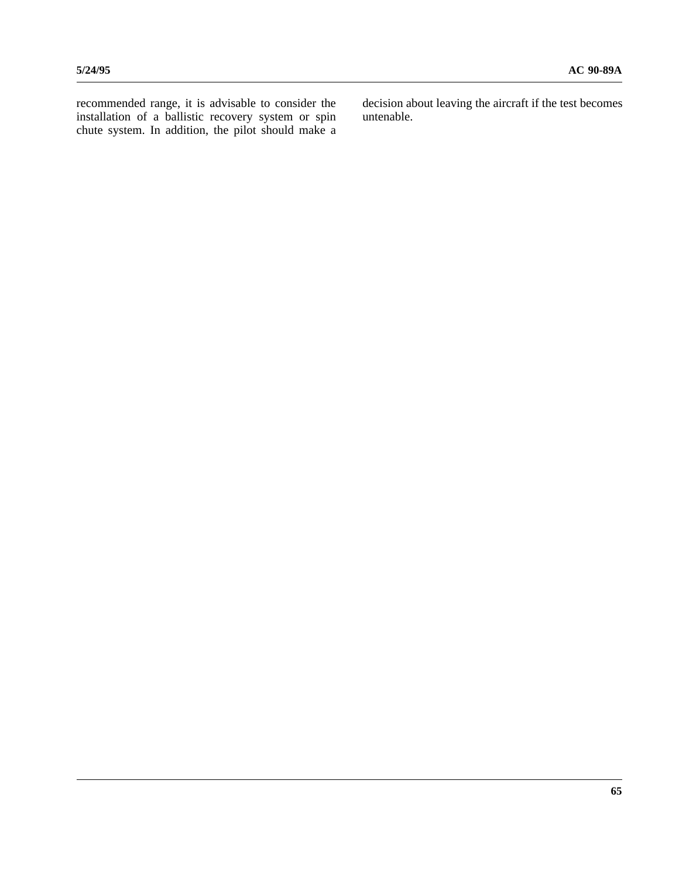recommended range, it is advisable to consider the installation of a ballistic recovery system or spin chute system. In addition, the pilot should make a

decision about leaving the aircraft if the test becomes untenable.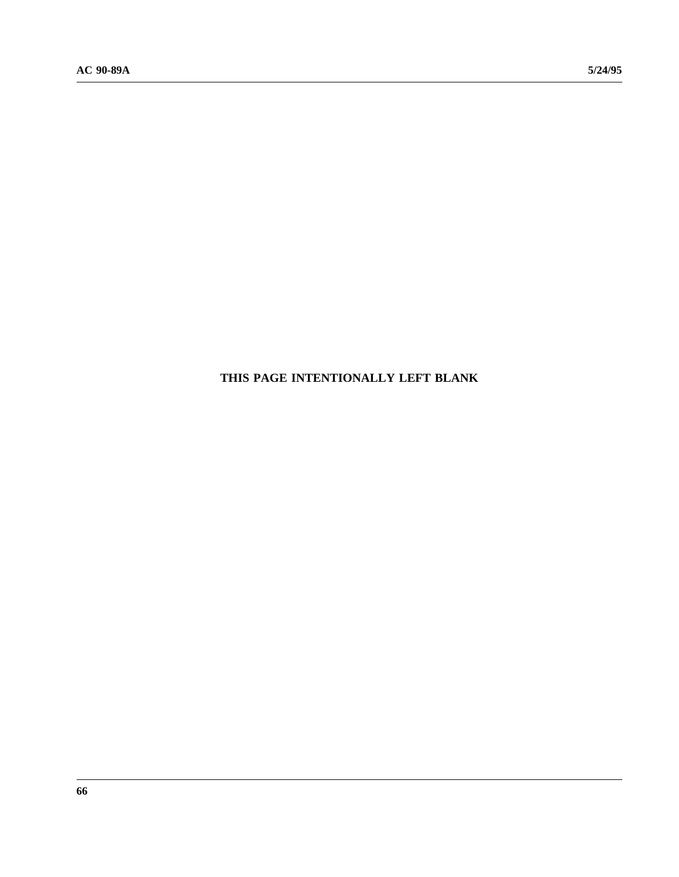### **THIS PAGE INTENTIONALLY LEFT BLANK**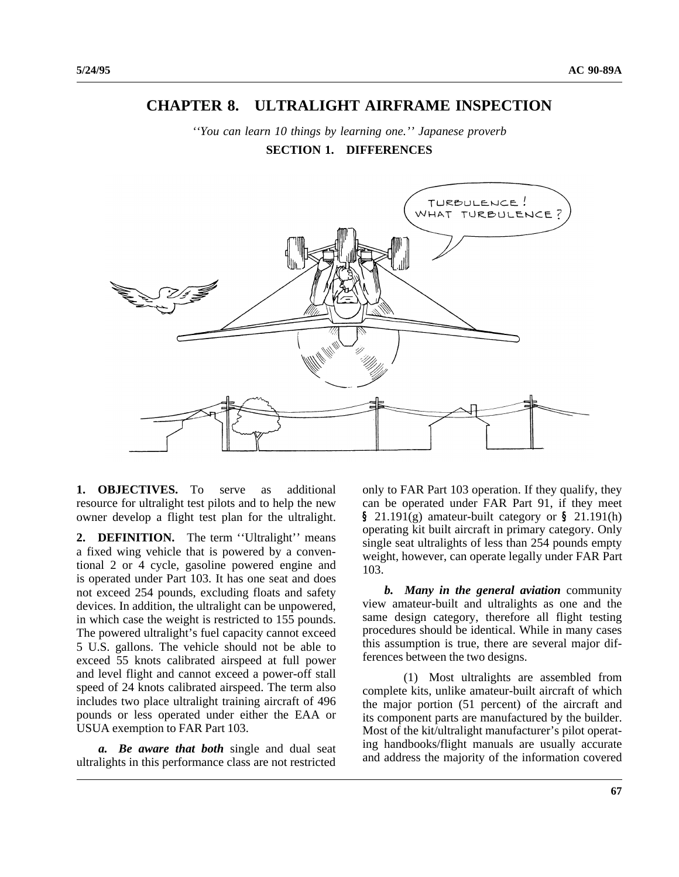### **CHAPTER 8. ULTRALIGHT AIRFRAME INSPECTION**

*''You can learn 10 things by learning one.'' Japanese proverb* **SECTION 1. DIFFERENCES**



**1. OBJECTIVES.** To serve as additional resource for ultralight test pilots and to help the new owner develop a flight test plan for the ultralight.

**2. DEFINITION.** The term ''Ultralight'' means a fixed wing vehicle that is powered by a conventional 2 or 4 cycle, gasoline powered engine and is operated under Part 103. It has one seat and does not exceed 254 pounds, excluding floats and safety devices. In addition, the ultralight can be unpowered, in which case the weight is restricted to 155 pounds. The powered ultralight's fuel capacity cannot exceed 5 U.S. gallons. The vehicle should not be able to exceed 55 knots calibrated airspeed at full power and level flight and cannot exceed a power-off stall speed of 24 knots calibrated airspeed. The term also includes two place ultralight training aircraft of 496 pounds or less operated under either the EAA or USUA exemption to FAR Part 103.

*a. Be aware that both* single and dual seat ultralights in this performance class are not restricted

only to FAR Part 103 operation. If they qualify, they can be operated under FAR Part 91, if they meet **§** 21.191(g) amateur-built category or **§** 21.191(h) operating kit built aircraft in primary category. Only single seat ultralights of less than 254 pounds empty weight, however, can operate legally under FAR Part 103.

*b. Many in the general aviation* community view amateur-built and ultralights as one and the same design category, therefore all flight testing procedures should be identical. While in many cases this assumption is true, there are several major differences between the two designs.

(1) Most ultralights are assembled from complete kits, unlike amateur-built aircraft of which the major portion (51 percent) of the aircraft and its component parts are manufactured by the builder. Most of the kit/ultralight manufacturer's pilot operating handbooks/flight manuals are usually accurate and address the majority of the information covered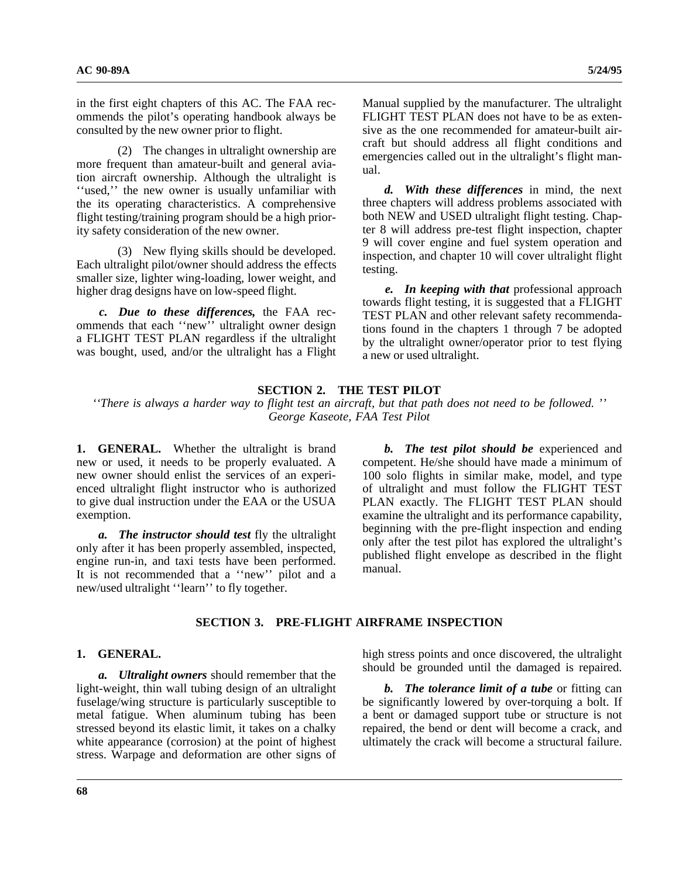in the first eight chapters of this AC. The FAA recommends the pilot's operating handbook always be consulted by the new owner prior to flight.

(2) The changes in ultralight ownership are more frequent than amateur-built and general aviation aircraft ownership. Although the ultralight is ''used,'' the new owner is usually unfamiliar with the its operating characteristics. A comprehensive flight testing/training program should be a high priority safety consideration of the new owner.

(3) New flying skills should be developed. Each ultralight pilot/owner should address the effects smaller size, lighter wing-loading, lower weight, and higher drag designs have on low-speed flight.

*c. Due to these differences,* the FAA recommends that each ''new'' ultralight owner design a FLIGHT TEST PLAN regardless if the ultralight was bought, used, and/or the ultralight has a Flight Manual supplied by the manufacturer. The ultralight FLIGHT TEST PLAN does not have to be as extensive as the one recommended for amateur-built aircraft but should address all flight conditions and emergencies called out in the ultralight's flight manual.

*d. With these differences* in mind, the next three chapters will address problems associated with both NEW and USED ultralight flight testing. Chapter 8 will address pre-test flight inspection, chapter 9 will cover engine and fuel system operation and inspection, and chapter 10 will cover ultralight flight testing.

*e. In keeping with that* professional approach towards flight testing, it is suggested that a FLIGHT TEST PLAN and other relevant safety recommendations found in the chapters 1 through 7 be adopted by the ultralight owner/operator prior to test flying a new or used ultralight.

### **SECTION 2. THE TEST PILOT**

*''There is always a harder way to flight test an aircraft, but that path does not need to be followed. '' George Kaseote, FAA Test Pilot*

**1. GENERAL.** Whether the ultralight is brand new or used, it needs to be properly evaluated. A new owner should enlist the services of an experienced ultralight flight instructor who is authorized to give dual instruction under the EAA or the USUA exemption.

*a. The instructor should test* fly the ultralight only after it has been properly assembled, inspected, engine run-in, and taxi tests have been performed. It is not recommended that a ''new'' pilot and a new/used ultralight ''learn'' to fly together.

*b. The test pilot should be* experienced and competent. He/she should have made a minimum of 100 solo flights in similar make, model, and type of ultralight and must follow the FLIGHT TEST PLAN exactly. The FLIGHT TEST PLAN should examine the ultralight and its performance capability, beginning with the pre-flight inspection and ending only after the test pilot has explored the ultralight's published flight envelope as described in the flight manual.

### **SECTION 3. PRE-FLIGHT AIRFRAME INSPECTION**

#### **1. GENERAL.**

*a. Ultralight owners* should remember that the light-weight, thin wall tubing design of an ultralight fuselage/wing structure is particularly susceptible to metal fatigue. When aluminum tubing has been stressed beyond its elastic limit, it takes on a chalky white appearance (corrosion) at the point of highest stress. Warpage and deformation are other signs of high stress points and once discovered, the ultralight should be grounded until the damaged is repaired.

*b. The tolerance limit of a tube* or fitting can be significantly lowered by over-torquing a bolt. If a bent or damaged support tube or structure is not repaired, the bend or dent will become a crack, and ultimately the crack will become a structural failure.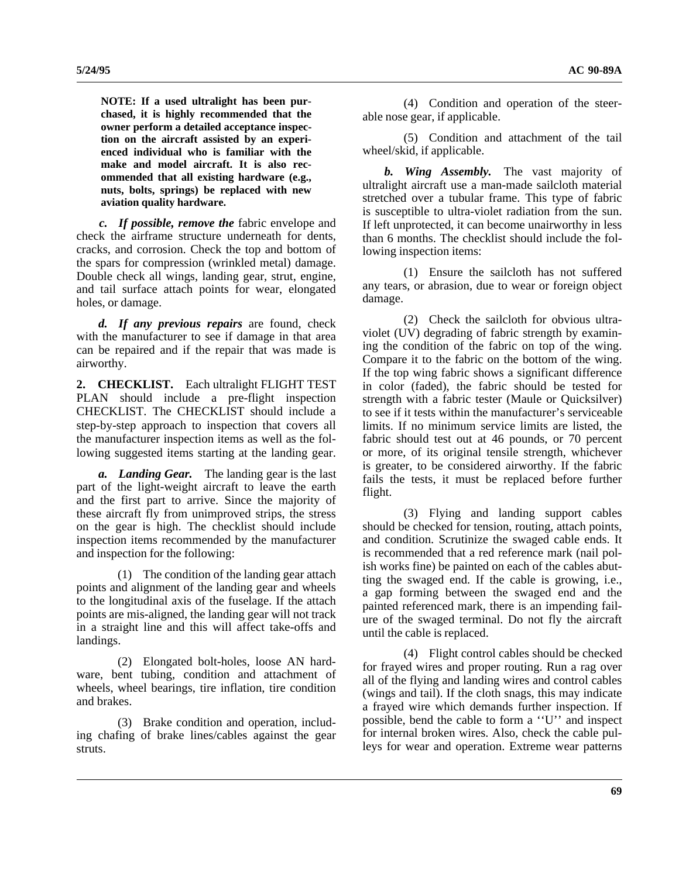**NOTE: If a used ultralight has been purchased, it is highly recommended that the owner perform a detailed acceptance inspection on the aircraft assisted by an experienced individual who is familiar with the make and model aircraft. It is also recommended that all existing hardware (e.g., nuts, bolts, springs) be replaced with new aviation quality hardware.**

*c. If possible, remove the* fabric envelope and check the airframe structure underneath for dents, cracks, and corrosion. Check the top and bottom of the spars for compression (wrinkled metal) damage. Double check all wings, landing gear, strut, engine, and tail surface attach points for wear, elongated holes, or damage.

*d. If any previous repairs* are found, check with the manufacturer to see if damage in that area can be repaired and if the repair that was made is airworthy.

**2. CHECKLIST.** Each ultralight FLIGHT TEST PLAN should include a pre-flight inspection CHECKLIST. The CHECKLIST should include a step-by-step approach to inspection that covers all the manufacturer inspection items as well as the following suggested items starting at the landing gear.

*a. Landing Gear.* The landing gear is the last part of the light-weight aircraft to leave the earth and the first part to arrive. Since the majority of these aircraft fly from unimproved strips, the stress on the gear is high. The checklist should include inspection items recommended by the manufacturer and inspection for the following:

(1) The condition of the landing gear attach points and alignment of the landing gear and wheels to the longitudinal axis of the fuselage. If the attach points are mis-aligned, the landing gear will not track in a straight line and this will affect take-offs and landings.

(2) Elongated bolt-holes, loose AN hardware, bent tubing, condition and attachment of wheels, wheel bearings, tire inflation, tire condition and brakes.

(3) Brake condition and operation, including chafing of brake lines/cables against the gear struts.

(4) Condition and operation of the steerable nose gear, if applicable.

(5) Condition and attachment of the tail wheel/skid, if applicable.

*b. Wing Assembly.* The vast majority of ultralight aircraft use a man-made sailcloth material stretched over a tubular frame. This type of fabric is susceptible to ultra-violet radiation from the sun. If left unprotected, it can become unairworthy in less than 6 months. The checklist should include the following inspection items:

(1) Ensure the sailcloth has not suffered any tears, or abrasion, due to wear or foreign object damage.

(2) Check the sailcloth for obvious ultraviolet (UV) degrading of fabric strength by examining the condition of the fabric on top of the wing. Compare it to the fabric on the bottom of the wing. If the top wing fabric shows a significant difference in color (faded), the fabric should be tested for strength with a fabric tester (Maule or Quicksilver) to see if it tests within the manufacturer's serviceable limits. If no minimum service limits are listed, the fabric should test out at 46 pounds, or 70 percent or more, of its original tensile strength, whichever is greater, to be considered airworthy. If the fabric fails the tests, it must be replaced before further flight.

(3) Flying and landing support cables should be checked for tension, routing, attach points, and condition. Scrutinize the swaged cable ends. It is recommended that a red reference mark (nail polish works fine) be painted on each of the cables abutting the swaged end. If the cable is growing, i.e., a gap forming between the swaged end and the painted referenced mark, there is an impending failure of the swaged terminal. Do not fly the aircraft until the cable is replaced.

(4) Flight control cables should be checked for frayed wires and proper routing. Run a rag over all of the flying and landing wires and control cables (wings and tail). If the cloth snags, this may indicate a frayed wire which demands further inspection. If possible, bend the cable to form a ''U'' and inspect for internal broken wires. Also, check the cable pulleys for wear and operation. Extreme wear patterns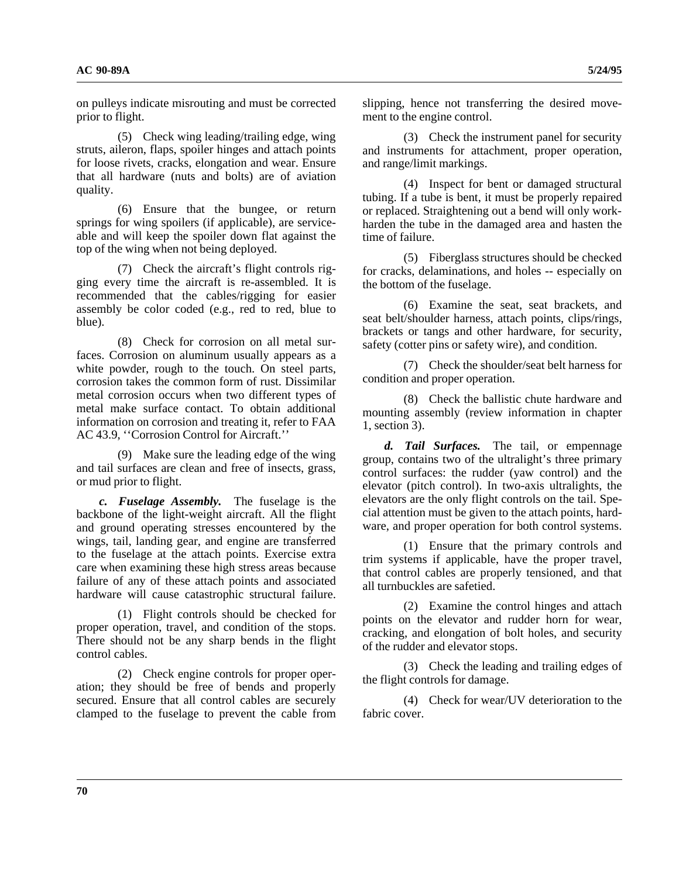on pulleys indicate misrouting and must be corrected prior to flight.

(5) Check wing leading/trailing edge, wing struts, aileron, flaps, spoiler hinges and attach points for loose rivets, cracks, elongation and wear. Ensure that all hardware (nuts and bolts) are of aviation quality.

(6) Ensure that the bungee, or return springs for wing spoilers (if applicable), are serviceable and will keep the spoiler down flat against the top of the wing when not being deployed.

(7) Check the aircraft's flight controls rigging every time the aircraft is re-assembled. It is recommended that the cables/rigging for easier assembly be color coded (e.g., red to red, blue to blue).

(8) Check for corrosion on all metal surfaces. Corrosion on aluminum usually appears as a white powder, rough to the touch. On steel parts, corrosion takes the common form of rust. Dissimilar metal corrosion occurs when two different types of metal make surface contact. To obtain additional information on corrosion and treating it, refer to FAA AC 43.9, ''Corrosion Control for Aircraft.''

(9) Make sure the leading edge of the wing and tail surfaces are clean and free of insects, grass, or mud prior to flight.

*c. Fuselage Assembly.* The fuselage is the backbone of the light-weight aircraft. All the flight and ground operating stresses encountered by the wings, tail, landing gear, and engine are transferred to the fuselage at the attach points. Exercise extra care when examining these high stress areas because failure of any of these attach points and associated hardware will cause catastrophic structural failure.

(1) Flight controls should be checked for proper operation, travel, and condition of the stops. There should not be any sharp bends in the flight control cables.

(2) Check engine controls for proper operation; they should be free of bends and properly secured. Ensure that all control cables are securely clamped to the fuselage to prevent the cable from slipping, hence not transferring the desired movement to the engine control.

(3) Check the instrument panel for security and instruments for attachment, proper operation, and range/limit markings.

(4) Inspect for bent or damaged structural tubing. If a tube is bent, it must be properly repaired or replaced. Straightening out a bend will only workharden the tube in the damaged area and hasten the time of failure.

(5) Fiberglass structures should be checked for cracks, delaminations, and holes -- especially on the bottom of the fuselage.

(6) Examine the seat, seat brackets, and seat belt/shoulder harness, attach points, clips/rings, brackets or tangs and other hardware, for security, safety (cotter pins or safety wire), and condition.

(7) Check the shoulder/seat belt harness for condition and proper operation.

(8) Check the ballistic chute hardware and mounting assembly (review information in chapter 1, section 3).

*d. Tail Surfaces.* The tail, or empennage group, contains two of the ultralight's three primary control surfaces: the rudder (yaw control) and the elevator (pitch control). In two-axis ultralights, the elevators are the only flight controls on the tail. Special attention must be given to the attach points, hardware, and proper operation for both control systems.

(1) Ensure that the primary controls and trim systems if applicable, have the proper travel, that control cables are properly tensioned, and that all turnbuckles are safetied.

(2) Examine the control hinges and attach points on the elevator and rudder horn for wear, cracking, and elongation of bolt holes, and security of the rudder and elevator stops.

(3) Check the leading and trailing edges of the flight controls for damage.

(4) Check for wear/UV deterioration to the fabric cover.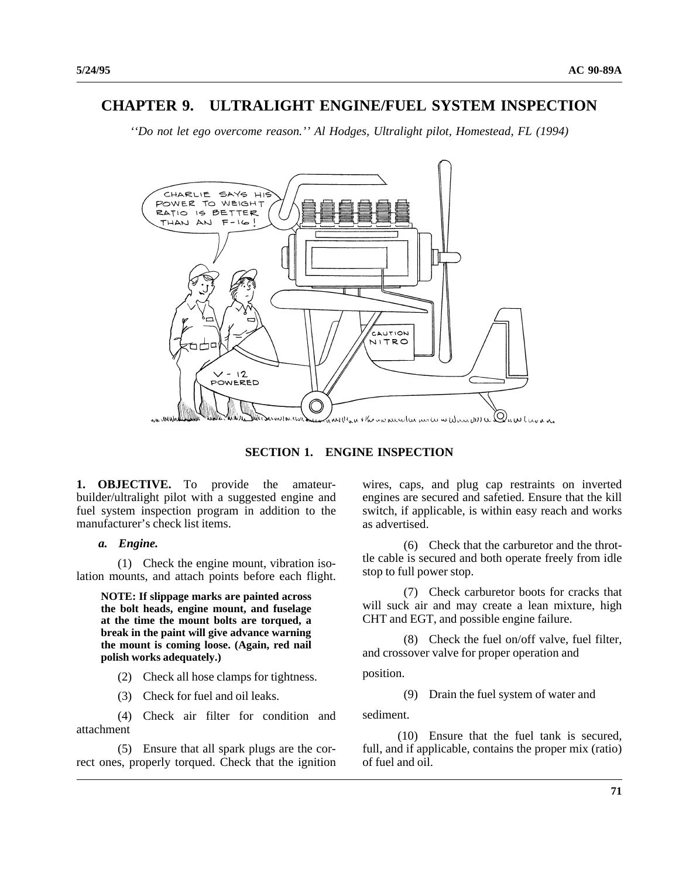### **CHAPTER 9. ULTRALIGHT ENGINE/FUEL SYSTEM INSPECTION**

*''Do not let ego overcome reason.'' Al Hodges, Ultralight pilot, Homestead, FL (1994)*



**SECTION 1. ENGINE INSPECTION**

**1. OBJECTIVE.** To provide the amateurbuilder/ultralight pilot with a suggested engine and fuel system inspection program in addition to the manufacturer's check list items.

#### *a. Engine.*

(1) Check the engine mount, vibration isolation mounts, and attach points before each flight.

**NOTE: If slippage marks are painted across the bolt heads, engine mount, and fuselage at the time the mount bolts are torqued, a break in the paint will give advance warning the mount is coming loose. (Again, red nail polish works adequately.)**

(2) Check all hose clamps for tightness.

(3) Check for fuel and oil leaks.

(4) Check air filter for condition and attachment

(5) Ensure that all spark plugs are the correct ones, properly torqued. Check that the ignition wires, caps, and plug cap restraints on inverted engines are secured and safetied. Ensure that the kill switch, if applicable, is within easy reach and works as advertised.

(6) Check that the carburetor and the throttle cable is secured and both operate freely from idle stop to full power stop.

(7) Check carburetor boots for cracks that will suck air and may create a lean mixture, high CHT and EGT, and possible engine failure.

(8) Check the fuel on/off valve, fuel filter, and crossover valve for proper operation and

position.

(9) Drain the fuel system of water and

sediment.

(10) Ensure that the fuel tank is secured, full, and if applicable, contains the proper mix (ratio) of fuel and oil.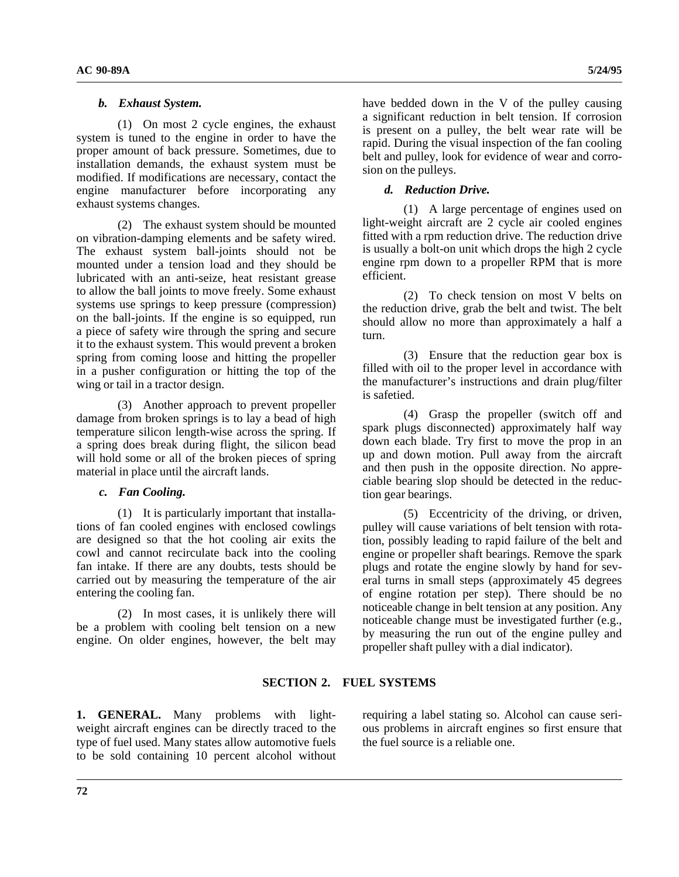#### *b. Exhaust System.*

(1) On most 2 cycle engines, the exhaust system is tuned to the engine in order to have the proper amount of back pressure. Sometimes, due to installation demands, the exhaust system must be modified. If modifications are necessary, contact the engine manufacturer before incorporating any exhaust systems changes.

(2) The exhaust system should be mounted on vibration-damping elements and be safety wired. The exhaust system ball-joints should not be mounted under a tension load and they should be lubricated with an anti-seize, heat resistant grease to allow the ball joints to move freely. Some exhaust systems use springs to keep pressure (compression) on the ball-joints. If the engine is so equipped, run a piece of safety wire through the spring and secure it to the exhaust system. This would prevent a broken spring from coming loose and hitting the propeller in a pusher configuration or hitting the top of the wing or tail in a tractor design.

(3) Another approach to prevent propeller damage from broken springs is to lay a bead of high temperature silicon length-wise across the spring. If a spring does break during flight, the silicon bead will hold some or all of the broken pieces of spring material in place until the aircraft lands.

#### *c. Fan Cooling.*

(1) It is particularly important that installations of fan cooled engines with enclosed cowlings are designed so that the hot cooling air exits the cowl and cannot recirculate back into the cooling fan intake. If there are any doubts, tests should be carried out by measuring the temperature of the air entering the cooling fan.

(2) In most cases, it is unlikely there will be a problem with cooling belt tension on a new engine. On older engines, however, the belt may have bedded down in the V of the pulley causing a significant reduction in belt tension. If corrosion is present on a pulley, the belt wear rate will be rapid. During the visual inspection of the fan cooling belt and pulley, look for evidence of wear and corrosion on the pulleys.

#### *d. Reduction Drive.*

(1) A large percentage of engines used on light-weight aircraft are 2 cycle air cooled engines fitted with a rpm reduction drive. The reduction drive is usually a bolt-on unit which drops the high 2 cycle engine rpm down to a propeller RPM that is more efficient.

(2) To check tension on most V belts on the reduction drive, grab the belt and twist. The belt should allow no more than approximately a half a turn.

(3) Ensure that the reduction gear box is filled with oil to the proper level in accordance with the manufacturer's instructions and drain plug/filter is safetied.

(4) Grasp the propeller (switch off and spark plugs disconnected) approximately half way down each blade. Try first to move the prop in an up and down motion. Pull away from the aircraft and then push in the opposite direction. No appreciable bearing slop should be detected in the reduction gear bearings.

(5) Eccentricity of the driving, or driven, pulley will cause variations of belt tension with rotation, possibly leading to rapid failure of the belt and engine or propeller shaft bearings. Remove the spark plugs and rotate the engine slowly by hand for several turns in small steps (approximately 45 degrees of engine rotation per step). There should be no noticeable change in belt tension at any position. Any noticeable change must be investigated further (e.g., by measuring the run out of the engine pulley and propeller shaft pulley with a dial indicator).

### **SECTION 2. FUEL SYSTEMS**

**1. GENERAL.** Many problems with lightweight aircraft engines can be directly traced to the type of fuel used. Many states allow automotive fuels to be sold containing 10 percent alcohol without requiring a label stating so. Alcohol can cause serious problems in aircraft engines so first ensure that the fuel source is a reliable one.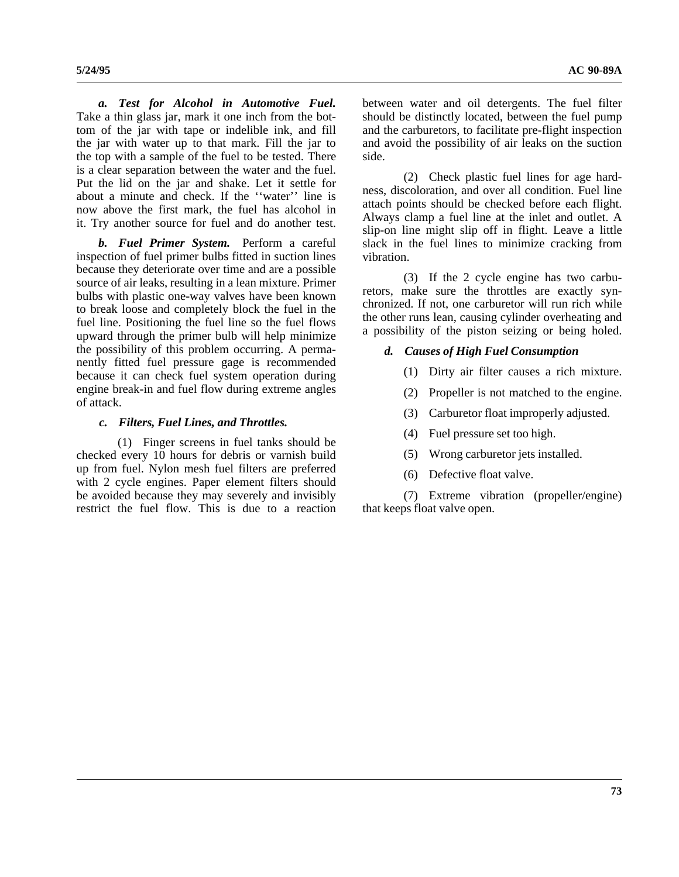*a. Test for Alcohol in Automotive Fuel.* Take a thin glass jar, mark it one inch from the bottom of the jar with tape or indelible ink, and fill the jar with water up to that mark. Fill the jar to the top with a sample of the fuel to be tested. There is a clear separation between the water and the fuel. Put the lid on the jar and shake. Let it settle for about a minute and check. If the ''water'' line is now above the first mark, the fuel has alcohol in it. Try another source for fuel and do another test.

*b. Fuel Primer System.* Perform a careful inspection of fuel primer bulbs fitted in suction lines because they deteriorate over time and are a possible source of air leaks, resulting in a lean mixture. Primer bulbs with plastic one-way valves have been known to break loose and completely block the fuel in the fuel line. Positioning the fuel line so the fuel flows upward through the primer bulb will help minimize the possibility of this problem occurring. A permanently fitted fuel pressure gage is recommended because it can check fuel system operation during engine break-in and fuel flow during extreme angles of attack.

#### *c. Filters, Fuel Lines, and Throttles.*

(1) Finger screens in fuel tanks should be checked every 10 hours for debris or varnish build up from fuel. Nylon mesh fuel filters are preferred with 2 cycle engines. Paper element filters should be avoided because they may severely and invisibly restrict the fuel flow. This is due to a reaction between water and oil detergents. The fuel filter should be distinctly located, between the fuel pump and the carburetors, to facilitate pre-flight inspection and avoid the possibility of air leaks on the suction side.

(2) Check plastic fuel lines for age hardness, discoloration, and over all condition. Fuel line attach points should be checked before each flight. Always clamp a fuel line at the inlet and outlet. A slip-on line might slip off in flight. Leave a little slack in the fuel lines to minimize cracking from vibration.

(3) If the 2 cycle engine has two carburetors, make sure the throttles are exactly synchronized. If not, one carburetor will run rich while the other runs lean, causing cylinder overheating and a possibility of the piston seizing or being holed.

### *d. Causes of High Fuel Consumption*

- (1) Dirty air filter causes a rich mixture.
- (2) Propeller is not matched to the engine.
- (3) Carburetor float improperly adjusted.
- (4) Fuel pressure set too high.
- (5) Wrong carburetor jets installed.
- (6) Defective float valve.

(7) Extreme vibration (propeller/engine) that keeps float valve open.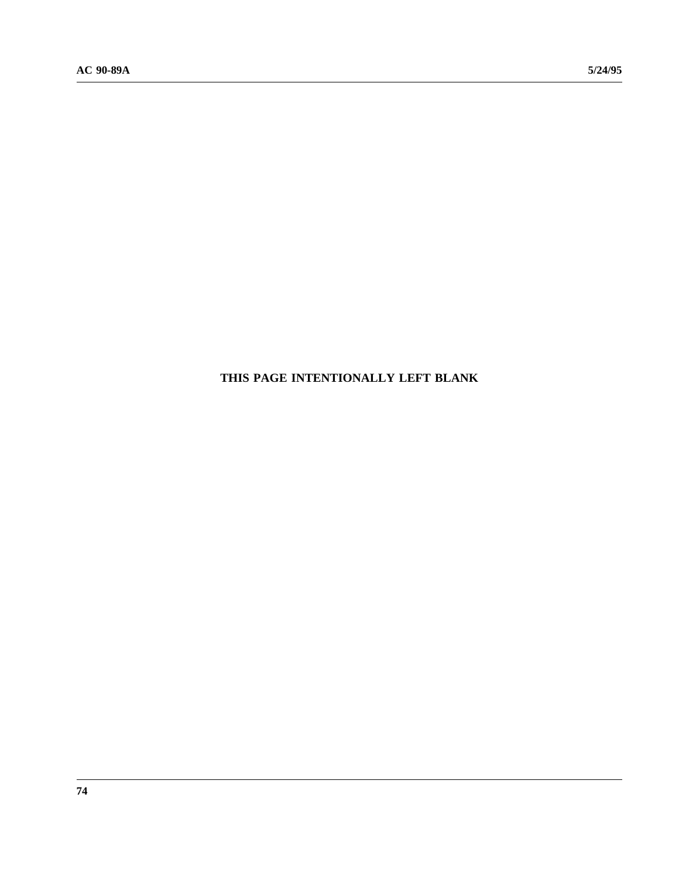### **THIS PAGE INTENTIONALLY LEFT BLANK**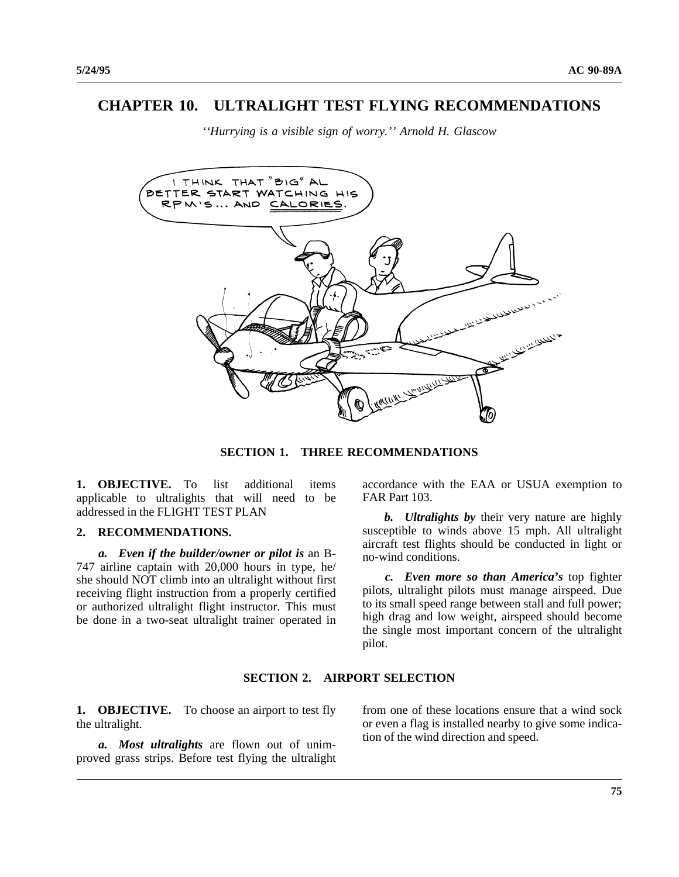### **CHAPTER 10. ULTRALIGHT TEST FLYING RECOMMENDATIONS**

*''Hurrying is a visible sign of worry.'' Arnold H. Glascow*



**SECTION 1. THREE RECOMMENDATIONS**

**1. OBJECTIVE.** To list additional items applicable to ultralights that will need to be addressed in the FLIGHT TEST PLAN

### **2. RECOMMENDATIONS.**

*a. Even if the builder/owner or pilot is* an B-747 airline captain with 20,000 hours in type, he/ she should NOT climb into an ultralight without first receiving flight instruction from a properly certified or authorized ultralight flight instructor. This must be done in a two-seat ultralight trainer operated in

accordance with the EAA or USUA exemption to FAR Part 103.

*b. Ultralights by* their very nature are highly susceptible to winds above 15 mph. All ultralight aircraft test flights should be conducted in light or no-wind conditions.

*c. Even more so than America's* top fighter pilots, ultralight pilots must manage airspeed. Due to its small speed range between stall and full power; high drag and low weight, airspeed should become the single most important concern of the ultralight pilot.

### **SECTION 2. AIRPORT SELECTION**

**1. OBJECTIVE.** To choose an airport to test fly the ultralight.

*a. Most ultralights* are flown out of unimproved grass strips. Before test flying the ultralight from one of these locations ensure that a wind sock or even a flag is installed nearby to give some indication of the wind direction and speed.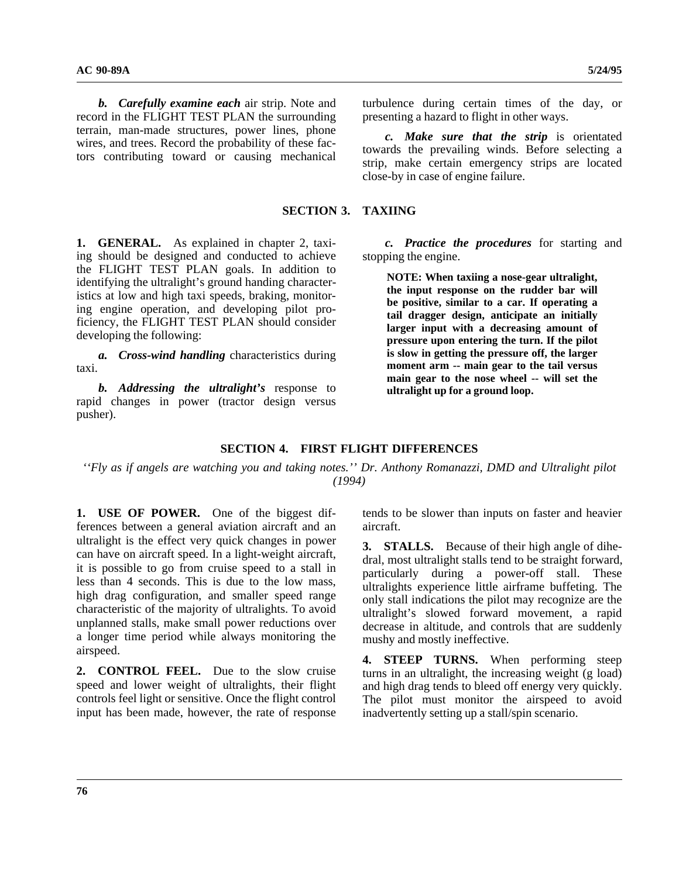*b. Carefully examine each* air strip. Note and record in the FLIGHT TEST PLAN the surrounding terrain, man-made structures, power lines, phone wires, and trees. Record the probability of these factors contributing toward or causing mechanical

#### **SECTION 3. TAXIING**

**1. GENERAL.** As explained in chapter 2, taxiing should be designed and conducted to achieve the FLIGHT TEST PLAN goals. In addition to identifying the ultralight's ground handing characteristics at low and high taxi speeds, braking, monitoring engine operation, and developing pilot proficiency, the FLIGHT TEST PLAN should consider developing the following:

*a. Cross-wind handling* characteristics during taxi.

*b. Addressing the ultralight's* response to rapid changes in power (tractor design versus pusher).

turbulence during certain times of the day, or presenting a hazard to flight in other ways.

*c. Make sure that the strip* is orientated towards the prevailing winds. Before selecting a strip, make certain emergency strips are located close-by in case of engine failure.

*c. Practice the procedures* for starting and stopping the engine.

**NOTE: When taxiing a nose-gear ultralight, the input response on the rudder bar will be positive, similar to a car. If operating a tail dragger design, anticipate an initially larger input with a decreasing amount of pressure upon entering the turn. If the pilot is slow in getting the pressure off, the larger moment arm -- main gear to the tail versus main gear to the nose wheel -- will set the ultralight up for a ground loop.**

#### **SECTION 4. FIRST FLIGHT DIFFERENCES**

*''Fly as if angels are watching you and taking notes.'' Dr. Anthony Romanazzi, DMD and Ultralight pilot (1994)*

**1. USE OF POWER.** One of the biggest differences between a general aviation aircraft and an ultralight is the effect very quick changes in power can have on aircraft speed. In a light-weight aircraft, it is possible to go from cruise speed to a stall in less than 4 seconds. This is due to the low mass, high drag configuration, and smaller speed range characteristic of the majority of ultralights. To avoid unplanned stalls, make small power reductions over a longer time period while always monitoring the airspeed.

**2. CONTROL FEEL.** Due to the slow cruise speed and lower weight of ultralights, their flight controls feel light or sensitive. Once the flight control input has been made, however, the rate of response tends to be slower than inputs on faster and heavier aircraft.

**3. STALLS.** Because of their high angle of dihedral, most ultralight stalls tend to be straight forward, particularly during a power-off stall. These ultralights experience little airframe buffeting. The only stall indications the pilot may recognize are the ultralight's slowed forward movement, a rapid decrease in altitude, and controls that are suddenly mushy and mostly ineffective.

**4. STEEP TURNS.** When performing steep turns in an ultralight, the increasing weight (g load) and high drag tends to bleed off energy very quickly. The pilot must monitor the airspeed to avoid inadvertently setting up a stall/spin scenario.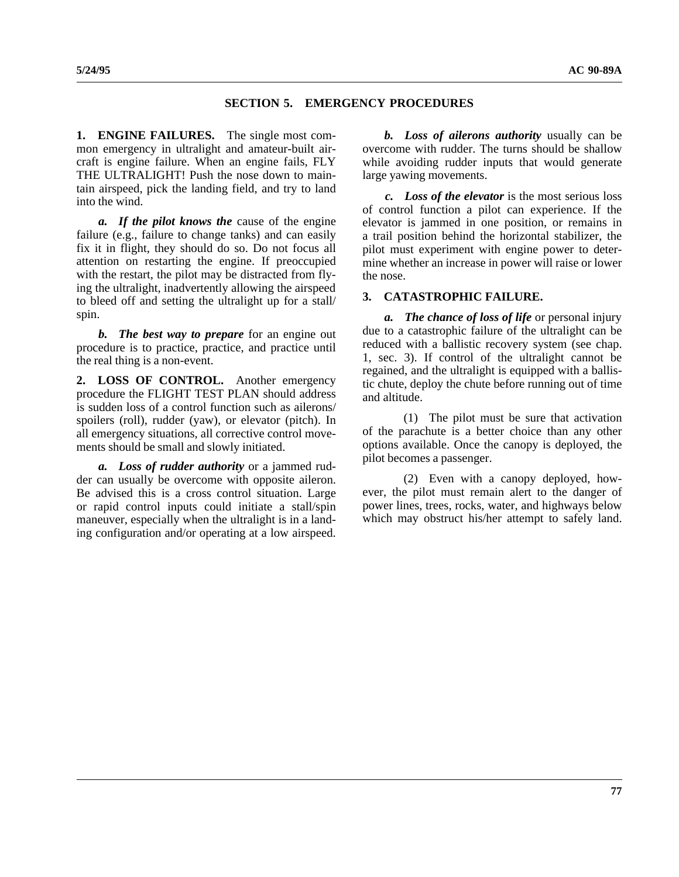### **SECTION 5. EMERGENCY PROCEDURES**

**1. ENGINE FAILURES.** The single most common emergency in ultralight and amateur-built aircraft is engine failure. When an engine fails, FLY THE ULTRALIGHT! Push the nose down to maintain airspeed, pick the landing field, and try to land into the wind.

*a. If the pilot knows the* cause of the engine failure (e.g., failure to change tanks) and can easily fix it in flight, they should do so. Do not focus all attention on restarting the engine. If preoccupied with the restart, the pilot may be distracted from flying the ultralight, inadvertently allowing the airspeed to bleed off and setting the ultralight up for a stall/ spin.

*b. The best way to prepare* for an engine out procedure is to practice, practice, and practice until the real thing is a non-event.

**2. LOSS OF CONTROL.** Another emergency procedure the FLIGHT TEST PLAN should address is sudden loss of a control function such as ailerons/ spoilers (roll), rudder (yaw), or elevator (pitch). In all emergency situations, all corrective control movements should be small and slowly initiated.

*a. Loss of rudder authority* or a jammed rudder can usually be overcome with opposite aileron. Be advised this is a cross control situation. Large or rapid control inputs could initiate a stall/spin maneuver, especially when the ultralight is in a landing configuration and/or operating at a low airspeed.

*b. Loss of ailerons authority* usually can be overcome with rudder. The turns should be shallow while avoiding rudder inputs that would generate large yawing movements.

*c. Loss of the elevator* is the most serious loss of control function a pilot can experience. If the elevator is jammed in one position, or remains in a trail position behind the horizontal stabilizer, the pilot must experiment with engine power to determine whether an increase in power will raise or lower the nose.

#### **3. CATASTROPHIC FAILURE.**

*a. The chance of loss of life* or personal injury due to a catastrophic failure of the ultralight can be reduced with a ballistic recovery system (see chap. 1, sec. 3). If control of the ultralight cannot be regained, and the ultralight is equipped with a ballistic chute, deploy the chute before running out of time and altitude.

(1) The pilot must be sure that activation of the parachute is a better choice than any other options available. Once the canopy is deployed, the pilot becomes a passenger.

(2) Even with a canopy deployed, however, the pilot must remain alert to the danger of power lines, trees, rocks, water, and highways below which may obstruct his/her attempt to safely land.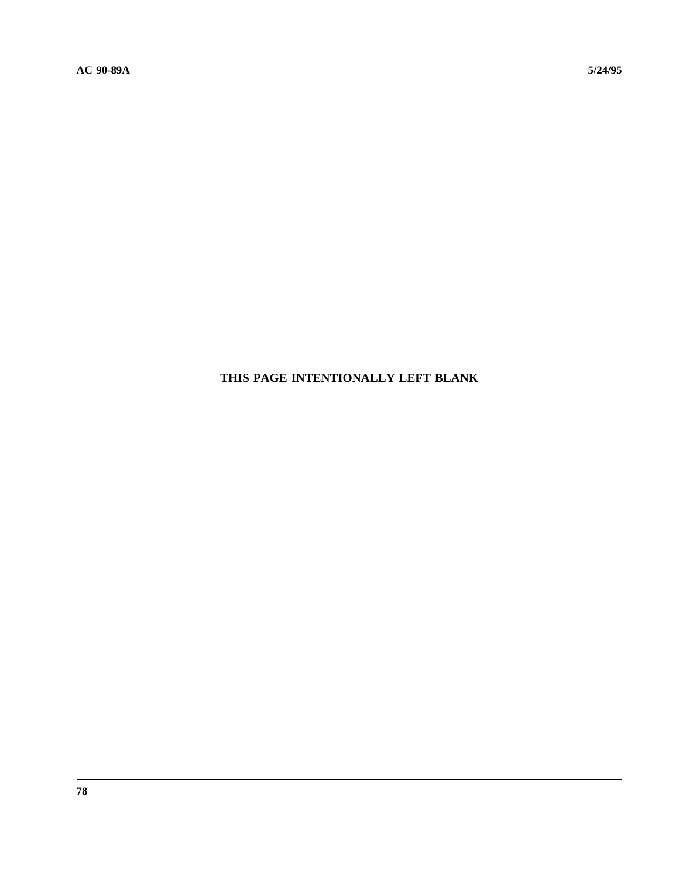### **THIS PAGE INTENTIONALLY LEFT BLANK**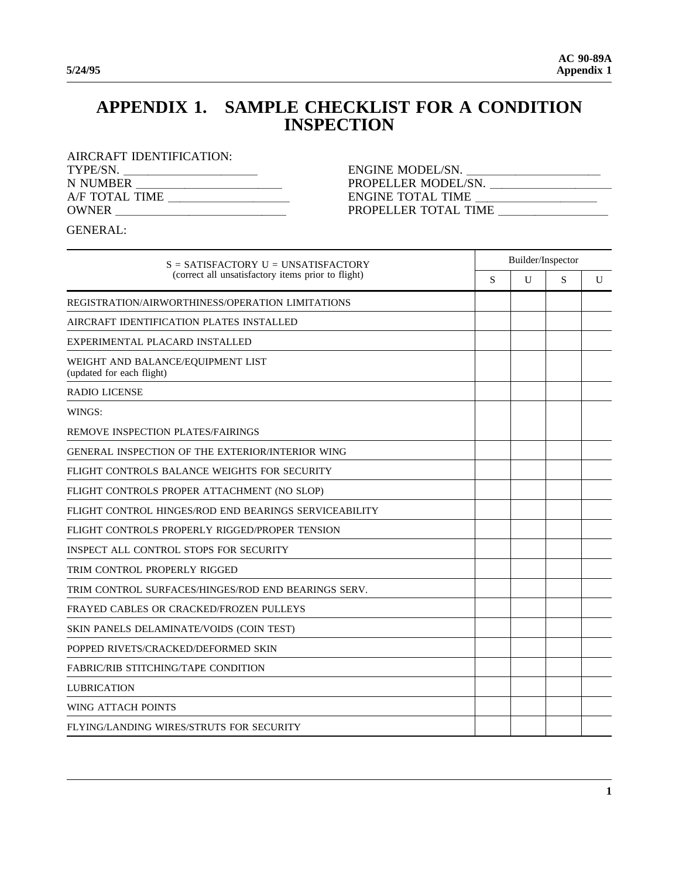AIRCRAFT IDENTIFICATION:

TYPE/SN. lllllllllll ENGINE MODEL/SN. lllllllllll N NUMBER llllllllllll PROPELLER MODEL/SN. llllllllll TYPE/SN. ENGINE MODEL/SN. LIMIT ENGINE MODEL/SN. LIMIT ENGINE TOTAL TIME LATE TOTAL TIME OWNER llllllllllllll PROPELLER TOTAL TIME lllllllll

GENERAL:

| $S = SATISFACTORY$ $U = UNSATISFACTORY$<br>(correct all unsatisfactory items prior to flight) |   | Builder/Inspector |   |   |  |  |
|-----------------------------------------------------------------------------------------------|---|-------------------|---|---|--|--|
|                                                                                               | S | U                 | S | U |  |  |
| REGISTRATION/AIRWORTHINESS/OPERATION LIMITATIONS                                              |   |                   |   |   |  |  |
| AIRCRAFT IDENTIFICATION PLATES INSTALLED                                                      |   |                   |   |   |  |  |
| EXPERIMENTAL PLACARD INSTALLED                                                                |   |                   |   |   |  |  |
| WEIGHT AND BALANCE/EQUIPMENT LIST<br>(updated for each flight)                                |   |                   |   |   |  |  |
| <b>RADIO LICENSE</b>                                                                          |   |                   |   |   |  |  |
| WINGS:                                                                                        |   |                   |   |   |  |  |
| REMOVE INSPECTION PLATES/FAIRINGS                                                             |   |                   |   |   |  |  |
| GENERAL INSPECTION OF THE EXTERIOR/INTERIOR WING                                              |   |                   |   |   |  |  |
| FLIGHT CONTROLS BALANCE WEIGHTS FOR SECURITY                                                  |   |                   |   |   |  |  |
| FLIGHT CONTROLS PROPER ATTACHMENT (NO SLOP)                                                   |   |                   |   |   |  |  |
| FLIGHT CONTROL HINGES/ROD END BEARINGS SERVICEABILITY                                         |   |                   |   |   |  |  |
| FLIGHT CONTROLS PROPERLY RIGGED/PROPER TENSION                                                |   |                   |   |   |  |  |
| INSPECT ALL CONTROL STOPS FOR SECURITY                                                        |   |                   |   |   |  |  |
| TRIM CONTROL PROPERLY RIGGED                                                                  |   |                   |   |   |  |  |
| TRIM CONTROL SURFACES/HINGES/ROD END BEARINGS SERV.                                           |   |                   |   |   |  |  |
| FRAYED CABLES OR CRACKED/FROZEN PULLEYS                                                       |   |                   |   |   |  |  |
| SKIN PANELS DELAMINATE/VOIDS (COIN TEST)                                                      |   |                   |   |   |  |  |
| POPPED RIVETS/CRACKED/DEFORMED SKIN                                                           |   |                   |   |   |  |  |
| <b>FABRIC/RIB STITCHING/TAPE CONDITION</b>                                                    |   |                   |   |   |  |  |
| <b>LUBRICATION</b>                                                                            |   |                   |   |   |  |  |
| WING ATTACH POINTS                                                                            |   |                   |   |   |  |  |
| FLYING/LANDING WIRES/STRUTS FOR SECURITY                                                      |   |                   |   |   |  |  |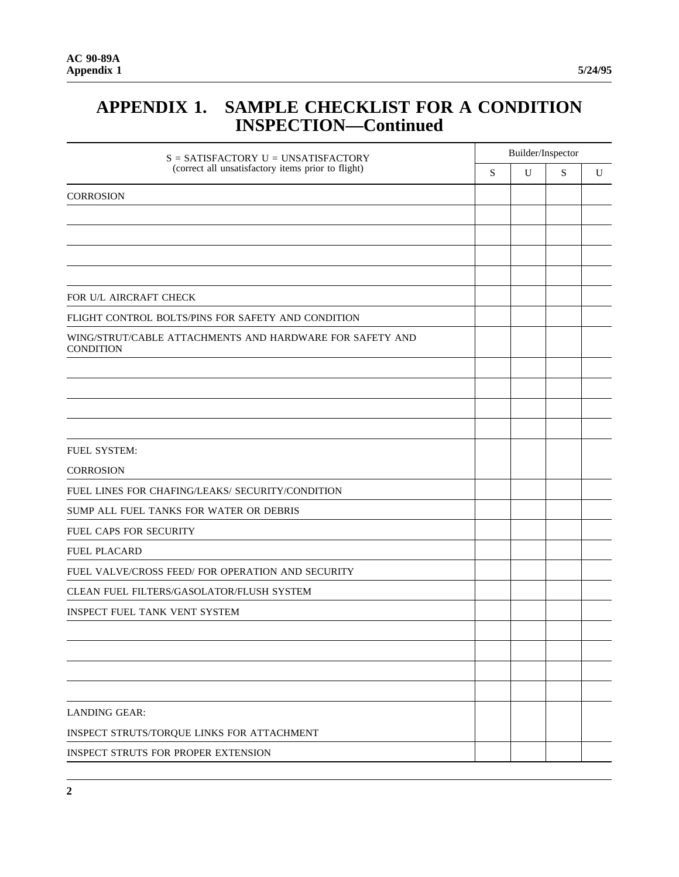| $S = SATISFACTORY$ $U = UNSATISFACTORY$<br>(correct all unsatisfactory items prior to flight) | Builder/Inspector |   |   |   |  |
|-----------------------------------------------------------------------------------------------|-------------------|---|---|---|--|
|                                                                                               | S                 | U | S | U |  |
| <b>CORROSION</b>                                                                              |                   |   |   |   |  |
|                                                                                               |                   |   |   |   |  |
|                                                                                               |                   |   |   |   |  |
|                                                                                               |                   |   |   |   |  |
|                                                                                               |                   |   |   |   |  |
| FOR U/L AIRCRAFT CHECK                                                                        |                   |   |   |   |  |
| FLIGHT CONTROL BOLTS/PINS FOR SAFETY AND CONDITION                                            |                   |   |   |   |  |
| WING/STRUT/CABLE ATTACHMENTS AND HARDWARE FOR SAFETY AND<br><b>CONDITION</b>                  |                   |   |   |   |  |
|                                                                                               |                   |   |   |   |  |
|                                                                                               |                   |   |   |   |  |
|                                                                                               |                   |   |   |   |  |
|                                                                                               |                   |   |   |   |  |
| FUEL SYSTEM:                                                                                  |                   |   |   |   |  |
| <b>CORROSION</b>                                                                              |                   |   |   |   |  |
| FUEL LINES FOR CHAFING/LEAKS/ SECURITY/CONDITION                                              |                   |   |   |   |  |
| SUMP ALL FUEL TANKS FOR WATER OR DEBRIS                                                       |                   |   |   |   |  |
| FUEL CAPS FOR SECURITY                                                                        |                   |   |   |   |  |
| <b>FUEL PLACARD</b>                                                                           |                   |   |   |   |  |
| FUEL VALVE/CROSS FEED/ FOR OPERATION AND SECURITY                                             |                   |   |   |   |  |
| CLEAN FUEL FILTERS/GASOLATOR/FLUSH SYSTEM                                                     |                   |   |   |   |  |
| <b>INSPECT FUEL TANK VENT SYSTEM</b>                                                          |                   |   |   |   |  |
|                                                                                               |                   |   |   |   |  |
|                                                                                               |                   |   |   |   |  |
|                                                                                               |                   |   |   |   |  |
|                                                                                               |                   |   |   |   |  |
| <b>LANDING GEAR:</b>                                                                          |                   |   |   |   |  |
| INSPECT STRUTS/TORQUE LINKS FOR ATTACHMENT                                                    |                   |   |   |   |  |
| <b>INSPECT STRUTS FOR PROPER EXTENSION</b>                                                    |                   |   |   |   |  |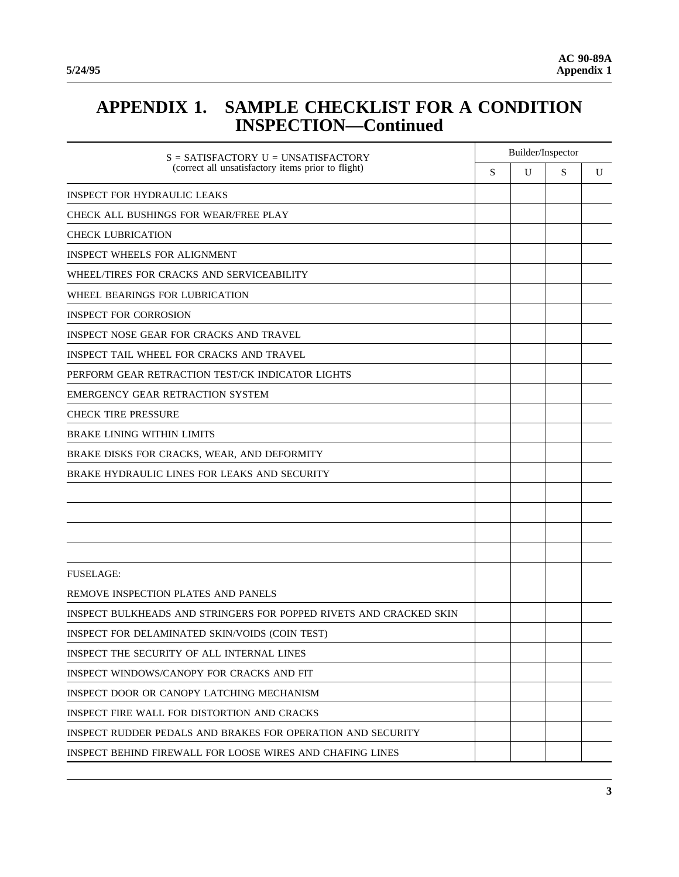| $S = SATISFACTORY$ $U = UNSATISFACTORY$                            |   | Builder/Inspector |   |   |  |  |
|--------------------------------------------------------------------|---|-------------------|---|---|--|--|
| (correct all unsatisfactory items prior to flight)                 | S | U                 | S | U |  |  |
| <b>INSPECT FOR HYDRAULIC LEAKS</b>                                 |   |                   |   |   |  |  |
| <b>CHECK ALL BUSHINGS FOR WEAR/FREE PLAY</b>                       |   |                   |   |   |  |  |
| <b>CHECK LUBRICATION</b>                                           |   |                   |   |   |  |  |
| INSPECT WHEELS FOR ALIGNMENT                                       |   |                   |   |   |  |  |
| WHEEL/TIRES FOR CRACKS AND SERVICEABILITY                          |   |                   |   |   |  |  |
| WHEEL BEARINGS FOR LUBRICATION                                     |   |                   |   |   |  |  |
| <b>INSPECT FOR CORROSION</b>                                       |   |                   |   |   |  |  |
| <b>INSPECT NOSE GEAR FOR CRACKS AND TRAVEL</b>                     |   |                   |   |   |  |  |
| INSPECT TAIL WHEEL FOR CRACKS AND TRAVEL                           |   |                   |   |   |  |  |
| PERFORM GEAR RETRACTION TEST/CK INDICATOR LIGHTS                   |   |                   |   |   |  |  |
| EMERGENCY GEAR RETRACTION SYSTEM                                   |   |                   |   |   |  |  |
| <b>CHECK TIRE PRESSURE</b>                                         |   |                   |   |   |  |  |
| BRAKE LINING WITHIN LIMITS                                         |   |                   |   |   |  |  |
| BRAKE DISKS FOR CRACKS, WEAR, AND DEFORMITY                        |   |                   |   |   |  |  |
| BRAKE HYDRAULIC LINES FOR LEAKS AND SECURITY                       |   |                   |   |   |  |  |
|                                                                    |   |                   |   |   |  |  |
|                                                                    |   |                   |   |   |  |  |
|                                                                    |   |                   |   |   |  |  |
|                                                                    |   |                   |   |   |  |  |
| FUSELAGE:                                                          |   |                   |   |   |  |  |
| REMOVE INSPECTION PLATES AND PANELS                                |   |                   |   |   |  |  |
| INSPECT BULKHEADS AND STRINGERS FOR POPPED RIVETS AND CRACKED SKIN |   |                   |   |   |  |  |
| INSPECT FOR DELAMINATED SKIN/VOIDS (COIN TEST)                     |   |                   |   |   |  |  |
| INSPECT THE SECURITY OF ALL INTERNAL LINES                         |   |                   |   |   |  |  |
| INSPECT WINDOWS/CANOPY FOR CRACKS AND FIT                          |   |                   |   |   |  |  |
| <b>INSPECT DOOR OR CANOPY LATCHING MECHANISM</b>                   |   |                   |   |   |  |  |
| <b>INSPECT FIRE WALL FOR DISTORTION AND CRACKS</b>                 |   |                   |   |   |  |  |
| INSPECT RUDDER PEDALS AND BRAKES FOR OPERATION AND SECURITY        |   |                   |   |   |  |  |
| INSPECT BEHIND FIREWALL FOR LOOSE WIRES AND CHAFING LINES          |   |                   |   |   |  |  |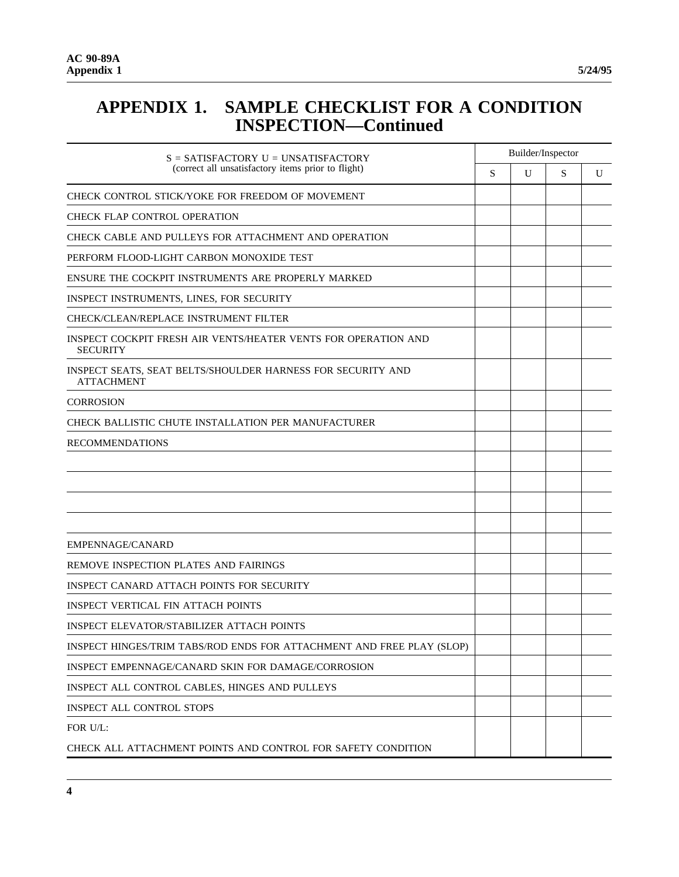| $S = SATISFACTORY$ $U = UNSATISFACTORY$                                           | Builder/Inspector |   |   |   |  |
|-----------------------------------------------------------------------------------|-------------------|---|---|---|--|
| (correct all unsatisfactory items prior to flight)                                | S                 | U | S | U |  |
| CHECK CONTROL STICK/YOKE FOR FREEDOM OF MOVEMENT                                  |                   |   |   |   |  |
| <b>CHECK FLAP CONTROL OPERATION</b>                                               |                   |   |   |   |  |
| CHECK CABLE AND PULLEYS FOR ATTACHMENT AND OPERATION                              |                   |   |   |   |  |
| PERFORM FLOOD-LIGHT CARBON MONOXIDE TEST                                          |                   |   |   |   |  |
| ENSURE THE COCKPIT INSTRUMENTS ARE PROPERLY MARKED                                |                   |   |   |   |  |
| INSPECT INSTRUMENTS, LINES, FOR SECURITY                                          |                   |   |   |   |  |
| <b>CHECK/CLEAN/REPLACE INSTRUMENT FILTER</b>                                      |                   |   |   |   |  |
| INSPECT COCKPIT FRESH AIR VENTS/HEATER VENTS FOR OPERATION AND<br><b>SECURITY</b> |                   |   |   |   |  |
| INSPECT SEATS, SEAT BELTS/SHOULDER HARNESS FOR SECURITY AND<br>ATTACHMENT         |                   |   |   |   |  |
| <b>CORROSION</b>                                                                  |                   |   |   |   |  |
| CHECK BALLISTIC CHUTE INSTALLATION PER MANUFACTURER                               |                   |   |   |   |  |
| <b>RECOMMENDATIONS</b>                                                            |                   |   |   |   |  |
|                                                                                   |                   |   |   |   |  |
|                                                                                   |                   |   |   |   |  |
|                                                                                   |                   |   |   |   |  |
|                                                                                   |                   |   |   |   |  |
| EMPENNAGE/CANARD                                                                  |                   |   |   |   |  |
| REMOVE INSPECTION PLATES AND FAIRINGS                                             |                   |   |   |   |  |
| INSPECT CANARD ATTACH POINTS FOR SECURITY                                         |                   |   |   |   |  |
| <b>INSPECT VERTICAL FIN ATTACH POINTS</b>                                         |                   |   |   |   |  |
| <b>INSPECT ELEVATOR/STABILIZER ATTACH POINTS</b>                                  |                   |   |   |   |  |
| INSPECT HINGES/TRIM TABS/ROD ENDS FOR ATTACHMENT AND FREE PLAY (SLOP)             |                   |   |   |   |  |
| INSPECT EMPENNAGE/CANARD SKIN FOR DAMAGE/CORROSION                                |                   |   |   |   |  |
| INSPECT ALL CONTROL CABLES, HINGES AND PULLEYS                                    |                   |   |   |   |  |
| INSPECT ALL CONTROL STOPS                                                         |                   |   |   |   |  |
| FOR U/L:                                                                          |                   |   |   |   |  |
| CHECK ALL ATTACHMENT POINTS AND CONTROL FOR SAFETY CONDITION                      |                   |   |   |   |  |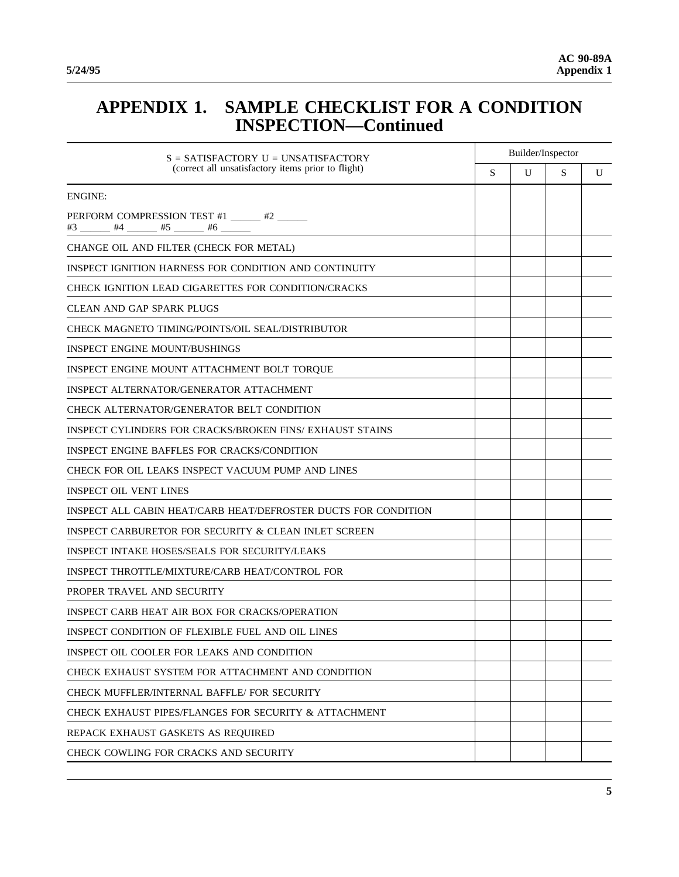| $S = SATISFACTORY$ $U = UNSATISFACTORY$<br>(correct all unsatisfactory items prior to flight) |   | Builder/Inspector |   |   |  |  |
|-----------------------------------------------------------------------------------------------|---|-------------------|---|---|--|--|
|                                                                                               | S | U                 | S | U |  |  |
| <b>ENGINE:</b>                                                                                |   |                   |   |   |  |  |
| PERFORM COMPRESSION TEST #1 _____ #2 ____<br>$\#3$ ________ #4 ________ #5 _______ #6 _______ |   |                   |   |   |  |  |
| CHANGE OIL AND FILTER (CHECK FOR METAL)                                                       |   |                   |   |   |  |  |
| <b>INSPECT IGNITION HARNESS FOR CONDITION AND CONTINUITY</b>                                  |   |                   |   |   |  |  |
| CHECK IGNITION LEAD CIGARETTES FOR CONDITION/CRACKS                                           |   |                   |   |   |  |  |
| <b>CLEAN AND GAP SPARK PLUGS</b>                                                              |   |                   |   |   |  |  |
| CHECK MAGNETO TIMING/POINTS/OIL SEAL/DISTRIBUTOR                                              |   |                   |   |   |  |  |
| <b>INSPECT ENGINE MOUNT/BUSHINGS</b>                                                          |   |                   |   |   |  |  |
| INSPECT ENGINE MOUNT ATTACHMENT BOLT TORQUE                                                   |   |                   |   |   |  |  |
| INSPECT ALTERNATOR/GENERATOR ATTACHMENT                                                       |   |                   |   |   |  |  |
| CHECK ALTERNATOR/GENERATOR BELT CONDITION                                                     |   |                   |   |   |  |  |
| <b>INSPECT CYLINDERS FOR CRACKS/BROKEN FINS/ EXHAUST STAINS</b>                               |   |                   |   |   |  |  |
| INSPECT ENGINE BAFFLES FOR CRACKS/CONDITION                                                   |   |                   |   |   |  |  |
| CHECK FOR OIL LEAKS INSPECT VACUUM PUMP AND LINES                                             |   |                   |   |   |  |  |
| <b>INSPECT OIL VENT LINES</b>                                                                 |   |                   |   |   |  |  |
| INSPECT ALL CABIN HEAT/CARB HEAT/DEFROSTER DUCTS FOR CONDITION                                |   |                   |   |   |  |  |
| <b>INSPECT CARBURETOR FOR SECURITY &amp; CLEAN INLET SCREEN</b>                               |   |                   |   |   |  |  |
| INSPECT INTAKE HOSES/SEALS FOR SECURITY/LEAKS                                                 |   |                   |   |   |  |  |
| INSPECT THROTTLE/MIXTURE/CARB HEAT/CONTROL FOR                                                |   |                   |   |   |  |  |
| PROPER TRAVEL AND SECURITY                                                                    |   |                   |   |   |  |  |
| INSPECT CARB HEAT AIR BOX FOR CRACKS/OPERATION                                                |   |                   |   |   |  |  |
| INSPECT CONDITION OF FLEXIBLE FUEL AND OIL LINES                                              |   |                   |   |   |  |  |
| INSPECT OIL COOLER FOR LEAKS AND CONDITION                                                    |   |                   |   |   |  |  |
| CHECK EXHAUST SYSTEM FOR ATTACHMENT AND CONDITION                                             |   |                   |   |   |  |  |
| CHECK MUFFLER/INTERNAL BAFFLE/ FOR SECURITY                                                   |   |                   |   |   |  |  |
| CHECK EXHAUST PIPES/FLANGES FOR SECURITY & ATTACHMENT                                         |   |                   |   |   |  |  |
| REPACK EXHAUST GASKETS AS REQUIRED                                                            |   |                   |   |   |  |  |
| CHECK COWLING FOR CRACKS AND SECURITY                                                         |   |                   |   |   |  |  |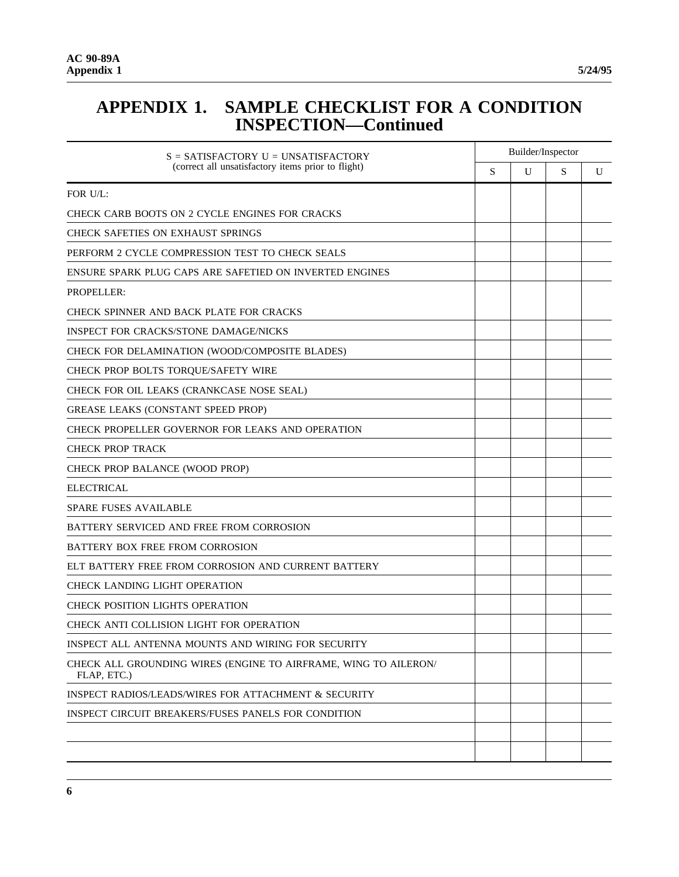| $S = SATISFACTORY$ $U = UNSATISFACTORY$<br>(correct all unsatisfactory items prior to flight) |   | Builder/Inspector |   |   |  |  |
|-----------------------------------------------------------------------------------------------|---|-------------------|---|---|--|--|
|                                                                                               | S | U                 | S | U |  |  |
| FOR U/L:                                                                                      |   |                   |   |   |  |  |
| CHECK CARB BOOTS ON 2 CYCLE ENGINES FOR CRACKS                                                |   |                   |   |   |  |  |
| CHECK SAFETIES ON EXHAUST SPRINGS                                                             |   |                   |   |   |  |  |
| PERFORM 2 CYCLE COMPRESSION TEST TO CHECK SEALS                                               |   |                   |   |   |  |  |
| ENSURE SPARK PLUG CAPS ARE SAFETIED ON INVERTED ENGINES                                       |   |                   |   |   |  |  |
| <b>PROPELLER:</b>                                                                             |   |                   |   |   |  |  |
| CHECK SPINNER AND BACK PLATE FOR CRACKS                                                       |   |                   |   |   |  |  |
| <b>INSPECT FOR CRACKS/STONE DAMAGE/NICKS</b>                                                  |   |                   |   |   |  |  |
| CHECK FOR DELAMINATION (WOOD/COMPOSITE BLADES)                                                |   |                   |   |   |  |  |
| CHECK PROP BOLTS TORQUE/SAFETY WIRE                                                           |   |                   |   |   |  |  |
| CHECK FOR OIL LEAKS (CRANKCASE NOSE SEAL)                                                     |   |                   |   |   |  |  |
| <b>GREASE LEAKS (CONSTANT SPEED PROP)</b>                                                     |   |                   |   |   |  |  |
| CHECK PROPELLER GOVERNOR FOR LEAKS AND OPERATION                                              |   |                   |   |   |  |  |
| <b>CHECK PROP TRACK</b>                                                                       |   |                   |   |   |  |  |
| CHECK PROP BALANCE (WOOD PROP)                                                                |   |                   |   |   |  |  |
| <b>ELECTRICAL</b>                                                                             |   |                   |   |   |  |  |
| <b>SPARE FUSES AVAILABLE</b>                                                                  |   |                   |   |   |  |  |
| BATTERY SERVICED AND FREE FROM CORROSION                                                      |   |                   |   |   |  |  |
| <b>BATTERY BOX FREE FROM CORROSION</b>                                                        |   |                   |   |   |  |  |
| ELT BATTERY FREE FROM CORROSION AND CURRENT BATTERY                                           |   |                   |   |   |  |  |
| CHECK LANDING LIGHT OPERATION                                                                 |   |                   |   |   |  |  |
| <b>CHECK POSITION LIGHTS OPERATION</b>                                                        |   |                   |   |   |  |  |
| CHECK ANTI COLLISION LIGHT FOR OPERATION                                                      |   |                   |   |   |  |  |
| INSPECT ALL ANTENNA MOUNTS AND WIRING FOR SECURITY                                            |   |                   |   |   |  |  |
| CHECK ALL GROUNDING WIRES (ENGINE TO AIRFRAME, WING TO AILERON/<br>FLAP, ETC.)                |   |                   |   |   |  |  |
| INSPECT RADIOS/LEADS/WIRES FOR ATTACHMENT & SECURITY                                          |   |                   |   |   |  |  |
| <b>INSPECT CIRCUIT BREAKERS/FUSES PANELS FOR CONDITION</b>                                    |   |                   |   |   |  |  |
|                                                                                               |   |                   |   |   |  |  |
|                                                                                               |   |                   |   |   |  |  |
|                                                                                               |   |                   |   |   |  |  |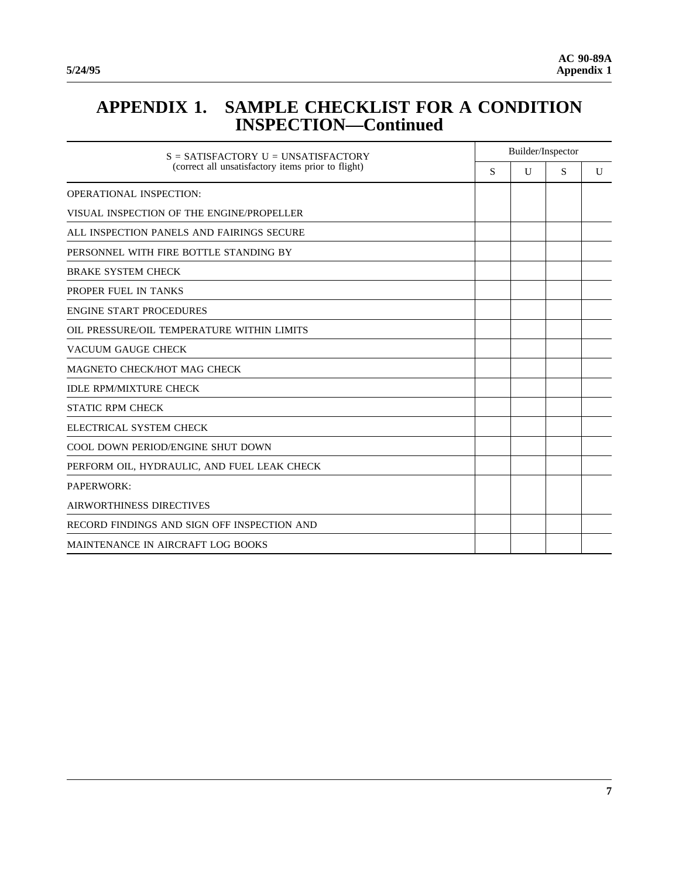| $S = SATISFACTORY$ $U = UNSATISFACTORY$<br>(correct all unsatisfactory items prior to flight) |              | Builder/Inspector |   |   |  |
|-----------------------------------------------------------------------------------------------|--------------|-------------------|---|---|--|
|                                                                                               | <sub>S</sub> | U                 | S | U |  |
| <b>OPERATIONAL INSPECTION:</b>                                                                |              |                   |   |   |  |
| VISUAL INSPECTION OF THE ENGINE/PROPELLER                                                     |              |                   |   |   |  |
| ALL INSPECTION PANELS AND FAIRINGS SECURE                                                     |              |                   |   |   |  |
| PERSONNEL WITH FIRE BOTTLE STANDING BY                                                        |              |                   |   |   |  |
| <b>BRAKE SYSTEM CHECK</b>                                                                     |              |                   |   |   |  |
| PROPER FUEL IN TANKS                                                                          |              |                   |   |   |  |
| <b>ENGINE START PROCEDURES</b>                                                                |              |                   |   |   |  |
| OIL PRESSURE/OIL TEMPERATURE WITHIN LIMITS                                                    |              |                   |   |   |  |
| <b>VACUUM GAUGE CHECK</b>                                                                     |              |                   |   |   |  |
| MAGNETO CHECK/HOT MAG CHECK                                                                   |              |                   |   |   |  |
| <b>IDLE RPM/MIXTURE CHECK</b>                                                                 |              |                   |   |   |  |
| STATIC RPM CHECK                                                                              |              |                   |   |   |  |
| ELECTRICAL SYSTEM CHECK                                                                       |              |                   |   |   |  |
| COOL DOWN PERIOD/ENGINE SHUT DOWN                                                             |              |                   |   |   |  |
| PERFORM OIL, HYDRAULIC, AND FUEL LEAK CHECK                                                   |              |                   |   |   |  |
| PAPERWORK:                                                                                    |              |                   |   |   |  |
| AIRWORTHINESS DIRECTIVES                                                                      |              |                   |   |   |  |
| RECORD FINDINGS AND SIGN OFF INSPECTION AND                                                   |              |                   |   |   |  |
| MAINTENANCE IN AIRCRAFT LOG BOOKS                                                             |              |                   |   |   |  |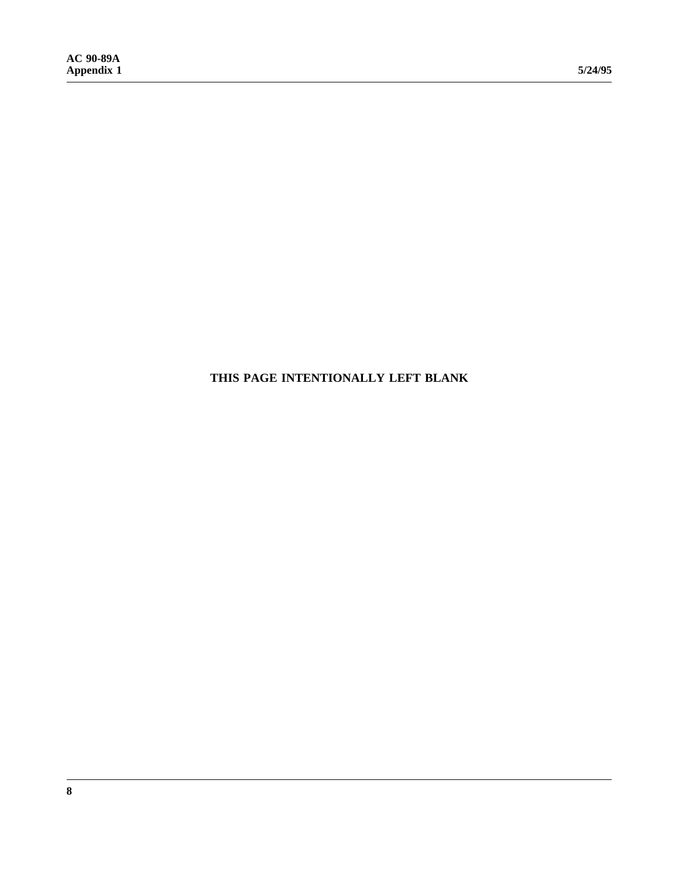### **THIS PAGE INTENTIONALLY LEFT BLANK**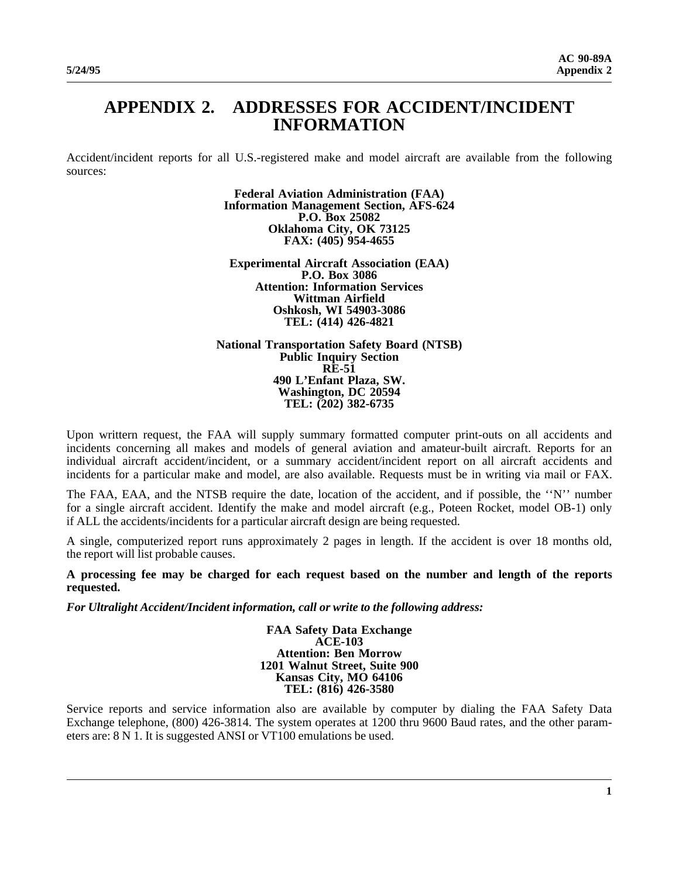### **APPENDIX 2. ADDRESSES FOR ACCIDENT/INCIDENT INFORMATION**

Accident/incident reports for all U.S.-registered make and model aircraft are available from the following sources:

> **Federal Aviation Administration (FAA) Information Management Section, AFS-624 P.O. Box 25082 Oklahoma City, OK 73125 FAX: (405) 954-4655**

**Experimental Aircraft Association (EAA) P.O. Box 3086 Attention: Information Services Wittman Airfield Oshkosh, WI 54903-3086 TEL: (414) 426-4821**

**National Transportation Safety Board (NTSB) Public Inquiry Section RE-51 490 L'Enfant Plaza, SW. Washington, DC 20594 TEL: (202) 382-6735**

Upon writtern request, the FAA will supply summary formatted computer print-outs on all accidents and incidents concerning all makes and models of general aviation and amateur-built aircraft. Reports for an individual aircraft accident/incident, or a summary accident/incident report on all aircraft accidents and incidents for a particular make and model, are also available. Requests must be in writing via mail or FAX.

The FAA, EAA, and the NTSB require the date, location of the accident, and if possible, the ''N'' number for a single aircraft accident. Identify the make and model aircraft (e.g., Poteen Rocket, model OB-1) only if ALL the accidents/incidents for a particular aircraft design are being requested.

A single, computerized report runs approximately 2 pages in length. If the accident is over 18 months old, the report will list probable causes.

**A processing fee may be charged for each request based on the number and length of the reports requested.**

*For Ultralight Accident/Incident information, call or write to the following address:*

**FAA Safety Data Exchange ACE-103 Attention: Ben Morrow 1201 Walnut Street, Suite 900 Kansas City, MO 64106 TEL: (816) 426-3580**

Service reports and service information also are available by computer by dialing the FAA Safety Data Exchange telephone, (800) 426-3814. The system operates at 1200 thru 9600 Baud rates, and the other parameters are: 8 N 1. It is suggested ANSI or VT100 emulations be used.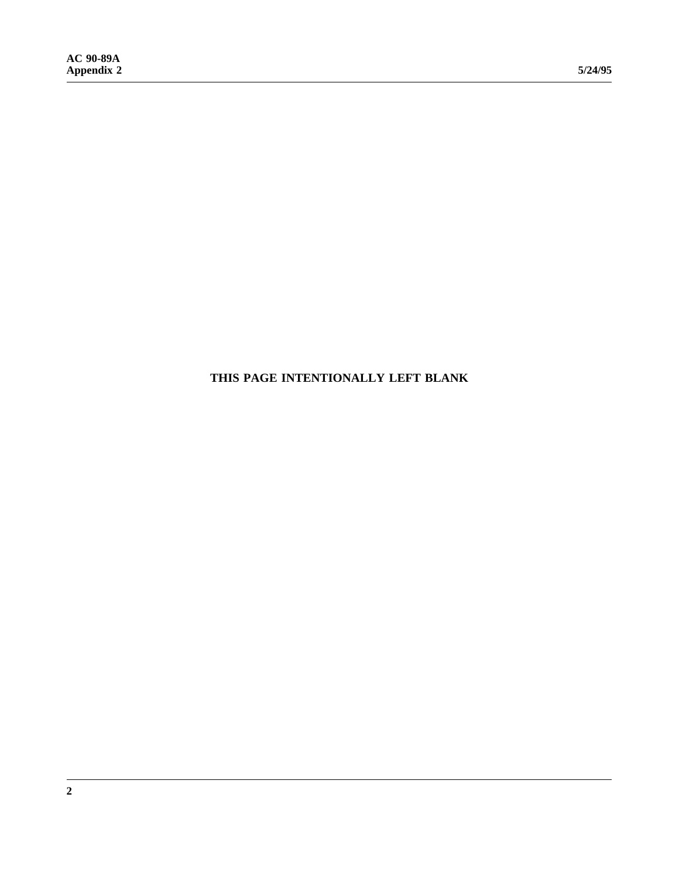### **THIS PAGE INTENTIONALLY LEFT BLANK**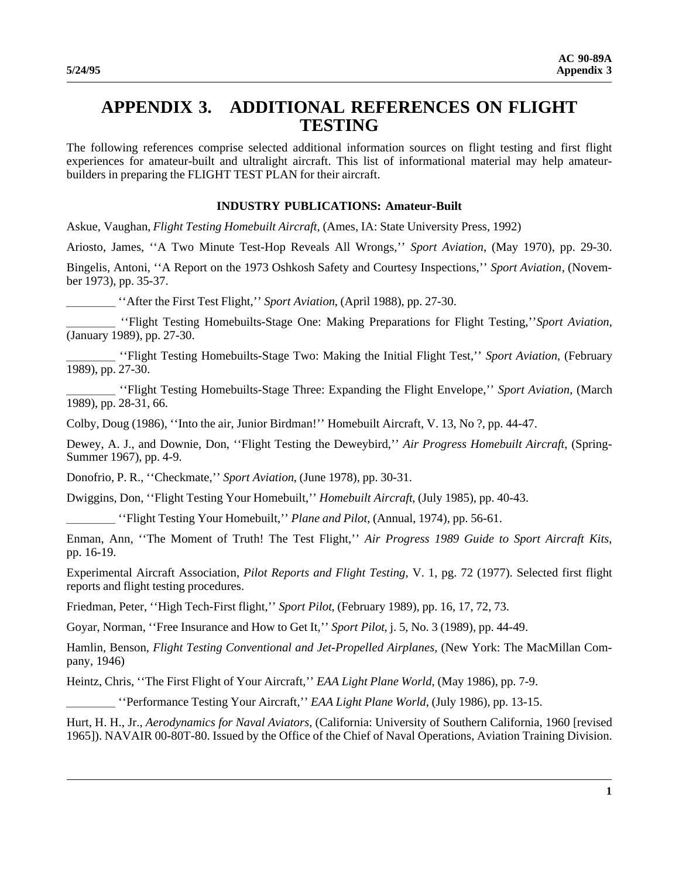# **APPENDIX 3. ADDITIONAL REFERENCES ON FLIGHT TESTING**

The following references comprise selected additional information sources on flight testing and first flight experiences for amateur-built and ultralight aircraft. This list of informational material may help amateurbuilders in preparing the FLIGHT TEST PLAN for their aircraft.

### **INDUSTRY PUBLICATIONS: Amateur-Built**

Askue, Vaughan, *Flight Testing Homebuilt Aircraft,* (Ames, IA: State University Press, 1992)

Ariosto, James, ''A Two Minute Test-Hop Reveals All Wrongs,'' *Sport Aviation*, (May 1970), pp. 29-30.

Bingelis, Antoni, ''A Report on the 1973 Oshkosh Safety and Courtesy Inspections,'' *Sport Aviation*, (November 1973), pp. 35-37.

<sup>1</sup> 'After the First Test Flight,'' *Sport Aviation*, (April 1988), pp. 27-30.

''Flight Testing Homebuilts-Stage One: Making Preparations for Flight Testing,''*Sport Aviation*, (January 1989), pp. 27-30.

<sup>"</sup>'Flight Testing Homebuilts-Stage Two: Making the Initial Flight Test," *Sport Aviation*, (February 1989), pp. 27-30.

''Flight Testing Homebuilts-Stage Three: Expanding the Flight Envelope," *Sport Aviation*, (March 1989), pp. 28-31, 66.

Colby, Doug (1986), ''Into the air, Junior Birdman!'' Homebuilt Aircraft, V. 13, No ?, pp. 44-47.

Dewey, A. J., and Downie, Don, ''Flight Testing the Deweybird,'' *Air Progress Homebuilt Aircraft*, (Spring-Summer 1967), pp. 4-9.

Donofrio, P. R., ''Checkmate,'' *Sport Aviation*, (June 1978), pp. 30-31.

Dwiggins, Don, ''Flight Testing Your Homebuilt,'' *Homebuilt Aircraft*, (July 1985), pp. 40-43.

<sup>'</sup>'Flight Testing Your Homebuilt,'' *Plane and Pilot*, (Annual, 1974), pp. 56-61.

Enman, Ann, ''The Moment of Truth! The Test Flight,'' *Air Progress 1989 Guide to Sport Aircraft Kits*, pp. 16-19.

Experimental Aircraft Association, *Pilot Reports and Flight Testing*, V. 1, pg. 72 (1977). Selected first flight reports and flight testing procedures.

Friedman, Peter, ''High Tech-First flight,'' *Sport Pilot*, (February 1989), pp. 16, 17, 72, 73.

Goyar, Norman, ''Free Insurance and How to Get It,'' *Sport Pilot*, j. 5, No. 3 (1989), pp. 44-49.

Hamlin, Benson, *Flight Testing Conventional and Jet-Propelled Airplanes,* (New York: The MacMillan Company, 1946)

Heintz, Chris, ''The First Flight of Your Aircraft,'' *EAA Light Plane World*, (May 1986), pp. 7-9.

<sup>1</sup> 'Performance Testing Your Aircraft,'' *EAA Light Plane World*, (July 1986), pp. 13-15.

Hurt, H. H., Jr., *Aerodynamics for Naval Aviators*, (California: University of Southern California, 1960 [revised 1965]). NAVAIR 00-80T-80. Issued by the Office of the Chief of Naval Operations, Aviation Training Division.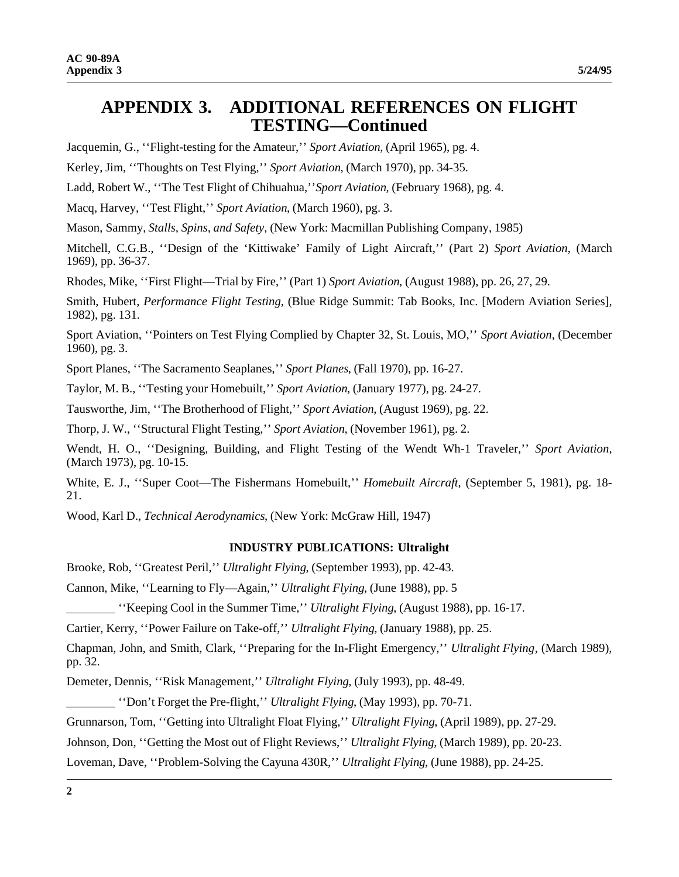# **APPENDIX 3. ADDITIONAL REFERENCES ON FLIGHT TESTING—Continued**

Jacquemin, G., ''Flight-testing for the Amateur,'' *Sport Aviation*, (April 1965), pg. 4.

Kerley, Jim, ''Thoughts on Test Flying,'' *Sport Aviation*, (March 1970), pp. 34-35.

Ladd, Robert W., ''The Test Flight of Chihuahua,''*Sport Aviation*, (February 1968), pg. 4.

Macq, Harvey, ''Test Flight,'' *Sport Aviation*, (March 1960), pg. 3.

Mason, Sammy, *Stalls, Spins, and Safety*, (New York: Macmillan Publishing Company, 1985)

Mitchell, C.G.B., ''Design of the 'Kittiwake' Family of Light Aircraft,'' (Part 2) *Sport Aviation*, (March 1969), pp. 36-37.

Rhodes, Mike, ''First Flight—Trial by Fire,'' (Part 1) *Sport Aviation*, (August 1988), pp. 26, 27, 29.

Smith, Hubert, *Performance Flight Testing*, (Blue Ridge Summit: Tab Books, Inc. [Modern Aviation Series], 1982), pg. 131.

Sport Aviation, ''Pointers on Test Flying Complied by Chapter 32, St. Louis, MO,'' *Sport Aviation*, (December 1960), pg. 3.

Sport Planes, ''The Sacramento Seaplanes,'' *Sport Planes*, (Fall 1970), pp. 16-27.

Taylor, M. B., ''Testing your Homebuilt,'' *Sport Aviation*, (January 1977), pg. 24-27.

Tausworthe, Jim, ''The Brotherhood of Flight,'' *Sport Aviation*, (August 1969), pg. 22.

Thorp, J. W., ''Structural Flight Testing,'' *Sport Aviation*, (November 1961), pg. 2.

Wendt, H. O., ''Designing, Building, and Flight Testing of the Wendt Wh-1 Traveler,'' *Sport Aviation*, (March 1973), pg. 10-15.

White, E. J., ''Super Coot—The Fishermans Homebuilt,'' *Homebuilt Aircraft*, (September 5, 1981), pg. 18- 21.

Wood, Karl D., *Technical Aerodynamics*, (New York: McGraw Hill, 1947)

### **INDUSTRY PUBLICATIONS: Ultralight**

Brooke, Rob, ''Greatest Peril,'' *Ultralight Flying*, (September 1993), pp. 42-43.

Cannon, Mike, ''Learning to Fly—Again,'' *Ultralight Flying*, (June 1988), pp. 5

"Keeping Cool in the Summer Time," *Ultralight Flying*, (August 1988), pp. 16-17.

Cartier, Kerry, ''Power Failure on Take-off,'' *Ultralight Flying*, (January 1988), pp. 25.

Chapman, John, and Smith, Clark, ''Preparing for the In-Flight Emergency,'' *Ultralight Flying*, (March 1989), pp. 32.

Demeter, Dennis, ''Risk Management,'' *Ultralight Flying*, (July 1993), pp. 48-49.

''Don't Forget the Pre-flight,'' *Ultralight Flying*, (May 1993), pp. 70-71.

Grunnarson, Tom, ''Getting into Ultralight Float Flying,'' *Ultralight Flying*, (April 1989), pp. 27-29.

Johnson, Don, ''Getting the Most out of Flight Reviews,'' *Ultralight Flying*, (March 1989), pp. 20-23.

Loveman, Dave, ''Problem-Solving the Cayuna 430R,'' *Ultralight Flying*, (June 1988), pp. 24-25.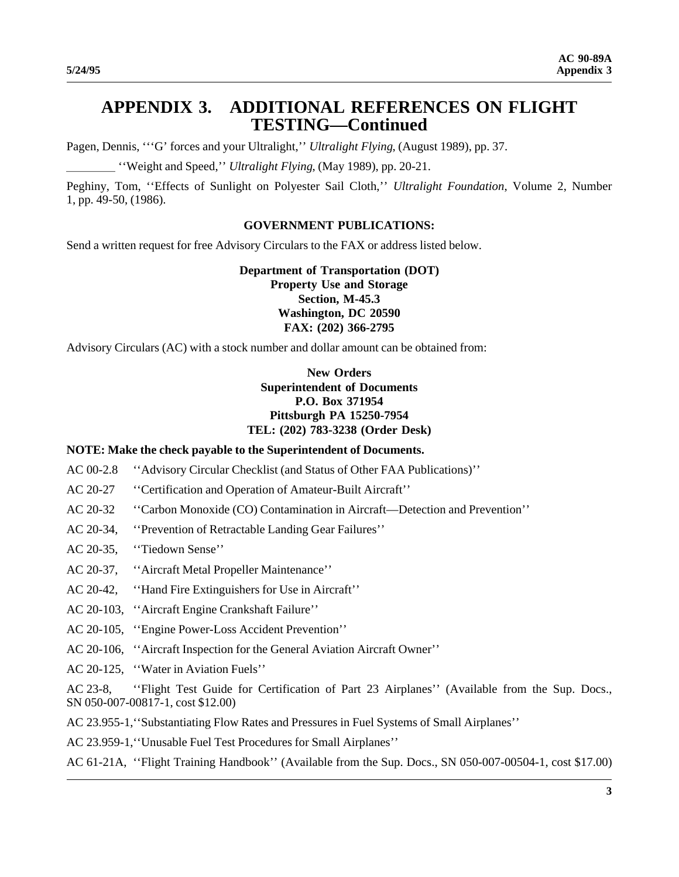# **APPENDIX 3. ADDITIONAL REFERENCES ON FLIGHT**

Pagen, Dennis, '''G' forces and your Ultralight,'' *Ultralight Flying*, (August 1989), pp. 37.

*Weight and Speed,'' <i>Ultralight Flying*, (May 1989), pp. 20-21.

Peghiny, Tom, ''Effects of Sunlight on Polyester Sail Cloth,'' *Ultralight Foundation*, Volume 2, Number 1, pp. 49-50, (1986).

**TESTING—Continued**

### **GOVERNMENT PUBLICATIONS:**

Send a written request for free Advisory Circulars to the FAX or address listed below.

**Department of Transportation (DOT) Property Use and Storage Section, M-45.3 Washington, DC 20590 FAX: (202) 366-2795**

Advisory Circulars (AC) with a stock number and dollar amount can be obtained from:

### **New Orders Superintendent of Documents P.O. Box 371954 Pittsburgh PA 15250-7954 TEL: (202) 783-3238 (Order Desk)**

#### **NOTE: Make the check payable to the Superintendent of Documents.**

- AC 00-2.8 ''Advisory Circular Checklist (and Status of Other FAA Publications)''
- AC 20-27 ''Certification and Operation of Amateur-Built Aircraft''
- AC 20-32 ''Carbon Monoxide (CO) Contamination in Aircraft—Detection and Prevention''
- AC 20-34, ''Prevention of Retractable Landing Gear Failures''
- AC 20-35, ''Tiedown Sense''
- AC 20-37, ''Aircraft Metal Propeller Maintenance''
- AC 20-42, ''Hand Fire Extinguishers for Use in Aircraft''
- AC 20-103, ''Aircraft Engine Crankshaft Failure''
- AC 20-105, ''Engine Power-Loss Accident Prevention''
- AC 20-106, ''Aircraft Inspection for the General Aviation Aircraft Owner''
- AC 20-125, ''Water in Aviation Fuels''

AC 23-8, ''Flight Test Guide for Certification of Part 23 Airplanes'' (Available from the Sup. Docs., SN 050-007-00817-1, cost \$12.00)

AC 23.955-1,''Substantiating Flow Rates and Pressures in Fuel Systems of Small Airplanes''

AC 23.959-1,''Unusable Fuel Test Procedures for Small Airplanes''

AC 61-21A, ''Flight Training Handbook'' (Available from the Sup. Docs., SN 050-007-00504-1, cost \$17.00)